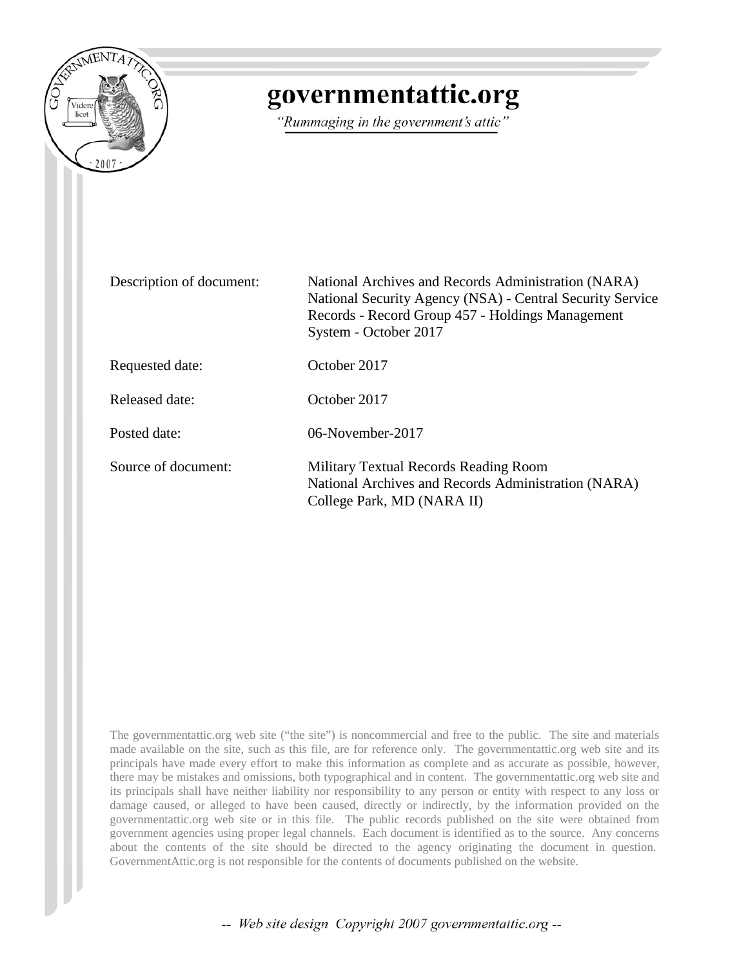

## governmentattic.org

"Rummaging in the government's attic"

| Description of document: | National Archives and Records Administration (NARA)<br>National Security Agency (NSA) - Central Security Service<br>Records - Record Group 457 - Holdings Management<br>System - October 2017 |
|--------------------------|-----------------------------------------------------------------------------------------------------------------------------------------------------------------------------------------------|
| Requested date:          | October 2017                                                                                                                                                                                  |
| Released date:           | October 2017                                                                                                                                                                                  |
| Posted date:             | 06-November-2017                                                                                                                                                                              |
| Source of document:      | Military Textual Records Reading Room<br>National Archives and Records Administration (NARA)<br>College Park, MD (NARA II)                                                                    |

The governmentattic.org web site ("the site") is noncommercial and free to the public. The site and materials made available on the site, such as this file, are for reference only. The governmentattic.org web site and its principals have made every effort to make this information as complete and as accurate as possible, however, there may be mistakes and omissions, both typographical and in content. The governmentattic.org web site and its principals shall have neither liability nor responsibility to any person or entity with respect to any loss or damage caused, or alleged to have been caused, directly or indirectly, by the information provided on the governmentattic.org web site or in this file. The public records published on the site were obtained from government agencies using proper legal channels. Each document is identified as to the source. Any concerns about the contents of the site should be directed to the agency originating the document in question. GovernmentAttic.org is not responsible for the contents of documents published on the website.

-- Web site design Copyright 2007 governmentattic.org --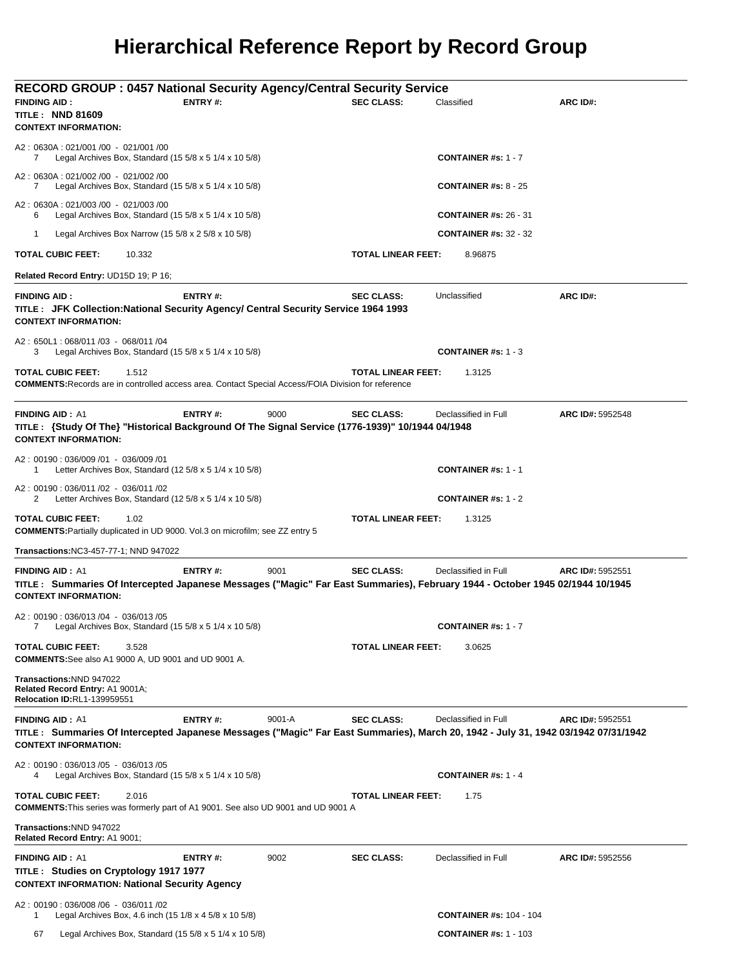## **Hierarchical Reference Report by Record Group**

| <b>RECORD GROUP : 0457 National Security Agency/Central Security Service</b>                                                                                                               |                |            |                           |                                |                  |
|--------------------------------------------------------------------------------------------------------------------------------------------------------------------------------------------|----------------|------------|---------------------------|--------------------------------|------------------|
| <b>FINDING AID:</b>                                                                                                                                                                        | ENTRY#:        |            | <b>SEC CLASS:</b>         | Classified                     | ARC ID#:         |
| <b>TITLE: NND 81609</b><br><b>CONTEXT INFORMATION:</b>                                                                                                                                     |                |            |                           |                                |                  |
| A2: 0630A: 021/001 /00 - 021/001 /00<br>Legal Archives Box, Standard $(15\ 5/8 \times 5\ 1/4 \times 10\ 5/8)$<br>7                                                                         |                |            |                           | CONTAINER #s: 1 - 7            |                  |
| A2: 0630A: 021/002 /00 - 021/002 /00<br>Legal Archives Box, Standard (15 $5/8 \times 5$ 1/4 $\times$ 10 $5/8$ )<br>7                                                                       |                |            |                           | <b>CONTAINER #s: 8 - 25</b>    |                  |
| A2: 0630A: 021/003 /00 - 021/003 /00<br>Legal Archives Box, Standard $(15\,5/8 \times 5\,1/4 \times 10\,5/8)$<br>6                                                                         |                |            |                           | <b>CONTAINER #s: 26 - 31</b>   |                  |
| $\mathbf 1$<br>Legal Archives Box Narrow (15 $5/8 \times 2$ 5/8 $\times$ 10 5/8)                                                                                                           |                |            |                           | <b>CONTAINER #s: 32 - 32</b>   |                  |
| <b>TOTAL CUBIC FEET:</b><br>10.332                                                                                                                                                         |                |            | TOTAL LINEAR FEET:        | 8.96875                        |                  |
| Related Record Entry: UD15D 19; P 16;                                                                                                                                                      |                |            |                           |                                |                  |
| <b>FINDING AID:</b><br>TITLE: JFK Collection: National Security Agency/ Central Security Service 1964 1993<br><b>CONTEXT INFORMATION:</b>                                                  | <b>ENTRY#:</b> |            | <b>SEC CLASS:</b>         | Unclassified                   | ARC ID#:         |
| A2: 650L1: 068/011 /03 - 068/011 /04<br>Legal Archives Box, Standard $(15\ 5/8 \times 5\ 1/4 \times 10\ 5/8)$<br>3                                                                         |                |            |                           | <b>CONTAINER #s: 1 - 3</b>     |                  |
| <b>TOTAL CUBIC FEET:</b><br>1.512<br><b>COMMENTS: Records are in controlled access area. Contact Special Access/FOIA Division for reference</b>                                            |                |            | <b>TOTAL LINEAR FEET:</b> | 1.3125                         |                  |
| <b>FINDING AID: A1</b><br>TITLE: {Study Of The} "Historical Background Of The Signal Service (1776-1939)" 10/1944 04/1948<br><b>CONTEXT INFORMATION:</b>                                   | <b>ENTRY#:</b> | 9000       | <b>SEC CLASS:</b>         | Declassified in Full           | ARC ID#: 5952548 |
| A2: 00190: 036/009 /01 - 036/009 /01<br>Letter Archives Box, Standard (12 $5/8 \times 5$ 1/4 $\times$ 10 $5/8$ )<br>1                                                                      |                |            |                           | <b>CONTAINER #s: 1 - 1</b>     |                  |
| A2: 00190: 036/011 /02 - 036/011 /02<br>Letter Archives Box, Standard (12 $5/8 \times 5$ 1/4 $\times$ 10 $5/8$ )<br>2                                                                      |                |            |                           | <b>CONTAINER #s: 1 - 2</b>     |                  |
| <b>TOTAL CUBIC FEET:</b><br>1.02<br><b>COMMENTS: Partially duplicated in UD 9000. Vol.3 on microfilm; see ZZ entry 5</b>                                                                   |                |            | <b>TOTAL LINEAR FEET:</b> | 1.3125                         |                  |
| Transactions: NC3-457-77-1; NND 947022                                                                                                                                                     |                |            |                           |                                |                  |
| <b>FINDING AID: A1</b><br>TITLE: Summaries Of Intercepted Japanese Messages ("Magic" Far East Summaries), February 1944 - October 1945 02/1944 10/1945<br><b>CONTEXT INFORMATION:</b>      | ENTRY#:        | 9001       | <b>SEC CLASS:</b>         | Declassified in Full           | ARC ID#: 5952551 |
| A2: 00190: 036/013 /04 - 036/013 /05<br>Legal Archives Box, Standard (15 5/8 x 5 1/4 x 10 5/8)                                                                                             |                |            |                           | <b>CONTAINER #s: 1 - 7</b>     |                  |
| <b>TOTAL CUBIC FEET:</b><br>3.528<br><b>COMMENTS:</b> See also A1 9000 A, UD 9001 and UD 9001 A.                                                                                           |                |            | TOTAL LINEAR FEET:        | 3.0625                         |                  |
| Transactions: NND 947022<br>Related Record Entry: A1 9001A;<br><b>Relocation ID:RL1-139959551</b>                                                                                          |                |            |                           |                                |                  |
| <b>FINDING AID: A1</b><br>TITLE: Summaries Of Intercepted Japanese Messages ("Magic" Far East Summaries), March 20, 1942 - July 31, 1942 03/1942 07/31/1942<br><b>CONTEXT INFORMATION:</b> | <b>ENTRY#:</b> | $9001 - A$ | <b>SEC CLASS:</b>         | Declassified in Full           | ARC ID#: 5952551 |
| A2: 00190: 036/013 /05 - 036/013 /05<br>Legal Archives Box, Standard $(15\ 5/8 \times 5\ 1/4 \times 10\ 5/8)$<br>4                                                                         |                |            |                           | <b>CONTAINER #s: 1 - 4</b>     |                  |
| <b>TOTAL CUBIC FEET:</b><br>2.016<br><b>COMMENTS:</b> This series was formerly part of A1 9001. See also UD 9001 and UD 9001 A                                                             |                |            | TOTAL LINEAR FEET:        | 1.75                           |                  |
| Transactions: NND 947022<br>Related Record Entry: A1 9001;                                                                                                                                 |                |            |                           |                                |                  |
| <b>FINDING AID: A1</b>                                                                                                                                                                     | ENTRY#:        | 9002       | <b>SEC CLASS:</b>         | Declassified in Full           | ARC ID#: 5952556 |
| TITLE: Studies on Cryptology 1917 1977<br><b>CONTEXT INFORMATION: National Security Agency</b>                                                                                             |                |            |                           |                                |                  |
| A2: 00190: 036/008 /06 - 036/011 /02<br>Legal Archives Box, 4.6 inch (15 1/8 x 4 5/8 x 10 5/8)<br>1                                                                                        |                |            |                           | <b>CONTAINER #s: 104 - 104</b> |                  |
| Legal Archives Box, Standard (15 5/8 x 5 1/4 x 10 5/8)<br>67                                                                                                                               |                |            |                           | <b>CONTAINER #s: 1 - 103</b>   |                  |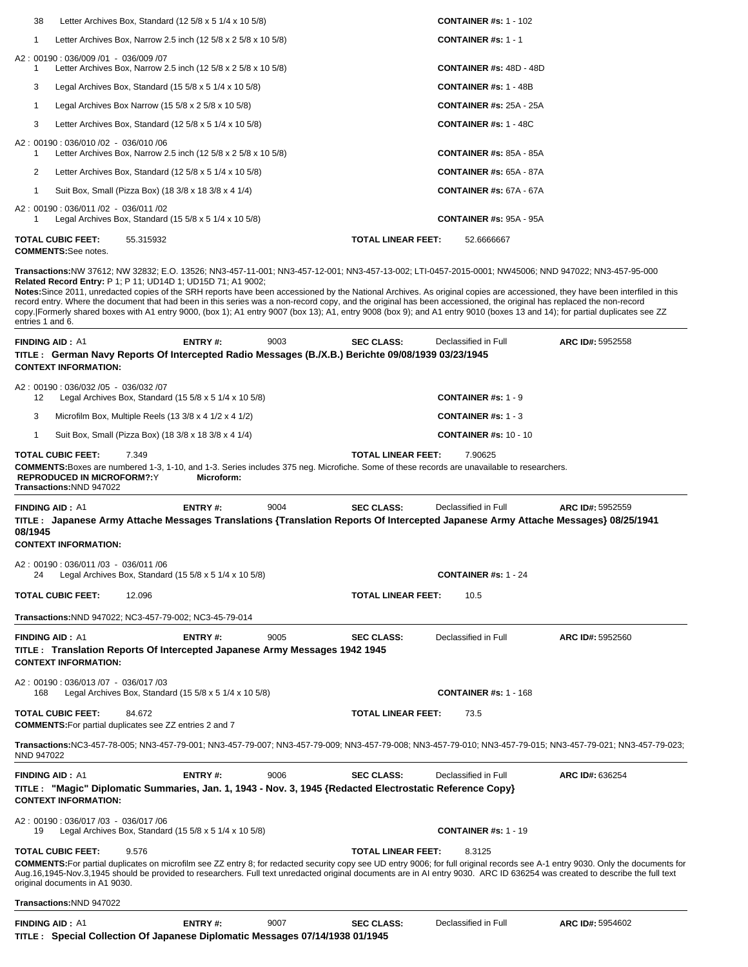| Letter Archives Box, Standard $(125/8 \times 51/4 \times 105/8)$<br>38                                                                                                                                                                                                                                                                                                                                                                                                                                                                                                                                                                                                                                                                                                                                      |            |      |                           | <b>CONTAINER #s: 1 - 102</b>   |                                                                                                                                                                                  |
|-------------------------------------------------------------------------------------------------------------------------------------------------------------------------------------------------------------------------------------------------------------------------------------------------------------------------------------------------------------------------------------------------------------------------------------------------------------------------------------------------------------------------------------------------------------------------------------------------------------------------------------------------------------------------------------------------------------------------------------------------------------------------------------------------------------|------------|------|---------------------------|--------------------------------|----------------------------------------------------------------------------------------------------------------------------------------------------------------------------------|
| $\mathbf{1}$<br>Letter Archives Box, Narrow 2.5 inch (12 5/8 x 2 5/8 x 10 5/8)                                                                                                                                                                                                                                                                                                                                                                                                                                                                                                                                                                                                                                                                                                                              |            |      |                           | <b>CONTAINER #s: 1 - 1</b>     |                                                                                                                                                                                  |
| A2: 00190: 036/009 /01 - 036/009 /07<br>Letter Archives Box, Narrow 2.5 inch (12 5/8 x 2 5/8 x 10 5/8)<br>1                                                                                                                                                                                                                                                                                                                                                                                                                                                                                                                                                                                                                                                                                                 |            |      |                           | <b>CONTAINER #s: 48D - 48D</b> |                                                                                                                                                                                  |
| 3<br>Legal Archives Box, Standard $(15\ 5/8 \times 5\ 1/4 \times 10\ 5/8)$                                                                                                                                                                                                                                                                                                                                                                                                                                                                                                                                                                                                                                                                                                                                  |            |      |                           | <b>CONTAINER #s: 1 - 48B</b>   |                                                                                                                                                                                  |
| Legal Archives Box Narrow (15 $5/8 \times 2$ 5/8 $\times$ 10 5/8)<br>$\mathbf{1}$                                                                                                                                                                                                                                                                                                                                                                                                                                                                                                                                                                                                                                                                                                                           |            |      |                           | <b>CONTAINER #s: 25A - 25A</b> |                                                                                                                                                                                  |
| 3<br>Letter Archives Box, Standard $(12 5/8 x 5 1/4 x 10 5/8)$                                                                                                                                                                                                                                                                                                                                                                                                                                                                                                                                                                                                                                                                                                                                              |            |      |                           | <b>CONTAINER #s: 1 - 48C</b>   |                                                                                                                                                                                  |
| A2: 00190: 036/010 /02 - 036/010 /06<br>Letter Archives Box, Narrow 2.5 inch (12 5/8 x 2 5/8 x 10 5/8)<br>1                                                                                                                                                                                                                                                                                                                                                                                                                                                                                                                                                                                                                                                                                                 |            |      |                           | <b>CONTAINER #s: 85A - 85A</b> |                                                                                                                                                                                  |
| 2<br>Letter Archives Box, Standard (12 $5/8 \times 5$ 1/4 $\times$ 10 $5/8$ )                                                                                                                                                                                                                                                                                                                                                                                                                                                                                                                                                                                                                                                                                                                               |            |      |                           | <b>CONTAINER #s: 65A - 87A</b> |                                                                                                                                                                                  |
| Suit Box, Small (Pizza Box) (18 3/8 x 18 3/8 x 4 1/4)<br>$\mathbf{1}$                                                                                                                                                                                                                                                                                                                                                                                                                                                                                                                                                                                                                                                                                                                                       |            |      |                           | <b>CONTAINER #s: 67A - 67A</b> |                                                                                                                                                                                  |
| A2: 00190: 036/011/02 - 036/011/02<br>Legal Archives Box, Standard (15 5/8 x 5 1/4 x 10 5/8)<br>1                                                                                                                                                                                                                                                                                                                                                                                                                                                                                                                                                                                                                                                                                                           |            |      |                           | <b>CONTAINER #s: 95A - 95A</b> |                                                                                                                                                                                  |
| TOTAL CUBIC FEET:<br>55.315932<br><b>COMMENTS:</b> See notes.                                                                                                                                                                                                                                                                                                                                                                                                                                                                                                                                                                                                                                                                                                                                               |            |      | TOTAL LINEAR FEET:        | 52.6666667                     |                                                                                                                                                                                  |
| Transactions:NW 37612; NW 32832; E.O. 13526; NN3-457-11-001; NN3-457-12-001; NN3-457-13-002; LTI-0457-2015-0001; NW45006; NND 947022; NN3-457-95-000<br>Related Record Entry: P 1; P 11; UD14D 1; UD15D 71; A1 9002;<br>Notes: Since 2011, unredacted copies of the SRH reports have been accessioned by the National Archives. As original copies are accessioned, they have been interfiled in this<br>record entry. Where the document that had been in this series was a non-record copy, and the original has been accessioned, the original has replaced the non-record<br>copy. [Formerly shared boxes with A1 entry 9000, (box 1); A1 entry 9007 (box 13); A1, entry 9008 (box 9); and A1 entry 9010 (boxes 13 and 14); for partial duplicates see ZZ<br>entries 1 and 6.<br><b>FINDING AID: A1</b> | ENTRY#:    | 9003 | <b>SEC CLASS:</b>         | Declassified in Full           | ARC ID#: 5952558                                                                                                                                                                 |
| TITLE: German Navy Reports Of Intercepted Radio Messages (B./X.B.) Berichte 09/08/1939 03/23/1945<br><b>CONTEXT INFORMATION:</b>                                                                                                                                                                                                                                                                                                                                                                                                                                                                                                                                                                                                                                                                            |            |      |                           |                                |                                                                                                                                                                                  |
| A2: 00190: 036/032 /05 - 036/032 /07<br>Legal Archives Box, Standard $(155/8 \times 51/4 \times 105/8)$<br>12                                                                                                                                                                                                                                                                                                                                                                                                                                                                                                                                                                                                                                                                                               |            |      |                           | <b>CONTAINER #s: 1 - 9</b>     |                                                                                                                                                                                  |
| 3                                                                                                                                                                                                                                                                                                                                                                                                                                                                                                                                                                                                                                                                                                                                                                                                           |            |      |                           | <b>CONTAINER #s: 1 - 3</b>     |                                                                                                                                                                                  |
| Microfilm Box, Multiple Reels $(13\frac{3}{8} \times 4\frac{1}{2} \times 4\frac{1}{2})$                                                                                                                                                                                                                                                                                                                                                                                                                                                                                                                                                                                                                                                                                                                     |            |      |                           |                                |                                                                                                                                                                                  |
| $\mathbf{1}$<br>Suit Box, Small (Pizza Box) (18 3/8 x 18 3/8 x 4 1/4)                                                                                                                                                                                                                                                                                                                                                                                                                                                                                                                                                                                                                                                                                                                                       |            |      |                           | <b>CONTAINER #s: 10 - 10</b>   |                                                                                                                                                                                  |
| TOTAL CUBIC FEET:<br>7.349<br><b>COMMENTS:</b> Boxes are numbered 1-3, 1-10, and 1-3. Series includes 375 neg. Microfiche. Some of these records are unavailable to researchers.<br><b>REPRODUCED IN MICROFORM?:Y</b><br>Transactions:NND 947022                                                                                                                                                                                                                                                                                                                                                                                                                                                                                                                                                            | Microform: |      | <b>TOTAL LINEAR FEET:</b> | 7.90625                        |                                                                                                                                                                                  |
| <b>FINDING AID: A1</b><br>TITLE: Japanese Army Attache Messages Translations {Translation Reports Of Intercepted Japanese Army Attache Messages} 08/25/1941<br>08/1945<br><b>CONTEXT INFORMATION:</b>                                                                                                                                                                                                                                                                                                                                                                                                                                                                                                                                                                                                       | ENTRY#:    | 9004 | <b>SEC CLASS:</b>         | Declassified in Full           | ARC ID#: 5952559                                                                                                                                                                 |
| A2: 00190: 036/011 /03 - 036/011 /06<br>Legal Archives Box, Standard (15 5/8 x 5 1/4 x 10 5/8)<br>24                                                                                                                                                                                                                                                                                                                                                                                                                                                                                                                                                                                                                                                                                                        |            |      |                           | <b>CONTAINER #s: 1 - 24</b>    |                                                                                                                                                                                  |
| TOTAL CUBIC FEET:<br>12.096                                                                                                                                                                                                                                                                                                                                                                                                                                                                                                                                                                                                                                                                                                                                                                                 |            |      | <b>TOTAL LINEAR FEET:</b> | 10.5                           |                                                                                                                                                                                  |
| Transactions: NND 947022; NC3-457-79-002; NC3-45-79-014                                                                                                                                                                                                                                                                                                                                                                                                                                                                                                                                                                                                                                                                                                                                                     |            |      |                           |                                |                                                                                                                                                                                  |
| <b>FINDING AID: A1</b><br>TITLE: Translation Reports Of Intercepted Japanese Army Messages 1942 1945<br><b>CONTEXT INFORMATION:</b>                                                                                                                                                                                                                                                                                                                                                                                                                                                                                                                                                                                                                                                                         | ENTRY#:    | 9005 | <b>SEC CLASS:</b>         | Declassified in Full           | ARC ID#: 5952560                                                                                                                                                                 |
| A2: 00190: 036/013/07 - 036/017/03<br>Legal Archives Box, Standard $(15\ 5/8 \times 5\ 1/4 \times 10\ 5/8)$<br>168                                                                                                                                                                                                                                                                                                                                                                                                                                                                                                                                                                                                                                                                                          |            |      |                           | <b>CONTAINER #s: 1 - 168</b>   |                                                                                                                                                                                  |
| TOTAL CUBIC FEET:<br>84.672<br><b>COMMENTS:</b> For partial duplicates see ZZ entries 2 and 7                                                                                                                                                                                                                                                                                                                                                                                                                                                                                                                                                                                                                                                                                                               |            |      | <b>TOTAL LINEAR FEET:</b> | 73.5                           |                                                                                                                                                                                  |
| NND 947022                                                                                                                                                                                                                                                                                                                                                                                                                                                                                                                                                                                                                                                                                                                                                                                                  |            |      |                           |                                | Transactions:NC3-457-78-005; NN3-457-79-001; NN3-457-79-007; NN3-457-79-009; NN3-457-79-008; NN3-457-79-010; NN3-457-79-015; NN3-457-79-021; NN3-457-79-0223;                    |
| <b>FINDING AID: A1</b>                                                                                                                                                                                                                                                                                                                                                                                                                                                                                                                                                                                                                                                                                                                                                                                      |            |      |                           |                                |                                                                                                                                                                                  |
| TITLE : "Magic" Diplomatic Summaries, Jan. 1, 1943 - Nov. 3, 1945 {Redacted Electrostatic Reference Copy}<br><b>CONTEXT INFORMATION:</b>                                                                                                                                                                                                                                                                                                                                                                                                                                                                                                                                                                                                                                                                    | ENTRY#:    | 9006 | <b>SEC CLASS:</b>         | Declassified in Full           | ARC ID#: 636254                                                                                                                                                                  |
| A2: 00190: 036/017 /03 - 036/017 /06<br>Legal Archives Box, Standard $(15\ 5/8 \times 5\ 1/4 \times 10\ 5/8)$<br>19                                                                                                                                                                                                                                                                                                                                                                                                                                                                                                                                                                                                                                                                                         |            |      |                           | <b>CONTAINER #s: 1 - 19</b>    |                                                                                                                                                                                  |
| <b>TOTAL CUBIC FEET:</b><br>9.576<br>Aug.16,1945-Nov.3,1945 should be provided to researchers. Full text unredacted original documents are in AI entry 9030. ARC ID 636254 was created to describe the full text<br>original documents in A1 9030.                                                                                                                                                                                                                                                                                                                                                                                                                                                                                                                                                          |            |      | <b>TOTAL LINEAR FEET:</b> | 8.3125                         |                                                                                                                                                                                  |
| Transactions:NND 947022                                                                                                                                                                                                                                                                                                                                                                                                                                                                                                                                                                                                                                                                                                                                                                                     |            |      |                           |                                | COMMENTS: For partial duplicates on microfilm see ZZ entry 8; for redacted security copy see UD entry 9006; for full original records see A-1 entry 9030. Only the documents for |

| TITLE : Special Collection Of Japanese Diplomatic Messages 07/14/1938 01/1945 |  |  |  |  |  |
|-------------------------------------------------------------------------------|--|--|--|--|--|
|-------------------------------------------------------------------------------|--|--|--|--|--|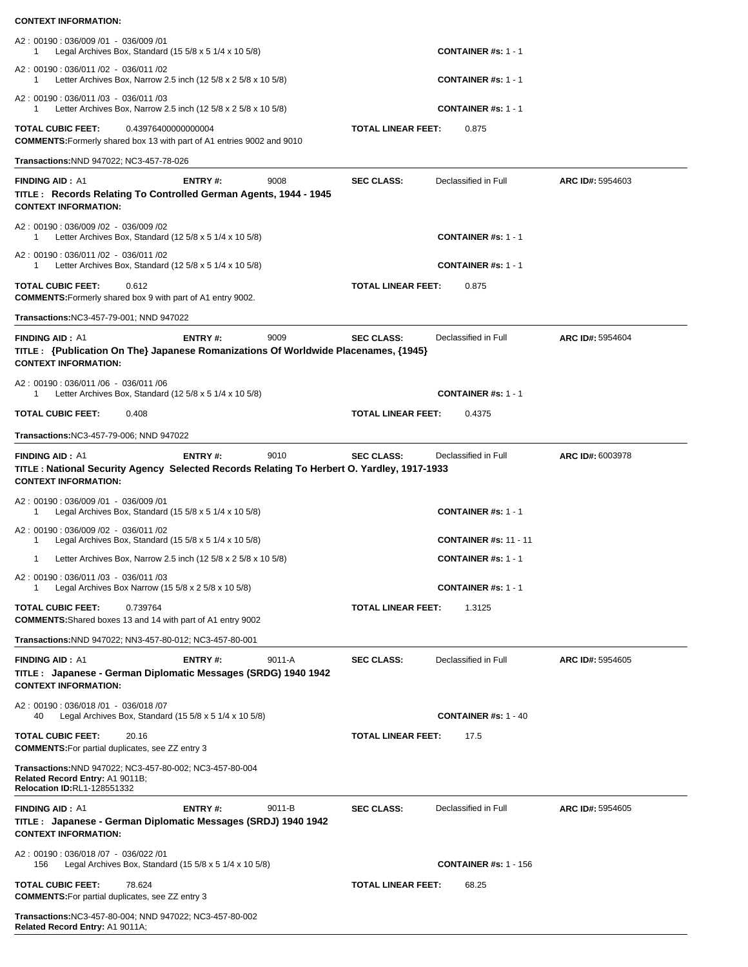| A2: 00190: 036/009 /01 - 036/009 /01<br>Legal Archives Box, Standard (15 $5/8 \times 5$ 1/4 $\times$ 10 $5/8$ )                                     |                |        |                                   | <b>CONTAINER #s: 1 - 1</b>   |                  |
|-----------------------------------------------------------------------------------------------------------------------------------------------------|----------------|--------|-----------------------------------|------------------------------|------------------|
| A2: 00190: 036/011 /02 - 036/011 /02<br>Letter Archives Box, Narrow 2.5 inch $(12 5/8 x 2 5/8 x 10 5/8)$<br>1                                       |                |        | <b>CONTAINER #s: 1 - 1</b>        |                              |                  |
| A2: 00190: 036/011 /03 - 036/011 /03<br>Letter Archives Box, Narrow 2.5 inch (12 5/8 x 2 5/8 x 10 5/8)<br>1                                         |                |        | <b>CONTAINER #s: 1 - 1</b>        |                              |                  |
| 0.43976400000000004<br><b>TOTAL CUBIC FEET:</b><br><b>COMMENTS:</b> Formerly shared box 13 with part of A1 entries 9002 and 9010                    |                |        | <b>TOTAL LINEAR FEET:</b>         | 0.875                        |                  |
| Transactions: NND 947022; NC3-457-78-026                                                                                                            |                |        |                                   |                              |                  |
| <b>FINDING AID: A1</b><br>TITLE: Records Relating To Controlled German Agents, 1944 - 1945<br><b>CONTEXT INFORMATION:</b>                           | ENTRY#:        | 9008   | <b>SEC CLASS:</b>                 | Declassified in Full         | ARC ID#: 5954603 |
| A2: 00190: 036/009 /02 - 036/009 /02<br>Letter Archives Box, Standard $(125/8 \times 51/4 \times 105/8)$<br>1                                       |                |        |                                   | <b>CONTAINER #s: 1 - 1</b>   |                  |
| A2: 00190: 036/011 /02 - 036/011 /02<br>Letter Archives Box, Standard (12 $5/8 \times 5$ 1/4 $\times$ 10 $5/8$ )<br>1                               |                |        |                                   | <b>CONTAINER #s: 1 - 1</b>   |                  |
| <b>TOTAL CUBIC FEET:</b><br>0.612<br><b>COMMENTS:</b> Formerly shared box 9 with part of A1 entry 9002.                                             |                |        | <b>TOTAL LINEAR FEET:</b>         | 0.875                        |                  |
| Transactions: NC3-457-79-001; NND 947022                                                                                                            |                |        |                                   |                              |                  |
| <b>FINDING AID: A1</b><br>TITLE : {Publication On The} Japanese Romanizations Of Worldwide Placenames, {1945}<br><b>CONTEXT INFORMATION:</b>        | <b>ENTRY#:</b> | 9009   | <b>SEC CLASS:</b>                 | Declassified in Full         | ARC ID#: 5954604 |
| A2: 00190: 036/011 /06 - 036/011 /06<br>Letter Archives Box, Standard (12 $5/8 \times 5$ 1/4 $\times$ 10 $5/8$ )<br>1                               |                |        |                                   | <b>CONTAINER #s: 1 - 1</b>   |                  |
| <b>TOTAL CUBIC FEET:</b><br>0.408                                                                                                                   |                |        | <b>TOTAL LINEAR FEET:</b>         | 0.4375                       |                  |
| Transactions: NC3-457-79-006; NND 947022                                                                                                            |                |        |                                   |                              |                  |
| <b>FINDING AID: A1</b><br>TITLE: National Security Agency Selected Records Relating To Herbert O. Yardley, 1917-1933<br><b>CONTEXT INFORMATION:</b> | ENTRY#:        | 9010   | <b>SEC CLASS:</b>                 | Declassified in Full         | ARC ID#: 6003978 |
| A2: 00190: 036/009 /01 - 036/009 /01<br>Legal Archives Box, Standard $(15\ 5/8 \times 5\ 1/4 \times 10\ 5/8)$<br>1                                  |                |        |                                   | <b>CONTAINER #s: 1 - 1</b>   |                  |
| A2: 00190: 036/009 /02 - 036/011 /02<br>Legal Archives Box, Standard $(15\ 5/8 \times 5\ 1/4 \times 10\ 5/8)$<br>1                                  |                |        |                                   | <b>CONTAINER #s: 11 - 11</b> |                  |
| Letter Archives Box, Narrow 2.5 inch (12 5/8 x 2 5/8 x 10 5/8)<br>1                                                                                 |                |        |                                   | <b>CONTAINER #s: 1 - 1</b>   |                  |
| A2: 00190: 036/011 /03 - 036/011 /03<br>Legal Archives Box Narrow (15 5/8 x 2 5/8 x 10 5/8)<br>1                                                    |                |        |                                   | <b>CONTAINER #s: 1 - 1</b>   |                  |
| <b>TOTAL CUBIC FEET:</b><br>0.739764<br><b>COMMENTS:</b> Shared boxes 13 and 14 with part of A1 entry 9002                                          |                |        | <b>TOTAL LINEAR FEET:</b>         | 1.3125                       |                  |
| Transactions: NND 947022; NN3-457-80-012; NC3-457-80-001                                                                                            |                |        |                                   |                              |                  |
| <b>FINDING AID: A1</b><br>TITLE : Japanese - German Diplomatic Messages (SRDG) 1940 1942<br><b>CONTEXT INFORMATION:</b>                             | <b>ENTRY#:</b> | 9011-A | <b>SEC CLASS:</b>                 | Declassified in Full         | ARC ID#: 5954605 |
| A2: 00190: 036/018 /01 - 036/018 /07<br>Legal Archives Box, Standard (15 5/8 x 5 1/4 x 10 5/8)<br>40                                                |                |        |                                   | <b>CONTAINER #s: 1 - 40</b>  |                  |
| <b>TOTAL CUBIC FEET:</b><br>20.16<br><b>COMMENTS:</b> For partial duplicates, see ZZ entry 3                                                        |                |        | <b>TOTAL LINEAR FEET:</b><br>17.5 |                              |                  |
| Transactions: NND 947022; NC3-457-80-002; NC3-457-80-004<br>Related Record Entry: A1 9011B;<br>Relocation ID:RL1-128551332                          |                |        |                                   |                              |                  |
| <b>FINDING AID: A1</b><br>TITLE : Japanese - German Diplomatic Messages (SRDJ) 1940 1942<br><b>CONTEXT INFORMATION:</b>                             | <b>ENTRY#:</b> | 9011-B | <b>SEC CLASS:</b>                 | Declassified in Full         | ARC ID#: 5954605 |
| A2: 00190: 036/018 /07 - 036/022 /01<br>Legal Archives Box, Standard $(15\ 5/8 \times 5\ 1/4 \times 10\ 5/8)$<br>156                                |                |        |                                   | <b>CONTAINER #s: 1 - 156</b> |                  |
| <b>TOTAL CUBIC FEET:</b><br>78.624<br><b>COMMENTS:</b> For partial duplicates, see ZZ entry 3                                                       |                |        | <b>TOTAL LINEAR FEET:</b>         | 68.25                        |                  |
| Transactions: NC3-457-80-004; NND 947022; NC3-457-80-002<br>Related Record Entry: A1 9011A;                                                         |                |        |                                   |                              |                  |

**CONTEXT INFORMATION:**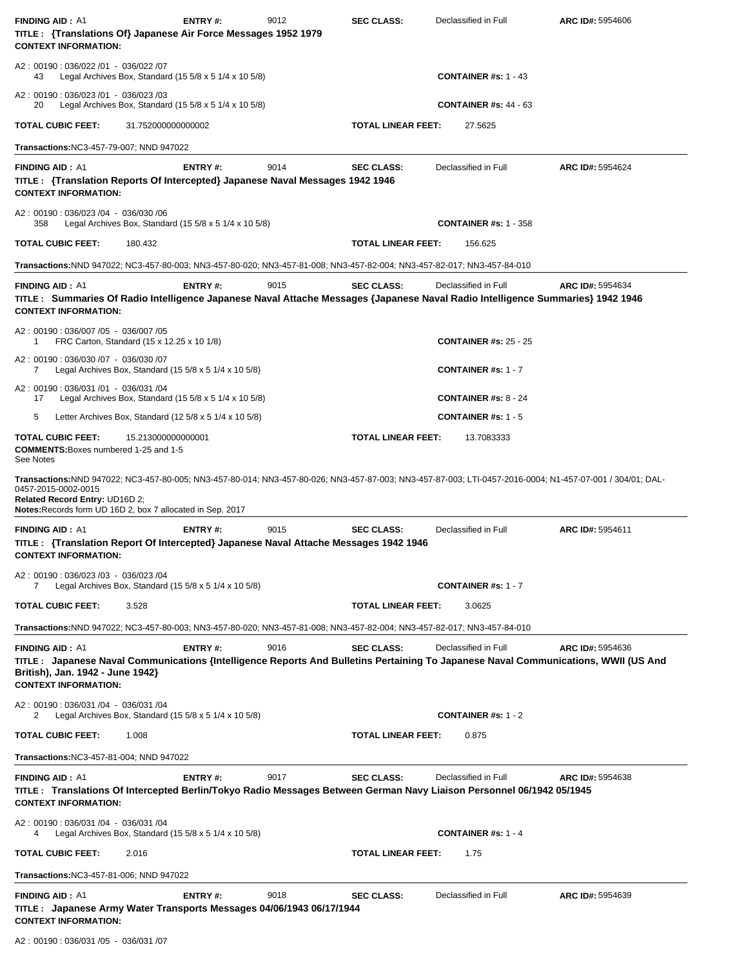| <b>FINDING AID: A1</b><br>TITLE : {Translations Of} Japanese Air Force Messages 1952 1979<br><b>CONTEXT INFORMATION:</b>                                                                                                                                                         | <b>ENTRY#:</b> | 9012 | <b>SEC CLASS:</b>         | Declassified in Full         | ARC ID#: 5954606 |
|----------------------------------------------------------------------------------------------------------------------------------------------------------------------------------------------------------------------------------------------------------------------------------|----------------|------|---------------------------|------------------------------|------------------|
| A2: 00190: 036/022 /01 - 036/022 /07<br>Legal Archives Box, Standard (15 $5/8 \times 5$ 1/4 $\times$ 10 $5/8$ )<br>43                                                                                                                                                            |                |      |                           | <b>CONTAINER #s: 1 - 43</b>  |                  |
| A2: 00190: 036/023 /01 - 036/023 /03<br>Legal Archives Box, Standard (15 5/8 x 5 1/4 x 10 5/8)<br>20                                                                                                                                                                             |                |      |                           | <b>CONTAINER #s: 44 - 63</b> |                  |
| 31.752000000000002<br><b>TOTAL CUBIC FEET:</b>                                                                                                                                                                                                                                   |                |      | <b>TOTAL LINEAR FEET:</b> | 27.5625                      |                  |
| Transactions: NC3-457-79-007; NND 947022                                                                                                                                                                                                                                         |                |      |                           |                              |                  |
| <b>FINDING AID: A1</b><br>TITLE : {Translation Reports Of Intercepted} Japanese Naval Messages 1942 1946<br><b>CONTEXT INFORMATION:</b>                                                                                                                                          | <b>ENTRY#:</b> | 9014 | <b>SEC CLASS:</b>         | Declassified in Full         | ARC ID#: 5954624 |
| A2: 00190: 036/023 /04 - 036/030 /06<br>Legal Archives Box, Standard $(15\ 5/8 \times 5\ 1/4 \times 10\ 5/8)$<br>358                                                                                                                                                             |                |      |                           | <b>CONTAINER #s: 1 - 358</b> |                  |
| <b>TOTAL CUBIC FEET:</b><br>180.432                                                                                                                                                                                                                                              |                |      | TOTAL LINEAR FEET:        | 156.625                      |                  |
| Transactions:NND 947022; NC3-457-80-003; NN3-457-80-020; NN3-457-81-008; NN3-457-82-004; NN3-457-82-017; NN3-457-84-010                                                                                                                                                          |                |      |                           |                              |                  |
| <b>FINDING AID: A1</b><br>TITLE: Summaries Of Radio Intelligence Japanese Naval Attache Messages {Japanese Naval Radio Intelligence Summaries} 1942 1946<br><b>CONTEXT INFORMATION:</b>                                                                                          | <b>ENTRY#:</b> | 9015 | <b>SEC CLASS:</b>         | Declassified in Full         | ARC ID#: 5954634 |
| A2: 00190: 036/007 /05 - 036/007 /05<br>FRC Carton, Standard (15 x 12.25 x 10 1/8)<br>1                                                                                                                                                                                          |                |      |                           | <b>CONTAINER #s: 25 - 25</b> |                  |
| A2: 00190: 036/030 /07 - 036/030 /07<br>Legal Archives Box, Standard (15 $5/8 \times 5$ 1/4 $\times$ 10 $5/8$ )<br>7                                                                                                                                                             |                |      |                           | <b>CONTAINER #s: 1 - 7</b>   |                  |
| A2: 00190: 036/031/01 - 036/031/04<br>Legal Archives Box, Standard (15 5/8 x 5 1/4 x 10 5/8)<br>17                                                                                                                                                                               |                |      |                           | <b>CONTAINER #s: 8 - 24</b>  |                  |
| 5<br>Letter Archives Box, Standard $(125/8 \times 51/4 \times 105/8)$                                                                                                                                                                                                            |                |      |                           | <b>CONTAINER #s: 1 - 5</b>   |                  |
| <b>TOTAL CUBIC FEET:</b><br>15.213000000000001<br><b>COMMENTS:</b> Boxes numbered 1-25 and 1-5<br>See Notes                                                                                                                                                                      |                |      | <b>TOTAL LINEAR FEET:</b> | 13.7083333                   |                  |
| Transactions:NND 947022; NC3-457-80-005; NN3-457-80-014; NN3-457-80-026; NN3-457-87-003; NN3-457-87-003; LTI-0457-2016-0004; N1-457-07-001 / 304/01; DAL-<br>0457-2015-0002-0015<br>Related Record Entry: UD16D 2;<br>Notes: Records form UD 16D 2, box 7 allocated in Sep. 2017 |                |      |                           |                              |                  |
| <b>FINDING AID: A1</b><br>TITLE : {Translation Report Of Intercepted} Japanese Naval Attache Messages 1942 1946<br><b>CONTEXT INFORMATION:</b>                                                                                                                                   | <b>ENTRY#:</b> | 9015 | <b>SEC CLASS:</b>         | Declassified in Full         | ARC ID#: 5954611 |
| A2: 00190: 036/023 /03 - 036/023 /04<br>Legal Archives Box, Standard $(15\ 5/8 \times 5\ 1/4 \times 10\ 5/8)$<br>7                                                                                                                                                               |                |      |                           | <b>CONTAINER #s: 1 - 7</b>   |                  |
| <b>TOTAL CUBIC FEET:</b><br>3.528                                                                                                                                                                                                                                                |                |      | TOTAL LINEAR FEET:        | 3.0625                       |                  |
| Transactions:NND 947022; NC3-457-80-003; NN3-457-80-020; NN3-457-81-008; NN3-457-82-004; NN3-457-82-017; NN3-457-84-010                                                                                                                                                          |                |      |                           |                              |                  |
| <b>FINDING AID: A1</b><br>TITLE: Japanese Naval Communications {Intelligence Reports And Bulletins Pertaining To Japanese Naval Communications, WWII (US And<br>British), Jan. 1942 - June 1942}<br><b>CONTEXT INFORMATION:</b>                                                  | ENTRY#:        | 9016 | <b>SEC CLASS:</b>         | Declassified in Full         | ARC ID#: 5954636 |
| A2: 00190: 036/031 /04 - 036/031 /04<br>Legal Archives Box, Standard (15 5/8 x 5 1/4 x 10 5/8)<br>2                                                                                                                                                                              |                |      |                           | <b>CONTAINER #s: 1 - 2</b>   |                  |
| <b>TOTAL CUBIC FEET:</b><br>1.008                                                                                                                                                                                                                                                |                |      | <b>TOTAL LINEAR FEET:</b> | 0.875                        |                  |
| Transactions: NC3-457-81-004; NND 947022                                                                                                                                                                                                                                         |                |      |                           |                              |                  |
| <b>FINDING AID: A1</b><br>TITLE: Translations Of Intercepted Berlin/Tokyo Radio Messages Between German Navy Liaison Personnel 06/1942 05/1945<br><b>CONTEXT INFORMATION:</b>                                                                                                    | ENTRY#:        | 9017 | <b>SEC CLASS:</b>         | Declassified in Full         | ARC ID#: 5954638 |
| A2: 00190: 036/031 /04 - 036/031 /04<br>Legal Archives Box, Standard (15 $5/8 \times 5$ 1/4 $\times$ 10 $5/8$ )<br>4                                                                                                                                                             |                |      |                           | <b>CONTAINER #s: 1 - 4</b>   |                  |
| <b>TOTAL CUBIC FEET:</b><br>2.016                                                                                                                                                                                                                                                |                |      | <b>TOTAL LINEAR FEET:</b> | 1.75                         |                  |
| <b>Transactions: NC3-457-81-006; NND 947022</b>                                                                                                                                                                                                                                  |                |      |                           |                              |                  |
| <b>FINDING AID: A1</b><br>TITLE : Japanese Army Water Transports Messages 04/06/1943 06/17/1944<br><b>CONTEXT INFORMATION:</b>                                                                                                                                                   | <b>ENTRY#:</b> | 9018 | <b>SEC CLASS:</b>         | Declassified in Full         | ARC ID#: 5954639 |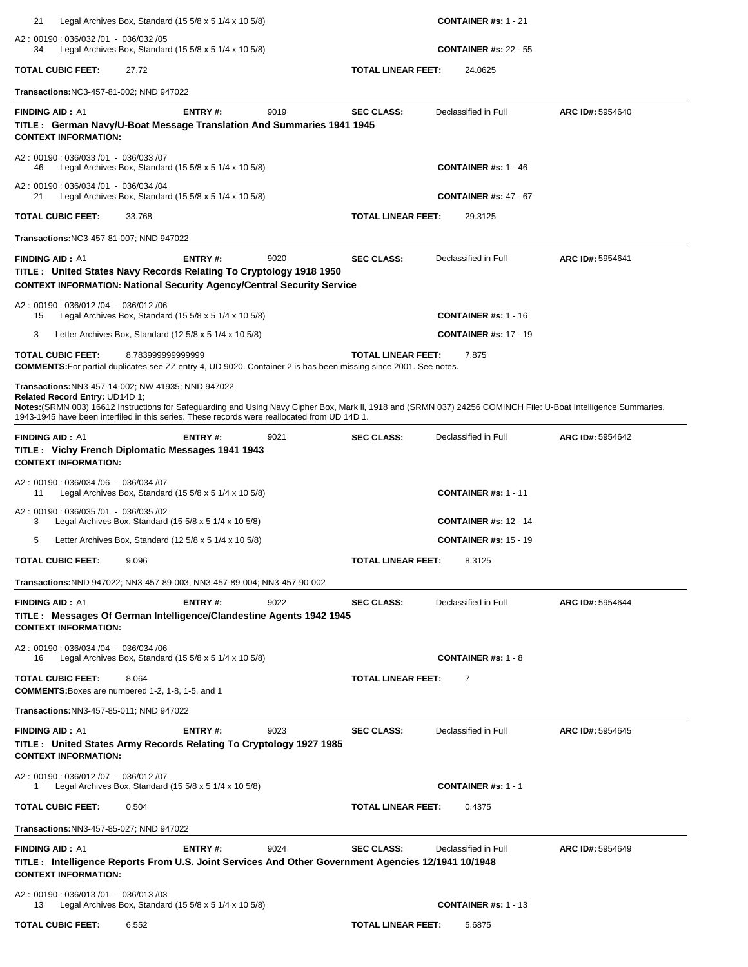| 21                                                                                                                                                                                                                                                                                                                                                       | Legal Archives Box, Standard (15 5/8 x 5 1/4 x 10 5/8)                   |      |                           | <b>CONTAINER</b> #s: $1 - 21$ |                  |
|----------------------------------------------------------------------------------------------------------------------------------------------------------------------------------------------------------------------------------------------------------------------------------------------------------------------------------------------------------|--------------------------------------------------------------------------|------|---------------------------|-------------------------------|------------------|
| A2: 00190: 036/032 /01 - 036/032 /05<br>34                                                                                                                                                                                                                                                                                                               | Legal Archives Box, Standard (15 $5/8 \times 5$ 1/4 $\times$ 10 $5/8$ )  |      |                           | <b>CONTAINER #s: 22 - 55</b>  |                  |
| TOTAL CUBIC FEET:<br>27.72                                                                                                                                                                                                                                                                                                                               |                                                                          |      | <b>TOTAL LINEAR FEET:</b> | 24.0625                       |                  |
| Transactions: NC3-457-81-002; NND 947022                                                                                                                                                                                                                                                                                                                 |                                                                          |      |                           |                               |                  |
| <b>FINDING AID: A1</b><br>TITLE: German Navy/U-Boat Message Translation And Summaries 1941 1945<br><b>CONTEXT INFORMATION:</b>                                                                                                                                                                                                                           | ENTRY#:                                                                  | 9019 | <b>SEC CLASS:</b>         | Declassified in Full          | ARC ID#: 5954640 |
| A2: 00190: 036/033 /01 - 036/033 /07<br>46                                                                                                                                                                                                                                                                                                               | Legal Archives Box, Standard $(15\,5/8 \times 5\,1/4 \times 10\,5/8)$    |      |                           | <b>CONTAINER #s: 1 - 46</b>   |                  |
| A2: 00190: 036/034 /01 - 036/034 /04<br>21                                                                                                                                                                                                                                                                                                               | Legal Archives Box, Standard $(15\ 5/8 \times 5\ 1/4 \times 10\ 5/8)$    |      |                           | <b>CONTAINER #s: 47 - 67</b>  |                  |
| TOTAL CUBIC FEET:<br>33.768                                                                                                                                                                                                                                                                                                                              |                                                                          |      | <b>TOTAL LINEAR FEET:</b> | 29.3125                       |                  |
| Transactions: NC3-457-81-007; NND 947022                                                                                                                                                                                                                                                                                                                 |                                                                          |      |                           |                               |                  |
| <b>FINDING AID: A1</b><br>TITLE: United States Navy Records Relating To Cryptology 1918 1950<br><b>CONTEXT INFORMATION: National Security Agency/Central Security Service</b>                                                                                                                                                                            | ENTRY#:                                                                  | 9020 | <b>SEC CLASS:</b>         | Declassified in Full          | ARC ID#: 5954641 |
| A2: 00190: 036/012 /04 - 036/012 /06<br>15                                                                                                                                                                                                                                                                                                               | Legal Archives Box, Standard (15 $5/8 \times 5$ 1/4 $\times$ 10 $5/8$ )  |      |                           | <b>CONTAINER #s: 1 - 16</b>   |                  |
| 3                                                                                                                                                                                                                                                                                                                                                        | Letter Archives Box, Standard $(125/8 \times 51/4 \times 105/8)$         |      |                           | <b>CONTAINER #s: 17 - 19</b>  |                  |
| TOTAL CUBIC FEET:<br>COMMENTS: For partial duplicates see ZZ entry 4, UD 9020. Container 2 is has been missing since 2001. See notes.                                                                                                                                                                                                                    | 8.783999999999999                                                        |      | <b>TOTAL LINEAR FEET:</b> | 7.875                         |                  |
| Transactions: NN3-457-14-002; NW 41935; NND 947022<br>Related Record Entry: UD14D 1;<br>Notes: (SRMN 003) 16612 Instructions for Safeguarding and Using Navy Cipher Box, Mark II, 1918 and (SRMN 037) 24256 COMINCH File: U-Boat Intelligence Summaries,<br>1943-1945 have been interfiled in this series. These records were reallocated from UD 14D 1. |                                                                          |      |                           |                               |                  |
| <b>FINDING AID: A1</b><br>TITLE : Vichy French Diplomatic Messages 1941 1943<br><b>CONTEXT INFORMATION:</b>                                                                                                                                                                                                                                              | ENTRY#:                                                                  | 9021 | <b>SEC CLASS:</b>         | Declassified in Full          | ARC ID#: 5954642 |
| A2: 00190: 036/034 /06 - 036/034 /07<br>11                                                                                                                                                                                                                                                                                                               | Legal Archives Box, Standard $(15\,5/8 \times 5\,1/4 \times 10\,5/8)$    |      |                           | <b>CONTAINER #s: 1 - 11</b>   |                  |
| A2: 00190: 036/035 /01 - 036/035 /02<br>3                                                                                                                                                                                                                                                                                                                | Legal Archives Box, Standard $(15\ 5/8 \times 5\ 1/4 \times 10\ 5/8)$    |      |                           | <b>CONTAINER #s: 12 - 14</b>  |                  |
| 5                                                                                                                                                                                                                                                                                                                                                        | Letter Archives Box, Standard (12 $5/8 \times 5$ 1/4 $\times$ 10 $5/8$ ) |      |                           | <b>CONTAINER #s: 15 - 19</b>  |                  |
| <b>TOTAL CUBIC FEET:</b><br>9.096                                                                                                                                                                                                                                                                                                                        |                                                                          |      | <b>TOTAL LINEAR FEET:</b> | 8.3125                        |                  |
| <b>Transactions:</b> NND 947022; NN3-457-89-003; NN3-457-89-004; NN3-457-90-002                                                                                                                                                                                                                                                                          |                                                                          |      |                           |                               |                  |
| <b>FINDING AID: A1</b><br>TITLE: Messages Of German Intelligence/Clandestine Agents 1942 1945<br><b>CONTEXT INFORMATION:</b>                                                                                                                                                                                                                             | ENTRY#:                                                                  | 9022 | <b>SEC CLASS:</b>         | Declassified in Full          | ARC ID#: 5954644 |
| A2: 00190: 036/034 /04 - 036/034 /06<br>16                                                                                                                                                                                                                                                                                                               | Legal Archives Box, Standard (15 $5/8 \times 5$ 1/4 $\times$ 10 $5/8$ )  |      |                           | CONTAINER #s: $1 - 8$         |                  |
| <b>TOTAL CUBIC FEET:</b><br>8.064<br><b>COMMENTS:</b> Boxes are numbered 1-2, 1-8, 1-5, and 1                                                                                                                                                                                                                                                            |                                                                          |      | <b>TOTAL LINEAR FEET:</b> | 7                             |                  |
| Transactions: NN3-457-85-011; NND 947022                                                                                                                                                                                                                                                                                                                 |                                                                          |      |                           |                               |                  |
| <b>FINDING AID: A1</b><br>TITLE: United States Army Records Relating To Cryptology 1927 1985<br><b>CONTEXT INFORMATION:</b>                                                                                                                                                                                                                              | <b>ENTRY#:</b>                                                           | 9023 | <b>SEC CLASS:</b>         | Declassified in Full          | ARC ID#: 5954645 |
| A2: 00190: 036/012 /07 - 036/012 /07<br>1                                                                                                                                                                                                                                                                                                                | Legal Archives Box, Standard (15 $5/8 \times 5$ 1/4 $\times$ 10 $5/8$ )  |      |                           | <b>CONTAINER #s: 1 - 1</b>    |                  |
| <b>TOTAL CUBIC FEET:</b><br>0.504                                                                                                                                                                                                                                                                                                                        |                                                                          |      | <b>TOTAL LINEAR FEET:</b> | 0.4375                        |                  |
| Transactions: NN3-457-85-027; NND 947022                                                                                                                                                                                                                                                                                                                 |                                                                          |      |                           |                               |                  |
| <b>FINDING AID: A1</b><br>TITLE : Intelligence Reports From U.S. Joint Services And Other Government Agencies 12/1941 10/1948<br><b>CONTEXT INFORMATION:</b>                                                                                                                                                                                             | ENTRY#:                                                                  | 9024 | <b>SEC CLASS:</b>         | Declassified in Full          | ARC ID#: 5954649 |
| A2: 00190: 036/013 /01 - 036/013 /03<br>13                                                                                                                                                                                                                                                                                                               | Legal Archives Box, Standard (15 $5/8 \times 5$ 1/4 $\times$ 10 $5/8$ )  |      |                           | <b>CONTAINER #s: 1 - 13</b>   |                  |
| TOTAL CUBIC FEET:<br>6.552                                                                                                                                                                                                                                                                                                                               |                                                                          |      | <b>TOTAL LINEAR FEET:</b> | 5.6875                        |                  |
|                                                                                                                                                                                                                                                                                                                                                          |                                                                          |      |                           |                               |                  |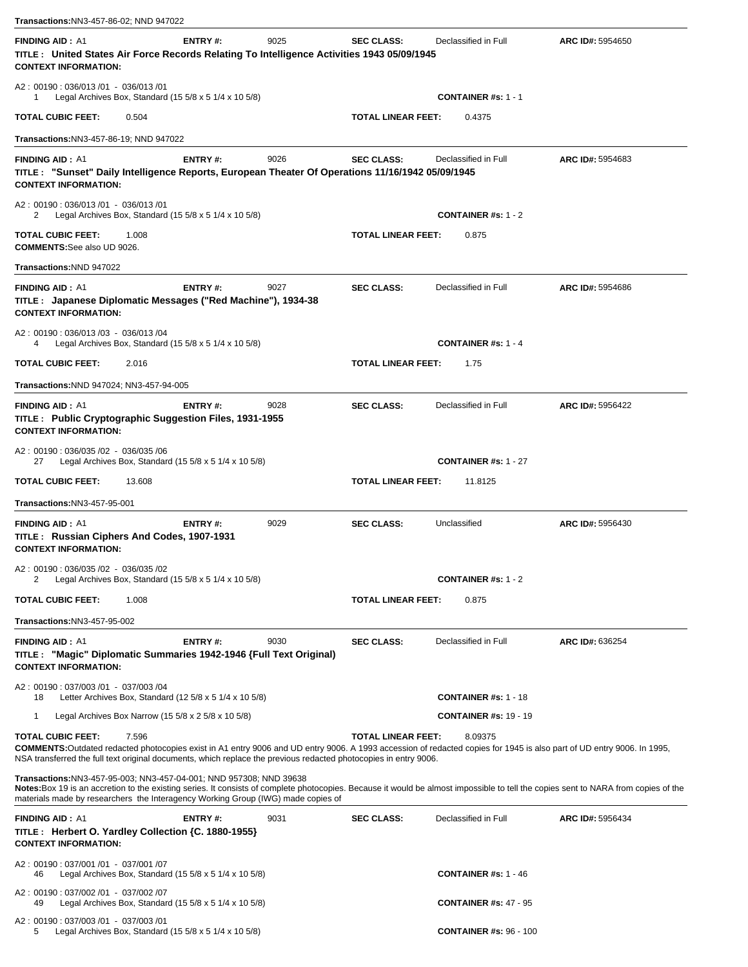| Transactions:NN3-457-86-02; NND 947022                                                                                                                                                                                                                                                                                                       |                |      |                           |                               |                  |
|----------------------------------------------------------------------------------------------------------------------------------------------------------------------------------------------------------------------------------------------------------------------------------------------------------------------------------------------|----------------|------|---------------------------|-------------------------------|------------------|
| <b>FINDING AID: A1</b><br>TITLE: United States Air Force Records Relating To Intelligence Activities 1943 05/09/1945<br><b>CONTEXT INFORMATION:</b>                                                                                                                                                                                          | <b>ENTRY#:</b> | 9025 | <b>SEC CLASS:</b>         | Declassified in Full          | ARC ID#: 5954650 |
| A2: 00190: 036/013/01 - 036/013/01<br>Legal Archives Box, Standard (15 $5/8 \times 5$ 1/4 $\times$ 10 $5/8$ )<br>1                                                                                                                                                                                                                           |                |      |                           | <b>CONTAINER #s: 1 - 1</b>    |                  |
| <b>TOTAL CUBIC FEET:</b><br>0.504                                                                                                                                                                                                                                                                                                            |                |      | TOTAL LINEAR FEET:        | 0.4375                        |                  |
| Transactions: NN3-457-86-19; NND 947022                                                                                                                                                                                                                                                                                                      |                |      |                           |                               |                  |
| <b>FINDING AID: A1</b><br>TITLE : "Sunset" Daily Intelligence Reports, European Theater Of Operations 11/16/1942 05/09/1945<br><b>CONTEXT INFORMATION:</b>                                                                                                                                                                                   | <b>ENTRY#:</b> | 9026 | <b>SEC CLASS:</b>         | Declassified in Full          | ARC ID#: 5954683 |
| A2: 00190: 036/013/01 - 036/013/01<br>Legal Archives Box, Standard (15 $5/8 \times 5$ 1/4 $\times$ 10 $5/8$ )<br>2                                                                                                                                                                                                                           |                |      |                           | <b>CONTAINER #s: 1 - 2</b>    |                  |
| TOTAL CUBIC FEET:<br>1.008<br><b>COMMENTS:</b> See also UD 9026.                                                                                                                                                                                                                                                                             |                |      | <b>TOTAL LINEAR FEET:</b> | 0.875                         |                  |
| Transactions:NND 947022                                                                                                                                                                                                                                                                                                                      |                |      |                           |                               |                  |
| <b>FINDING AID: A1</b><br>TITLE : Japanese Diplomatic Messages ("Red Machine"), 1934-38<br><b>CONTEXT INFORMATION:</b>                                                                                                                                                                                                                       | <b>ENTRY#:</b> | 9027 | <b>SEC CLASS:</b>         | Declassified in Full          | ARC ID#: 5954686 |
| A2: 00190: 036/013 /03 - 036/013 /04<br>Legal Archives Box, Standard (15 5/8 x 5 1/4 x 10 5/8)<br>4                                                                                                                                                                                                                                          |                |      |                           | <b>CONTAINER #s: 1 - 4</b>    |                  |
| TOTAL CUBIC FEET:<br>2.016                                                                                                                                                                                                                                                                                                                   |                |      | <b>TOTAL LINEAR FEET:</b> | 1.75                          |                  |
| Transactions: NND 947024; NN3-457-94-005                                                                                                                                                                                                                                                                                                     |                |      |                           |                               |                  |
| <b>FINDING AID: A1</b><br>TITLE : Public Cryptographic Suggestion Files, 1931-1955<br><b>CONTEXT INFORMATION:</b>                                                                                                                                                                                                                            | <b>ENTRY#:</b> | 9028 | <b>SEC CLASS:</b>         | Declassified in Full          | ARC ID#: 5956422 |
| A2: 00190: 036/035 /02 - 036/035 /06<br>Legal Archives Box, Standard $(15\ 5/8 \times 5\ 1/4 \times 10\ 5/8)$<br>27                                                                                                                                                                                                                          |                |      |                           | <b>CONTAINER #s: 1 - 27</b>   |                  |
| <b>TOTAL CUBIC FEET:</b><br>13.608                                                                                                                                                                                                                                                                                                           |                |      | TOTAL LINEAR FEET:        | 11.8125                       |                  |
| Transactions:NN3-457-95-001                                                                                                                                                                                                                                                                                                                  |                |      |                           |                               |                  |
| <b>FINDING AID: A1</b><br>TITLE: Russian Ciphers And Codes, 1907-1931<br><b>CONTEXT INFORMATION:</b>                                                                                                                                                                                                                                         | ENTRY#:        | 9029 | <b>SEC CLASS:</b>         | Unclassified                  | ARC ID#: 5956430 |
| A2: 00190: 036/035 /02 - 036/035 /02<br>Legal Archives Box, Standard (15 $5/8 \times 5$ 1/4 $\times$ 10 $5/8$ )<br>2                                                                                                                                                                                                                         |                |      |                           | <b>CONTAINER #s: 1 - 2</b>    |                  |
| <b>TOTAL CUBIC FEET:</b><br>1.008                                                                                                                                                                                                                                                                                                            |                |      | <b>TOTAL LINEAR FEET:</b> | 0.875                         |                  |
| Transactions:NN3-457-95-002                                                                                                                                                                                                                                                                                                                  |                |      |                           |                               |                  |
| <b>FINDING AID: A1</b><br>TITLE : "Magic" Diplomatic Summaries 1942-1946 {Full Text Original)<br><b>CONTEXT INFORMATION:</b>                                                                                                                                                                                                                 | <b>ENTRY#:</b> | 9030 | <b>SEC CLASS:</b>         | Declassified in Full          | ARC ID#: 636254  |
| A2: 00190: 037/003/01 - 037/003/04<br>Letter Archives Box, Standard $(125/8 \times 51/4 \times 105/8)$<br>18                                                                                                                                                                                                                                 |                |      |                           | <b>CONTAINER #s: 1 - 18</b>   |                  |
| 1<br>Legal Archives Box Narrow (15 $5/8 \times 2$ 5/8 $\times$ 10 5/8)                                                                                                                                                                                                                                                                       |                |      |                           | <b>CONTAINER #s: 19 - 19</b>  |                  |
| <b>TOTAL CUBIC FEET:</b><br>7.596<br><b>COMMENTS:</b> Outdated redacted photocopies exist in A1 entry 9006 and UD entry 9006. A 1993 accession of redacted copies for 1945 is also part of UD entry 9006. In 1995,<br>NSA transferred the full text original documents, which replace the previous redacted photocopies in entry 9006.       |                |      | <b>TOTAL LINEAR FEET:</b> | 8.09375                       |                  |
| Transactions:NN3-457-95-003; NN3-457-04-001; NND 957308; NND 39638<br>Notes:Box 19 is an accretion to the existing series. It consists of complete photocopies. Because it would be almost impossible to tell the copies sent to NARA from copies of the<br>materials made by researchers the Interagency Working Group (IWG) made copies of |                |      |                           |                               |                  |
| <b>FINDING AID: A1</b><br>TITLE : Herbert O. Yardley Collection {C. 1880-1955}<br><b>CONTEXT INFORMATION:</b>                                                                                                                                                                                                                                | ENTRY#:        | 9031 | <b>SEC CLASS:</b>         | Declassified in Full          | ARC ID#: 5956434 |
| A2: 00190: 037/001 /01 - 037/001 /07<br>Legal Archives Box, Standard $(15\ 5/8 \times 5\ 1/4 \times 10\ 5/8)$<br>46                                                                                                                                                                                                                          |                |      |                           | <b>CONTAINER #s: 1 - 46</b>   |                  |
| A2: 00190: 037/002 /01 - 037/002 /07<br>Legal Archives Box, Standard (15 5/8 x 5 1/4 x 10 5/8)<br>49                                                                                                                                                                                                                                         |                |      |                           | <b>CONTAINER #s: 47 - 95</b>  |                  |
| A2: 00190: 037/003 /01 - 037/003 /01<br>Legal Archives Box, Standard (15 $5/8 \times 5$ 1/4 $\times$ 10 $5/8$ )<br>5                                                                                                                                                                                                                         |                |      |                           | <b>CONTAINER #s: 96 - 100</b> |                  |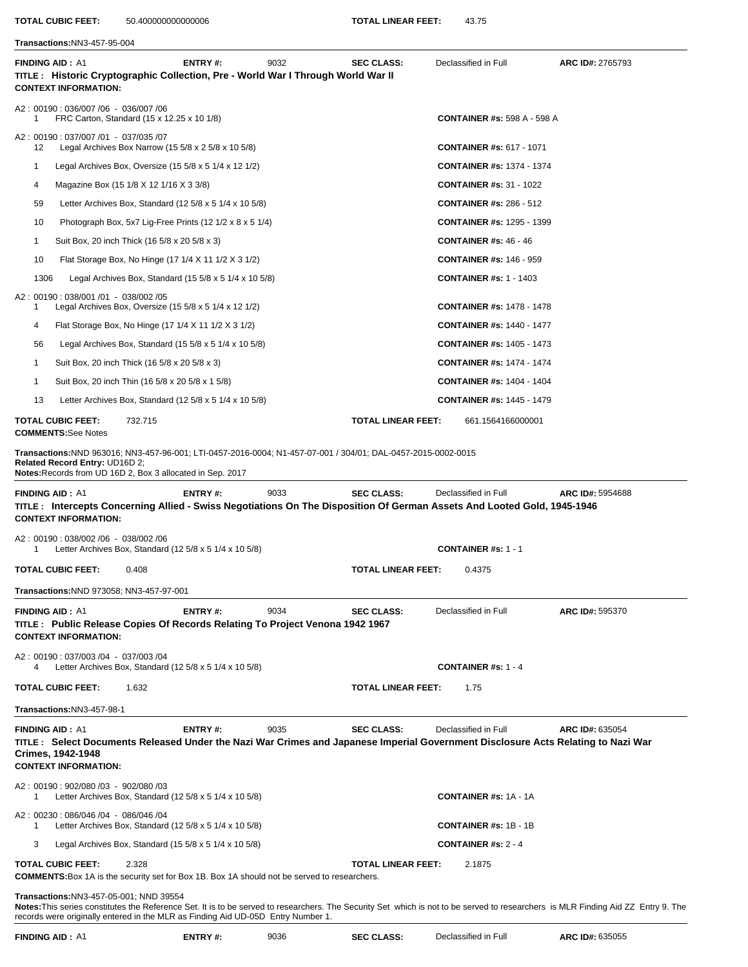**TOTAL CUBIC FEET:** 50.400000000000006 **TOTAL LINEAR FEET:** 43.75

**Transactions:**NN3-457-95-004**FINDING AID :** A1 **ENTRY #:** 9032 **SEC CLASS:** Declassified in Full **ARC ID#:** 2765793 **TITLE : Historic Cryptographic Collection, Pre - World War I Through World War II CONTEXT INFORMATION:**  A2 : 00190 : 036/007 /06 - 036/007 /06 1 FRC Carton, Standard (15 x 12.25 x 10 1/8) **CONTAINER #s:** 598 A - 598 A A2 : 00190 : 037/007 /01 - 037/035 /07 12 Legal Archives Box Narrow (15 5/8 x 2 5/8 x 10 5/8) **CONTAINER #s:** 617 - 1071 1 Legal Archives Box, Oversize (15 5/8 x 5 1/4 x 12 1/2) **CONTAINER #s:** 1374 - 1374 4 Magazine Box (15 1/8 X 12 1/16 X 3 3/8) **CONTAINER #s:** 31 - 1022 59 Letter Archives Box, Standard (12 5/8 x 5 1/4 x 10 5/8) **CONTAINER #s:** 286 - 512 10 Photograph Box, 5x7 Lig-Free Prints (12 1/2 x 8 x 5 1/4) **CONTAINER #s:** 1295 - 1399 1 Suit Box, 20 inch Thick (16 5/8 x 20 5/8 x 3) **CONTAINER #s:** 46 - 46 10 Flat Storage Box, No Hinge (17 1/4 X 11 1/2 X 3 1/2) **CONTAINER #s:** 146 - 959 1306 Legal Archives Box, Standard (15 5/8 x 5 1/4 x 10 5/8) **CONTAINER #s:** 1 - 1403 A2 : 00190 : 038/001 /01 - 038/002 /05 1 Legal Archives Box, Oversize (15 5/8 x 5 1/4 x 12 1/2) **CONTAINER #s:** 1478 - 1478 4 Flat Storage Box, No Hinge (17 1/4 X 11 1/2 X 3 1/2) **CONTAINER #s:** 1440 - 1477 56 Legal Archives Box, Standard (15 5/8 x 5 1/4 x 10 5/8) **CONTAINER #s:** 1405 - 1473 1 Suit Box, 20 inch Thick (16 5/8 x 20 5/8 x 3) **CONTAINER #s:** 1474 - 1474 1 Suit Box, 20 inch Thin (16 5/8 x 20 5/8 x 1 5/8) **CONTAINER #s:** 1404 - 1404 13 Letter Archives Box, Standard (12 5/8 x 5 1/4 x 10 5/8) **CONTAINER #s:** 1445 - 1479 **TOTAL CUBIC FEET:** 732.715 **TOTAL LINEAR FEET:** 661.1564166000001 **COMMENTS:**See Notes **Transactions:**NND 963016; NN3-457-96-001; LTI-0457-2016-0004; N1-457-07-001 / 304/01; DAL-0457-2015-0002-0015 **Related Record Entry:** UD16D 2; **Notes:**Records from UD 16D 2, Box 3 allocated in Sep. 2017**FINDING AID :** A1 **ENTRY #:** 9033 **SEC CLASS:** Declassified in Full **ARC ID#:** 5954688 **TITLE : Intercepts Concerning Allied - Swiss Negotiations On The Disposition Of German Assets And Looted Gold, 1945-1946 CONTEXT INFORMATION:**  A2 : 00190 : 038/002 /06 - 038/002 /06 1 Letter Archives Box, Standard (12 5/8 x 5 1/4 x 10 5/8) **CONTAINER #s:** 1 - 1 **TOTAL CUBIC FEET:** 0.408 **TOTAL LINEAR FEET:** 0.4375 **Transactions:**NND 973058; NN3-457-97-001**FINDING AID :** A1 **ENTRY #:** 9034 **SEC CLASS:** Declassified in Full **ARC ID#:** 595370 **TITLE : Public Release Copies Of Records Relating To Project Venona 1942 1967 CONTEXT INFORMATION:**  A2 : 00190 : 037/003 /04 - 037/003 /04 4 Letter Archives Box, Standard (12 5/8 x 5 1/4 x 10 5/8) **CONTAINER #s:** 1 - 4 **TOTAL CUBIC FEET:** 1.632 **TOTAL LINEAR FEET:** 1.75 **Transactions:**NN3-457-98-1**FINDING AID :** A1 **ENTRY #:** 9035 **SEC CLASS:** Declassified in Full **ARC ID#:** 635054 **TITLE : Select Documents Released Under the Nazi War Crimes and Japanese Imperial Government Disclosure Acts Relating to Nazi War Crimes, 1942-1948 CONTEXT INFORMATION:**  A2 : 00190 : 902/080 /03 - 902/080 /03 1 Letter Archives Box, Standard (12 5/8 x 5 1/4 x 10 5/8) **CONTAINER #s:** 1A - 1A A2 : 00230 : 086/046 /04 - 086/046 /04 1 Letter Archives Box, Standard (12 5/8 x 5 1/4 x 10 5/8) **CONTAINER #s:** 1B - 1B 3 Legal Archives Box, Standard (15 5/8 x 5 1/4 x 10 5/8) **CONTAINER #s:** 2 - 4 **TOTAL CUBIC FEET:** 2.328 **TOTAL LINEAR FEET:** 2.1875 **COMMENTS:**Box 1A is the security set for Box 1B. Box 1A should not be served to researchers. **Transactions:**NN3-457-05-001; NND 39554 **Notes:**This series constitutes the Reference Set. It is to be served to researchers. The Security Set which is not to be served to researchers is MLR Finding Aid ZZ Entry 9. The records were originally entered in the MLR as Finding Aid UD-05D Entry Number 1.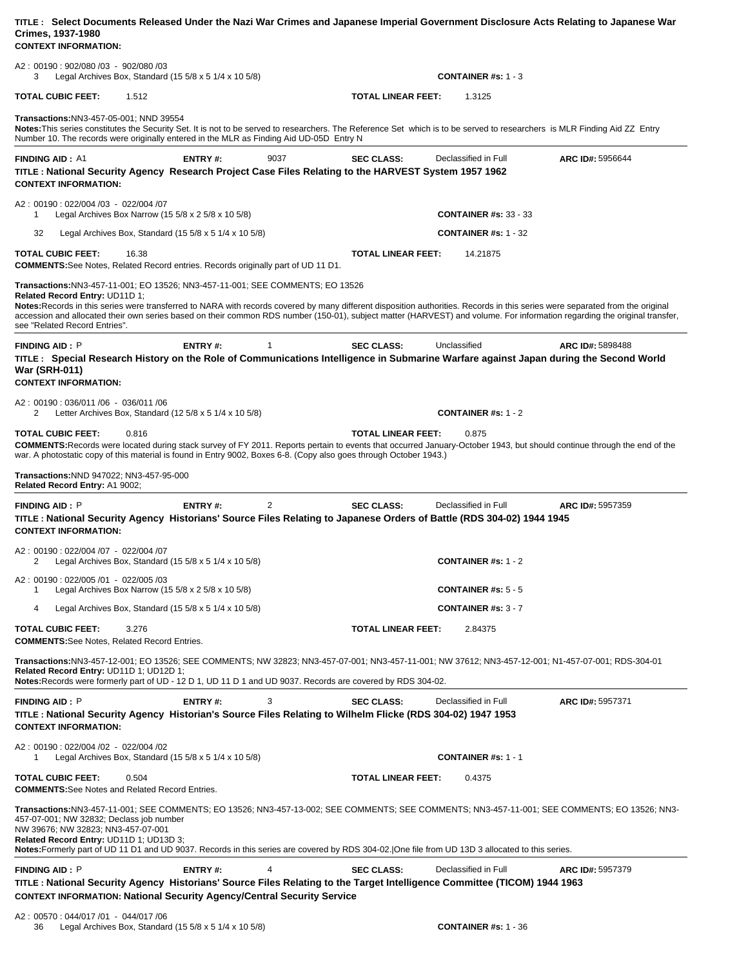| TITLE: Select Documents Released Under the Nazi War Crimes and Japanese Imperial Government Disclosure Acts Relating to Japanese War<br>Crimes, 1937-1980<br><b>CONTEXT INFORMATION:</b>                                                                                                                                                                                                                                                                                                                       |                                                               |
|----------------------------------------------------------------------------------------------------------------------------------------------------------------------------------------------------------------------------------------------------------------------------------------------------------------------------------------------------------------------------------------------------------------------------------------------------------------------------------------------------------------|---------------------------------------------------------------|
| A2: 00190: 902/080 /03 - 902/080 /03<br>Legal Archives Box, Standard (15 $5/8 \times 5$ 1/4 $\times$ 10 $5/8$ )<br>3                                                                                                                                                                                                                                                                                                                                                                                           | <b>CONTAINER</b> #s: $1 - 3$                                  |
| <b>TOTAL CUBIC FEET:</b><br>1.512                                                                                                                                                                                                                                                                                                                                                                                                                                                                              | <b>TOTAL LINEAR FEET:</b><br>1.3125                           |
| Transactions: NN3-457-05-001; NND 39554<br>Notes: This series constitutes the Security Set. It is not to be served to researchers. The Reference Set which is to be served to researchers is MLR Finding Aid ZZ Entry<br>Number 10. The records were originally entered in the MLR as Finding Aid UD-05D Entry N                                                                                                                                                                                               |                                                               |
| <b>FINDING AID: A1</b><br>ENTRY#:<br>9037<br>TITLE: National Security Agency Research Project Case Files Relating to the HARVEST System 1957 1962<br><b>CONTEXT INFORMATION:</b>                                                                                                                                                                                                                                                                                                                               | Declassified in Full<br><b>SEC CLASS:</b><br>ARC ID#: 5956644 |
| A2: 00190: 022/004 /03 - 022/004 /07<br>Legal Archives Box Narrow (15 $5/8 \times 2$ 5/8 $\times$ 10 5/8)<br>1                                                                                                                                                                                                                                                                                                                                                                                                 | <b>CONTAINER #s: 33 - 33</b>                                  |
| 32<br>Legal Archives Box, Standard $(15\ 5/8 \times 5\ 1/4 \times 10\ 5/8)$                                                                                                                                                                                                                                                                                                                                                                                                                                    | <b>CONTAINER #s: 1 - 32</b>                                   |
| <b>TOTAL CUBIC FEET:</b><br>16.38<br><b>COMMENTS:</b> See Notes, Related Record entries. Records originally part of UD 11 D1.                                                                                                                                                                                                                                                                                                                                                                                  | <b>TOTAL LINEAR FEET:</b><br>14.21875                         |
| Transactions:NN3-457-11-001; EO 13526; NN3-457-11-001; SEE COMMENTS; EO 13526<br>Related Record Entry: UD11D 1;<br>Notes:Records in this series were transferred to NARA with records covered by many different disposition authorities. Records in this series were separated from the original<br>accession and allocated their own series based on their common RDS number (150-01), subject matter (HARVEST) and volume. For information regarding the original transfer,<br>see "Related Record Entries". |                                                               |
| ENTRY#:<br><b>FINDING AID: P</b><br>1<br>TITLE: Special Research History on the Role of Communications Intelligence in Submarine Warfare against Japan during the Second World<br><b>War (SRH-011)</b><br><b>CONTEXT INFORMATION:</b>                                                                                                                                                                                                                                                                          | <b>SEC CLASS:</b><br>Unclassified<br>ARC ID#: 5898488         |
| A2: 00190: 036/011 /06 - 036/011 /06<br>Letter Archives Box, Standard (12 $5/8 \times 5$ 1/4 $\times$ 10 $5/8$ )<br>2                                                                                                                                                                                                                                                                                                                                                                                          | <b>CONTAINER #s: 1 - 2</b>                                    |
| <b>TOTAL CUBIC FEET:</b><br>0.816<br><b>COMMENTS:</b> Records were located during stack survey of FY 2011. Reports pertain to events that occurred January-October 1943, but should continue through the end of the<br>war. A photostatic copy of this material is found in Entry 9002, Boxes 6-8. (Copy also goes through October 1943.)                                                                                                                                                                      | <b>TOTAL LINEAR FEET:</b><br>0.875                            |
| Transactions: NND 947022; NN3-457-95-000<br>Related Record Entry: A1 9002;                                                                                                                                                                                                                                                                                                                                                                                                                                     |                                                               |
| ENTRY#:<br>2<br><b>FINDING AID: P</b><br>TITLE: National Security Agency Historians' Source Files Relating to Japanese Orders of Battle (RDS 304-02) 1944 1945<br><b>CONTEXT INFORMATION:</b>                                                                                                                                                                                                                                                                                                                  | <b>SEC CLASS:</b><br>Declassified in Full<br>ARC ID#: 5957359 |
| A2: 00190: 022/004 /07 - 022/004 /07<br>2<br>Legal Archives Box, Standard (15 $5/8 \times 5$ 1/4 $\times$ 10 $5/8$ )                                                                                                                                                                                                                                                                                                                                                                                           | CONTAINER #s: $1 - 2$                                         |
| A2: 00190: 022/005 /01 - 022/005 /03<br>Legal Archives Box Narrow (15 $5/8 \times 2$ 5/8 $\times$ 10 5/8)<br>1                                                                                                                                                                                                                                                                                                                                                                                                 | <b>CONTAINER #s: 5 - 5</b>                                    |
| Legal Archives Box, Standard (15 5/8 x 5 1/4 x 10 5/8)<br>4                                                                                                                                                                                                                                                                                                                                                                                                                                                    | <b>CONTAINER #s: 3 - 7</b>                                    |
| <b>TOTAL CUBIC FEET:</b><br>3.276<br><b>COMMENTS:</b> See Notes, Related Record Entries.                                                                                                                                                                                                                                                                                                                                                                                                                       | <b>TOTAL LINEAR FEET:</b><br>2.84375                          |
| Transactions:NN3-457-12-001; EO 13526; SEE COMMENTS; NW 32823; NN3-457-07-001; NN3-457-11-001; NW 37612; NN3-457-12-001; N1-457-07-001; RDS-304-01<br>Related Record Entry: UD11D 1; UD12D 1;<br>Notes: Records were formerly part of UD - 12 D 1, UD 11 D 1 and UD 9037. Records are covered by RDS 304-02.                                                                                                                                                                                                   |                                                               |
| <b>FINDING AID: P</b><br>ENTRY#:<br>3<br>TITLE : National Security Agency Historian's Source Files Relating to Wilhelm Flicke (RDS 304-02) 1947 1953<br><b>CONTEXT INFORMATION:</b>                                                                                                                                                                                                                                                                                                                            | <b>SEC CLASS:</b><br>Declassified in Full<br>ARC ID#: 5957371 |
| A2: 00190: 022/004 /02 - 022/004 /02<br>Legal Archives Box, Standard $(15\ 5/8 \times 5\ 1/4 \times 10\ 5/8)$<br>1                                                                                                                                                                                                                                                                                                                                                                                             | <b>CONTAINER #s: 1 - 1</b>                                    |
| <b>TOTAL CUBIC FEET:</b><br>0.504<br><b>COMMENTS:</b> See Notes and Related Record Entries.                                                                                                                                                                                                                                                                                                                                                                                                                    | <b>TOTAL LINEAR FEET:</b><br>0.4375                           |
| Transactions:NN3-457-11-001; SEE COMMENTS; EO 13526; NN3-457-13-002; SEE COMMENTS; SEE COMMENTS; NN3-457-11-001; SEE COMMENTS; EO 13526; NN3-<br>457-07-001; NW 32832; Declass job number<br>NW 39676; NW 32823; NN3-457-07-001<br>Related Record Entry: UD11D 1; UD13D 3;<br>Notes: Formerly part of UD 11 D1 and UD 9037. Records in this series are covered by RDS 304-02. One file from UD 13D 3 allocated to this series.                                                                                 |                                                               |
| <b>FINDING AID: P</b><br>ENTRY#:<br>4<br>TITLE : National Security Agency Historians' Source Files Relating to the Target Intelligence Committee (TICOM) 1944 1963<br><b>CONTEXT INFORMATION: National Security Agency/Central Security Service</b>                                                                                                                                                                                                                                                            | <b>SEC CLASS:</b><br>Declassified in Full<br>ARC ID#: 5957379 |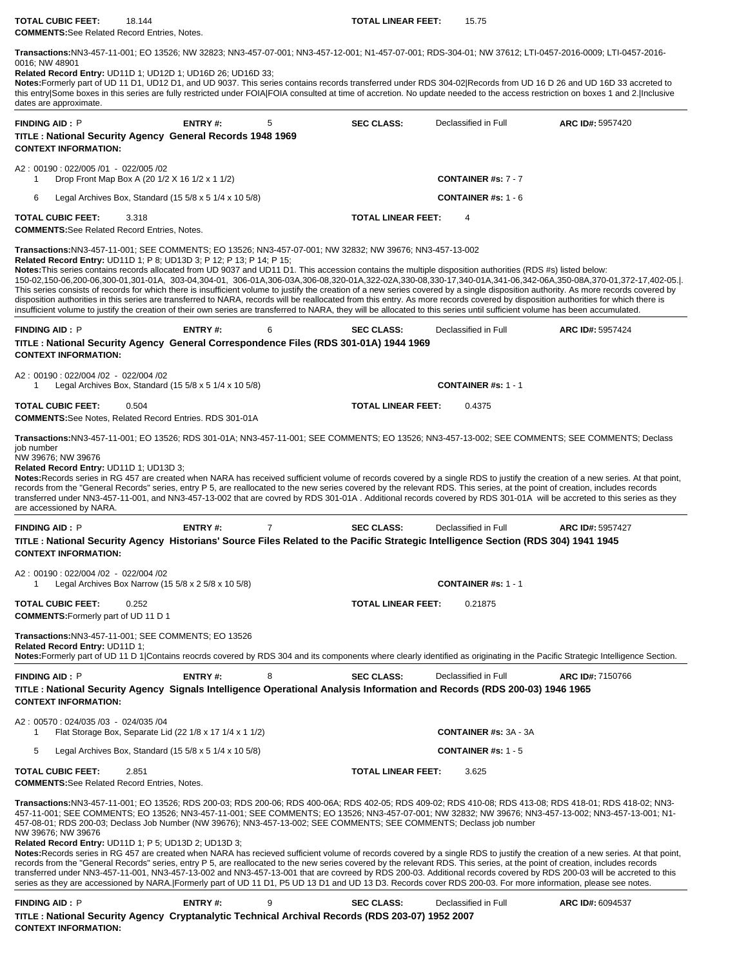**TOTAL CUBIC FEET:** 18.144 **TOTAL LINEAR FEET:** 15.75 **COMMENTS:**See Related Record Entries, Notes.

**Transactions:**NN3-457-11-001; EO 13526; NW 32823; NN3-457-07-001; NN3-457-12-001; N1-457-07-001; RDS-304-01; NW 37612; LTI-0457-2016-0009; LTI-0457-2016- 0016; NW 48901

**Related Record Entry:** UD11D 1; UD12D 1; UD16D 26; UD16D 33;

**Notes:**Formerly part of UD 11 D1, UD12 D1, and UD 9037. This series contains records transferred under RDS 304-02|Records from UD 16 D 26 and UD 16D 33 accreted to this entry|Some boxes in this series are fully restricted under FOIA|FOIA consulted at time of accretion. No update needed to the access restriction on boxes 1 and 2.|Inclusive dates are approximate.

| <b>FINDING AID: P</b><br>TITLE: National Security Agency General Records 1948 1969<br><b>CONTEXT INFORMATION:</b>                                                                                                                                                                                                                                                                                                                                                                                                                                                                                                                                                                                                                                                                                                                                                                                                                                                                                                                                                                                                                                                                                                                     | ENTRY#: | 5              | <b>SEC CLASS:</b>         | Declassified in Full         | ARC ID#: 5957420        |
|---------------------------------------------------------------------------------------------------------------------------------------------------------------------------------------------------------------------------------------------------------------------------------------------------------------------------------------------------------------------------------------------------------------------------------------------------------------------------------------------------------------------------------------------------------------------------------------------------------------------------------------------------------------------------------------------------------------------------------------------------------------------------------------------------------------------------------------------------------------------------------------------------------------------------------------------------------------------------------------------------------------------------------------------------------------------------------------------------------------------------------------------------------------------------------------------------------------------------------------|---------|----------------|---------------------------|------------------------------|-------------------------|
| A2: 00190: 022/005 /01 - 022/005 /02<br>Drop Front Map Box A (20 1/2 X 16 1/2 x 1 1/2)<br>1                                                                                                                                                                                                                                                                                                                                                                                                                                                                                                                                                                                                                                                                                                                                                                                                                                                                                                                                                                                                                                                                                                                                           |         |                |                           | CONTAINER #s: 7 - 7          |                         |
| 6<br>Legal Archives Box, Standard $(15\,5/8 \times 5\,1/4 \times 10\,5/8)$                                                                                                                                                                                                                                                                                                                                                                                                                                                                                                                                                                                                                                                                                                                                                                                                                                                                                                                                                                                                                                                                                                                                                            |         |                |                           | <b>CONTAINER #s: 1 - 6</b>   |                         |
| <b>TOTAL CUBIC FEET:</b><br>3.318<br><b>COMMENTS:</b> See Related Record Entries, Notes.                                                                                                                                                                                                                                                                                                                                                                                                                                                                                                                                                                                                                                                                                                                                                                                                                                                                                                                                                                                                                                                                                                                                              |         |                | <b>TOTAL LINEAR FEET:</b> | 4                            |                         |
| Transactions:NN3-457-11-001; SEE COMMENTS; EO 13526; NN3-457-07-001; NW 32832; NW 39676; NN3-457-13-002<br><b>Related Record Entry: UD11D 1; P 8; UD13D 3; P 12; P 13; P 14; P 15;</b><br>Notes: This series contains records allocated from UD 9037 and UD11 D1. This accession contains the multiple disposition authorities (RDS #s) listed below:<br>150-02,150-06,200-06,300-01,301-01A, 303-04,304-01, 306-01A,306-03A,306-08,320-01A,322-02A,330-08,330-17,340-01A,341-06,342-06A,350-08A,370-01,372-17,402-05.<br>This series consists of records for which there is insufficient volume to justify the creation of a new series covered by a single disposition authority. As more records covered by<br>disposition authorities in this series are transferred to NARA, records will be reallocated from this entry. As more records covered by disposition authorities for which there is<br>insufficient volume to justify the creation of their own series are transferred to NARA, they will be allocated to this series until sufficient volume has been accumulated.                                                                                                                                                  |         |                |                           |                              |                         |
| <b>FINDING AID: P</b><br>TITLE: National Security Agency General Correspondence Files (RDS 301-01A) 1944 1969<br><b>CONTEXT INFORMATION:</b>                                                                                                                                                                                                                                                                                                                                                                                                                                                                                                                                                                                                                                                                                                                                                                                                                                                                                                                                                                                                                                                                                          | ENTRY#: | 6              | <b>SEC CLASS:</b>         | Declassified in Full         | ARC ID#: 5957424        |
| A2: 00190: 022/004 /02 - 022/004 /02<br>Legal Archives Box, Standard (15 5/8 x 5 1/4 x 10 5/8)<br>1                                                                                                                                                                                                                                                                                                                                                                                                                                                                                                                                                                                                                                                                                                                                                                                                                                                                                                                                                                                                                                                                                                                                   |         |                |                           | <b>CONTAINER #s: 1 - 1</b>   |                         |
| <b>TOTAL CUBIC FEET:</b><br>0.504<br><b>COMMENTS:</b> See Notes, Related Record Entries. RDS 301-01A                                                                                                                                                                                                                                                                                                                                                                                                                                                                                                                                                                                                                                                                                                                                                                                                                                                                                                                                                                                                                                                                                                                                  |         |                | <b>TOTAL LINEAR FEET:</b> | 0.4375                       |                         |
| Transactions:NN3-457-11-001; EO 13526; RDS 301-01A; NN3-457-11-001; SEE COMMENTS; EO 13526; NN3-457-13-002; SEE COMMENTS; SEE COMMENTS; Declass<br>job number<br>NW 39676; NW 39676<br>Related Record Entry: UD11D 1; UD13D 3;<br>Notes: Records series in RG 457 are created when NARA has received sufficient volume of records covered by a single RDS to justify the creation of a new series. At that point,<br>records from the "General Records" series, entry P 5, are reallocated to the new series covered by the relevant RDS. This series, at the point of creation, includes records<br>transferred under NN3-457-11-001, and NN3-457-13-002 that are covred by RDS 301-01A. Additional records covered by RDS 301-01A will be accreted to this series as they<br>are accessioned by NARA.                                                                                                                                                                                                                                                                                                                                                                                                                               |         |                |                           |                              |                         |
| <b>FINDING AID: P</b>                                                                                                                                                                                                                                                                                                                                                                                                                                                                                                                                                                                                                                                                                                                                                                                                                                                                                                                                                                                                                                                                                                                                                                                                                 | ENTRY#: | $\overline{7}$ | <b>SEC CLASS:</b>         | Declassified in Full         | ARC ID#: 5957427        |
| TITLE: National Security Agency Historians' Source Files Related to the Pacific Strategic Intelligence Section (RDS 304) 1941 1945<br><b>CONTEXT INFORMATION:</b>                                                                                                                                                                                                                                                                                                                                                                                                                                                                                                                                                                                                                                                                                                                                                                                                                                                                                                                                                                                                                                                                     |         |                |                           |                              |                         |
| A2: 00190: 022/004 /02 - 022/004 /02<br>Legal Archives Box Narrow (15 5/8 x 2 5/8 x 10 5/8)<br>1                                                                                                                                                                                                                                                                                                                                                                                                                                                                                                                                                                                                                                                                                                                                                                                                                                                                                                                                                                                                                                                                                                                                      |         |                |                           | <b>CONTAINER #s: 1 - 1</b>   |                         |
| <b>TOTAL CUBIC FEET:</b><br>0.252<br><b>COMMENTS:</b> Formerly part of UD 11 D 1                                                                                                                                                                                                                                                                                                                                                                                                                                                                                                                                                                                                                                                                                                                                                                                                                                                                                                                                                                                                                                                                                                                                                      |         |                | <b>TOTAL LINEAR FEET:</b> | 0.21875                      |                         |
| Transactions: NN3-457-11-001; SEE COMMENTS; EO 13526<br>Related Record Entry: UD11D 1;<br>Notes: Formerly part of UD 11 D 1 Contains reocrds covered by RDS 304 and its components where clearly identified as originating in the Pacific Strategic Intelligence Section.                                                                                                                                                                                                                                                                                                                                                                                                                                                                                                                                                                                                                                                                                                                                                                                                                                                                                                                                                             |         |                |                           |                              |                         |
| <b>FINDING AID: P</b><br>TITLE: National Security Agency Signals Intelligence Operational Analysis Information and Records (RDS 200-03) 1946 1965<br><b>CONTEXT INFORMATION:</b>                                                                                                                                                                                                                                                                                                                                                                                                                                                                                                                                                                                                                                                                                                                                                                                                                                                                                                                                                                                                                                                      | ENTRY#: | 8              | <b>SEC CLASS:</b>         | Declassified in Full         | <b>ARC ID#: 7150766</b> |
| A2: 00570: 024/035 /03 - 024/035 /04<br>Flat Storage Box, Separate Lid (22 1/8 x 17 1/4 x 1 1/2)<br>1                                                                                                                                                                                                                                                                                                                                                                                                                                                                                                                                                                                                                                                                                                                                                                                                                                                                                                                                                                                                                                                                                                                                 |         |                |                           | <b>CONTAINER #s: 3A - 3A</b> |                         |
| 5<br>Legal Archives Box, Standard (15 $5/8 \times 5$ 1/4 $\times$ 10 $5/8$ )                                                                                                                                                                                                                                                                                                                                                                                                                                                                                                                                                                                                                                                                                                                                                                                                                                                                                                                                                                                                                                                                                                                                                          |         |                |                           | <b>CONTAINER #s: 1 - 5</b>   |                         |
| <b>TOTAL CUBIC FEET:</b><br>2.851<br><b>COMMENTS:</b> See Related Record Entries, Notes.                                                                                                                                                                                                                                                                                                                                                                                                                                                                                                                                                                                                                                                                                                                                                                                                                                                                                                                                                                                                                                                                                                                                              |         |                | TOTAL LINEAR FEET:        | 3.625                        |                         |
| Transactions:NN3-457-11-001; EO 13526; RDS 200-03; RDS 200-06; RDS 400-06A; RDS 402-05; RDS 409-02; RDS 410-08; RDS 413-08; RDS 418-01; RDS 418-02; NN3-<br>457-11-001; SEE COMMENTS; EO 13526; NN3-457-11-001; SEE COMMENTS; EO 13526; NN3-457-07-001; NW 32832; NW 39676; NN3-457-13-002; NN3-457-13-001; N1-<br>457-08-01; RDS 200-03; Declass Job Number (NW 39676); NN3-457-13-002; SEE COMMENTS; SEE COMMENTS; Declass job number<br>NW 39676; NW 39676<br>Related Record Entry: UD11D 1; P 5; UD13D 2; UD13D 3;<br>Notes: Records series in RG 457 are created when NARA has recieved sufficient volume of records covered by a single RDS to justify the creation of a new series. At that point,<br>records from the "General Records" series, entry P 5, are reallocated to the new series covered by the relevant RDS. This series, at the point of creation, includes records<br>transferred under NN3-457-11-001, NN3-457-13-002 and NN3-457-13-001 that are covreed by RDS 200-03. Additional records covered by RDS 200-03 will be accreted to this<br>series as they are accessioned by NARA. [Formerly part of UD 11 D1, P5 UD 13 D1 and UD 13 D3. Records cover RDS 200-03. For more information, please see notes. |         |                |                           |                              |                         |
| <b>FINDING AID: P</b><br>TITLE: National Security Agency Cryptanalytic Technical Archival Records (RDS 203-07) 1952 2007<br><b>CONTEXT INFORMATION:</b>                                                                                                                                                                                                                                                                                                                                                                                                                                                                                                                                                                                                                                                                                                                                                                                                                                                                                                                                                                                                                                                                               | ENTRY#: | 9              | <b>SEC CLASS:</b>         | Declassified in Full         | ARC ID#: 6094537        |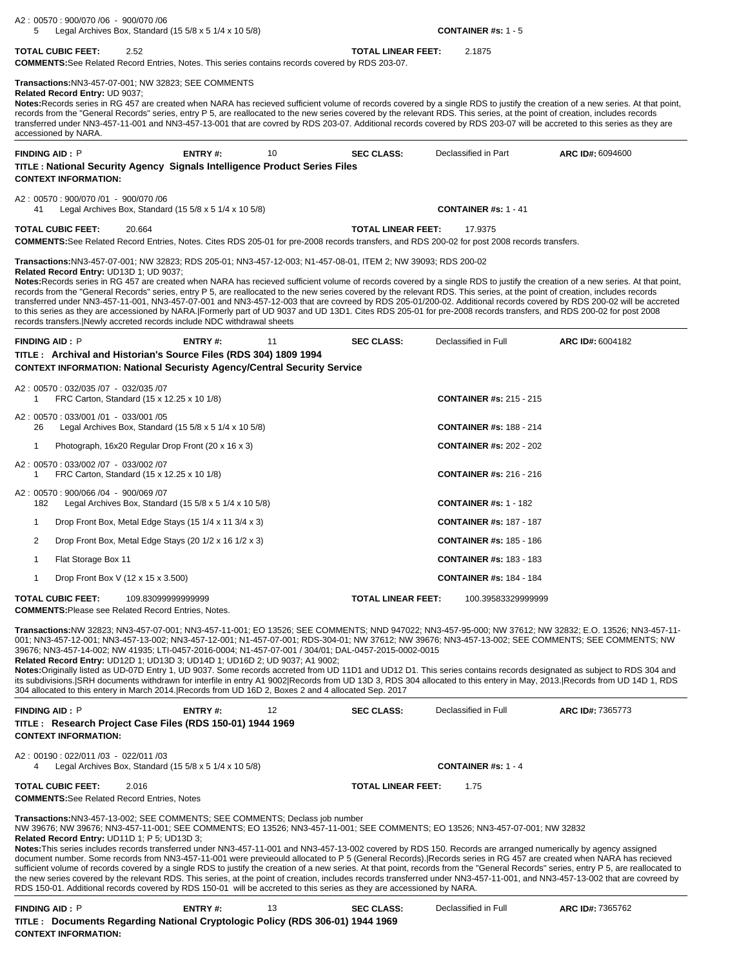| A2: 00570: 900/070 /06 - 900/070 /06<br>Legal Archives Box, Standard $(15\ 5/8 \times 5\ 1/4 \times 10\ 5/8)$<br>5                                                                                                                                                                                                                                                                                                                                                                                                                                                                                                                                                                                                                                                                                                                                                                                                                                                                                                                                                                                    |                    |    |                           | <b>CONTAINER #s: 1 - 5</b>     |                  |
|-------------------------------------------------------------------------------------------------------------------------------------------------------------------------------------------------------------------------------------------------------------------------------------------------------------------------------------------------------------------------------------------------------------------------------------------------------------------------------------------------------------------------------------------------------------------------------------------------------------------------------------------------------------------------------------------------------------------------------------------------------------------------------------------------------------------------------------------------------------------------------------------------------------------------------------------------------------------------------------------------------------------------------------------------------------------------------------------------------|--------------------|----|---------------------------|--------------------------------|------------------|
| <b>TOTAL CUBIC FEET:</b><br>2.52<br>COMMENTS: See Related Record Entries, Notes. This series contains records covered by RDS 203-07.                                                                                                                                                                                                                                                                                                                                                                                                                                                                                                                                                                                                                                                                                                                                                                                                                                                                                                                                                                  |                    |    | <b>TOTAL LINEAR FEET:</b> | 2.1875                         |                  |
| <b>Transactions: NN3-457-07-001; NW 32823; SEE COMMENTS</b><br>Related Record Entry: UD 9037;<br>Notes:Records series in RG 457 are created when NARA has recieved sufficient volume of records covered by a single RDS to justify the creation of a new series. At that point,<br>records from the "General Records" series, entry P 5, are reallocated to the new series covered by the relevant RDS. This series, at the point of creation, includes records<br>transferred under NN3-457-11-001 and NN3-457-13-001 that are covred by RDS 203-07. Additional records covered by RDS 203-07 will be accreted to this series as they are<br>accessioned by NARA.                                                                                                                                                                                                                                                                                                                                                                                                                                    |                    |    |                           |                                |                  |
| <b>FINDING AID: P</b>                                                                                                                                                                                                                                                                                                                                                                                                                                                                                                                                                                                                                                                                                                                                                                                                                                                                                                                                                                                                                                                                                 | ENTRY#:            | 10 | <b>SEC CLASS:</b>         | Declassified in Part           | ARC ID#: 6094600 |
| TITLE : National Security Agency Signals Intelligence Product Series Files<br><b>CONTEXT INFORMATION:</b>                                                                                                                                                                                                                                                                                                                                                                                                                                                                                                                                                                                                                                                                                                                                                                                                                                                                                                                                                                                             |                    |    |                           |                                |                  |
| A2: 00570: 900/070 /01 - 900/070 /06<br>Legal Archives Box, Standard (15 $5/8 \times 5$ 1/4 $\times$ 10 $5/8$ )<br>41                                                                                                                                                                                                                                                                                                                                                                                                                                                                                                                                                                                                                                                                                                                                                                                                                                                                                                                                                                                 |                    |    |                           | <b>CONTAINER #s: 1 - 41</b>    |                  |
| TOTAL CUBIC FEET:<br>20.664<br><b>COMMENTS:</b> See Related Record Entries, Notes. Cites RDS 205-01 for pre-2008 records transfers, and RDS 200-02 for post 2008 records transfers.                                                                                                                                                                                                                                                                                                                                                                                                                                                                                                                                                                                                                                                                                                                                                                                                                                                                                                                   |                    |    | <b>TOTAL LINEAR FEET:</b> | 17.9375                        |                  |
| Transactions:NN3-457-07-001; NW 32823; RDS 205-01; NN3-457-12-003; N1-457-08-01, ITEM 2; NW 39093; RDS 200-02<br>Related Record Entry: UD13D 1; UD 9037;<br>Notes: Records series in RG 457 are created when NARA has recieved sufficient volume of records covered by a single RDS to justify the creation of a new series. At that point,<br>records from the "General Records" series, entry P 5, are reallocated to the new series covered by the relevant RDS. This series, at the point of creation, includes records<br>transferred under NN3-457-11-001, NN3-457-07-001 and NN3-457-12-003 that are covreed by RDS 205-01/200-02. Additional records covered by RDS 200-02 will be accreted<br>to this series as they are accessioned by NARA. [Formerly part of UD 9037 and UD 13D1. Cites RDS 205-01 for pre-2008 records transfers, and RDS 200-02 for post 2008<br>records transfers. Newly accreted records include NDC withdrawal sheets                                                                                                                                                |                    |    |                           |                                |                  |
| <b>FINDING AID: P</b>                                                                                                                                                                                                                                                                                                                                                                                                                                                                                                                                                                                                                                                                                                                                                                                                                                                                                                                                                                                                                                                                                 | ENTRY#:            | 11 | <b>SEC CLASS:</b>         | Declassified in Full           | ARC ID#: 6004182 |
| TITLE: Archival and Historian's Source Files (RDS 304) 1809 1994                                                                                                                                                                                                                                                                                                                                                                                                                                                                                                                                                                                                                                                                                                                                                                                                                                                                                                                                                                                                                                      |                    |    |                           |                                |                  |
| CONTEXT INFORMATION: National Securisty Agency/Central Security Service                                                                                                                                                                                                                                                                                                                                                                                                                                                                                                                                                                                                                                                                                                                                                                                                                                                                                                                                                                                                                               |                    |    |                           |                                |                  |
| A2: 00570: 032/035 /07 - 032/035 /07<br>FRC Carton, Standard (15 x 12.25 x 10 1/8)<br>1                                                                                                                                                                                                                                                                                                                                                                                                                                                                                                                                                                                                                                                                                                                                                                                                                                                                                                                                                                                                               |                    |    |                           | <b>CONTAINER #s: 215 - 215</b> |                  |
| A2: 00570: 033/001 /01 - 033/001 /05<br>Legal Archives Box, Standard $(15\ 5/8 \times 5\ 1/4 \times 10\ 5/8)$<br>26                                                                                                                                                                                                                                                                                                                                                                                                                                                                                                                                                                                                                                                                                                                                                                                                                                                                                                                                                                                   |                    |    |                           | <b>CONTAINER #s: 188 - 214</b> |                  |
| Photograph, 16x20 Regular Drop Front (20 x 16 x 3)<br>1                                                                                                                                                                                                                                                                                                                                                                                                                                                                                                                                                                                                                                                                                                                                                                                                                                                                                                                                                                                                                                               |                    |    |                           | <b>CONTAINER #s: 202 - 202</b> |                  |
| A2: 00570: 033/002 /07 - 033/002 /07<br>FRC Carton, Standard (15 x 12.25 x 10 1/8)<br>1                                                                                                                                                                                                                                                                                                                                                                                                                                                                                                                                                                                                                                                                                                                                                                                                                                                                                                                                                                                                               |                    |    |                           | <b>CONTAINER #s: 216 - 216</b> |                  |
| A2: 00570: 900/066 /04 - 900/069 /07<br>Legal Archives Box, Standard $(15\ 5/8 \times 5\ 1/4 \times 10\ 5/8)$<br>182                                                                                                                                                                                                                                                                                                                                                                                                                                                                                                                                                                                                                                                                                                                                                                                                                                                                                                                                                                                  |                    |    |                           | <b>CONTAINER #s: 1 - 182</b>   |                  |
| Drop Front Box, Metal Edge Stays (15 1/4 x 11 3/4 x 3)<br>1                                                                                                                                                                                                                                                                                                                                                                                                                                                                                                                                                                                                                                                                                                                                                                                                                                                                                                                                                                                                                                           |                    |    |                           | <b>CONTAINER #s: 187 - 187</b> |                  |
| 2<br>Drop Front Box, Metal Edge Stays (20 1/2 x 16 1/2 x 3)                                                                                                                                                                                                                                                                                                                                                                                                                                                                                                                                                                                                                                                                                                                                                                                                                                                                                                                                                                                                                                           |                    |    |                           | <b>CONTAINER #s: 185 - 186</b> |                  |
| Flat Storage Box 11<br>$\mathbf{1}$                                                                                                                                                                                                                                                                                                                                                                                                                                                                                                                                                                                                                                                                                                                                                                                                                                                                                                                                                                                                                                                                   |                    |    |                           | <b>CONTAINER #s: 183 - 183</b> |                  |
| Drop Front Box V (12 x 15 x 3.500)<br>1                                                                                                                                                                                                                                                                                                                                                                                                                                                                                                                                                                                                                                                                                                                                                                                                                                                                                                                                                                                                                                                               |                    |    |                           | <b>CONTAINER #s: 184 - 184</b> |                  |
| <b>TOTAL CUBIC FEET:</b><br><b>COMMENTS: Please see Related Record Entries, Notes.</b>                                                                                                                                                                                                                                                                                                                                                                                                                                                                                                                                                                                                                                                                                                                                                                                                                                                                                                                                                                                                                | 109.83099999999999 |    | <b>TOTAL LINEAR FEET:</b> | 100.39583329999999             |                  |
| Transactions:NW 32823; NN3-457-07-001; NN3-457-11-001; EO 13526; SEE COMMENTS; NND 947022; NN3-457-95-000; NW 37612; NW 32832; E.O. 13526; NN3-457-11-<br>001; NN3-457-12-001; NN3-457-13-002; NN3-457-12-001; N1-457-07-001; RDS-304-01; NW 37612; NW 39676; NN3-457-13-002; SEE COMMENTS; SEE COMMENTS; NW<br>39676; NN3-457-14-002; NW 41935; LTI-0457-2016-0004; N1-457-07-001 / 304/01; DAL-0457-2015-0002-0015<br>Related Record Entry: UD12D 1; UD13D 3; UD14D 1; UD16D 2; UD 9037; A1 9002;                                                                                                                                                                                                                                                                                                                                                                                                                                                                                                                                                                                                   |                    |    |                           |                                |                  |
| Notes:Originally listed as UD-07D Entry 1, UD 9037. Some records accreted from UD 11D1 and UD12 D1. This series contains records designated as subject to RDS 304 and<br>its subdivisions. SRH documents withdrawn for interfile in entry A1 9002 Records from UD 13D 3, RDS 304 allocated to this entery in May, 2013. Records from UD 14D 1, RDS<br>304 allocated to this entery in March 2014. Records from UD 16D 2, Boxes 2 and 4 allocated Sep. 2017                                                                                                                                                                                                                                                                                                                                                                                                                                                                                                                                                                                                                                            |                    |    |                           |                                |                  |
| <b>FINDING AID: P</b><br>TITLE: Research Project Case Files (RDS 150-01) 1944 1969<br><b>CONTEXT INFORMATION:</b>                                                                                                                                                                                                                                                                                                                                                                                                                                                                                                                                                                                                                                                                                                                                                                                                                                                                                                                                                                                     | <b>ENTRY#:</b>     | 12 | <b>SEC CLASS:</b>         | Declassified in Full           | ARC ID#: 7365773 |
| A2: 00190: 022/011 /03 - 022/011 /03<br>Legal Archives Box, Standard (15 $5/8 \times 5$ 1/4 $\times$ 10 $5/8$ )<br>4                                                                                                                                                                                                                                                                                                                                                                                                                                                                                                                                                                                                                                                                                                                                                                                                                                                                                                                                                                                  |                    |    |                           | <b>CONTAINER #s: 1 - 4</b>     |                  |
| TOTAL CUBIC FEET:<br>2.016                                                                                                                                                                                                                                                                                                                                                                                                                                                                                                                                                                                                                                                                                                                                                                                                                                                                                                                                                                                                                                                                            |                    |    | <b>TOTAL LINEAR FEET:</b> | 1.75                           |                  |
| <b>COMMENTS:</b> See Related Record Entries, Notes                                                                                                                                                                                                                                                                                                                                                                                                                                                                                                                                                                                                                                                                                                                                                                                                                                                                                                                                                                                                                                                    |                    |    |                           |                                |                  |
| Transactions:NN3-457-13-002; SEE COMMENTS; SEE COMMENTS; Declass job number<br>NW 39676; NW 39676; NN3-457-11-001; SEE COMMENTS; EO 13526; NN3-457-11-001; SEE COMMENTS; EO 13526; NN3-457-07-001; NW 32832<br>Related Record Entry: UD11D 1; P 5; UD13D 3;<br>Notes: This series includes records transferred under NN3-457-11-001 and NN3-457-13-002 covered by RDS 150. Records are arranged numerically by agency assigned<br>document number. Some records from NN3-457-11-001 were previeould allocated to P 5 (General Records). Records series in RG 457 are created when NARA has recieved<br>sufficient volume of records covered by a single RDS to justify the creation of a new series. At that point, records from the "General Records" series, entry P 5, are reallocated to<br>the new series covered by the relevant RDS. This series, at the point of creation, includes records transferred under NN3-457-11-001, and NN3-457-13-002 that are covreed by<br>RDS 150-01. Additional records covered by RDS 150-01 will be accreted to this series as they are accessioned by NARA. |                    |    |                           |                                |                  |
| <b>FINDING AID: P</b><br>TITLE : Documents Regarding National Cryptologic Policy (RDS 306-01) 1944 1969<br>HIPOMIATOMI                                                                                                                                                                                                                                                                                                                                                                                                                                                                                                                                                                                                                                                                                                                                                                                                                                                                                                                                                                                | ENTRY#:            | 13 | <b>SEC CLASS:</b>         | Declassified in Full           | ARC ID#: 7365762 |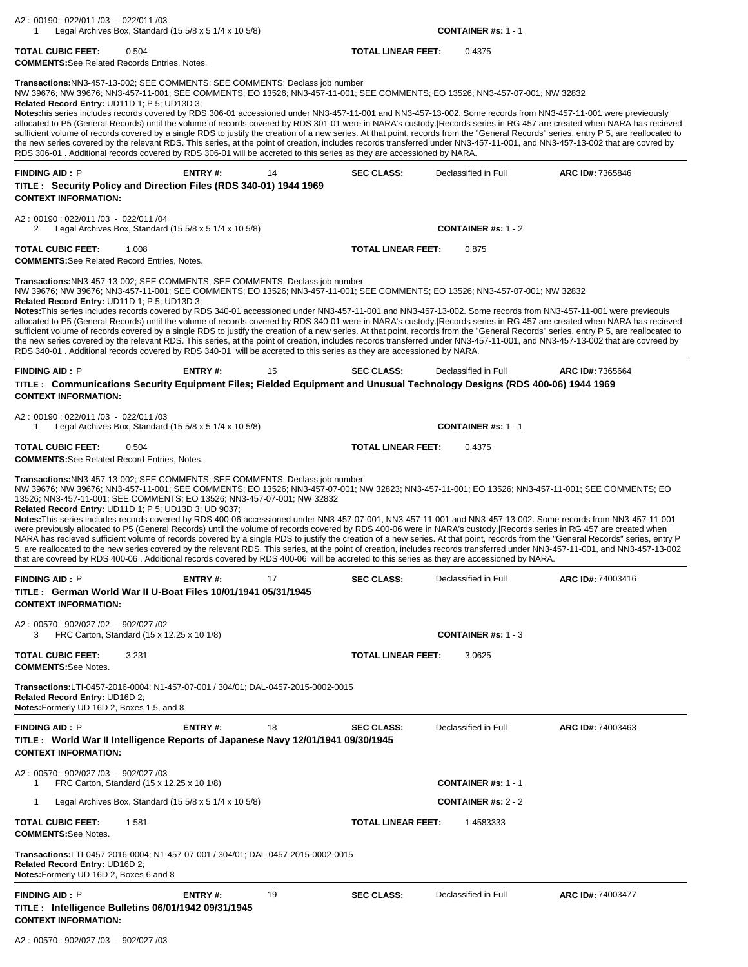| A2: 00190: 022/011 /03 - 022/011 /03<br>Legal Archives Box, Standard $(15\ 5/8 \times 5\ 1/4 \times 10\ 5/8)$<br>-1                                                                                                                                                                                                                                                                                                                                                                                                                                                                                                                                                                                                                                                                                                                                                                                                                                                                                                                                                                                                                                                                                                                        |                |    |                           | <b>CONTAINER #s: 1 - 1</b>   |                   |
|--------------------------------------------------------------------------------------------------------------------------------------------------------------------------------------------------------------------------------------------------------------------------------------------------------------------------------------------------------------------------------------------------------------------------------------------------------------------------------------------------------------------------------------------------------------------------------------------------------------------------------------------------------------------------------------------------------------------------------------------------------------------------------------------------------------------------------------------------------------------------------------------------------------------------------------------------------------------------------------------------------------------------------------------------------------------------------------------------------------------------------------------------------------------------------------------------------------------------------------------|----------------|----|---------------------------|------------------------------|-------------------|
| <b>TOTAL CUBIC FEET:</b><br>0.504<br><b>COMMENTS:</b> See Related Records Entries, Notes.                                                                                                                                                                                                                                                                                                                                                                                                                                                                                                                                                                                                                                                                                                                                                                                                                                                                                                                                                                                                                                                                                                                                                  |                |    | <b>TOTAL LINEAR FEET:</b> | 0.4375                       |                   |
| Transactions:NN3-457-13-002; SEE COMMENTS; SEE COMMENTS; Declass job number<br>NW 39676; NW 39676; NN3-457-11-001; SEE COMMENTS; EO 13526; NN3-457-11-001; SEE COMMENTS; EO 13526; NN3-457-07-001; NW 32832<br>Related Record Entry: UD11D 1; P 5; UD13D 3;<br>Notes:his series includes records covered by RDS 306-01 accessioned under NN3-457-11-001 and NN3-457-13-002. Some records from NN3-457-11-001 were previeously<br>allocated to P5 (General Records) until the volume of records covered by RDS 301-01 were in NARA's custody. Records series in RG 457 are created when NARA has recieved<br>sufficient volume of records covered by a single RDS to justify the creation of a new series. At that point, records from the "General Records" series, entry P 5, are reallocated to<br>the new series covered by the relevant RDS. This series, at the point of creation, includes records transferred under NN3-457-11-001, and NN3-457-13-002 that are covred by<br>RDS 306-01. Additional records covered by RDS 306-01 will be accreted to this series as they are accessioned by NARA.                                                                                                                                  |                |    |                           |                              |                   |
| <b>FINDING AID: P</b>                                                                                                                                                                                                                                                                                                                                                                                                                                                                                                                                                                                                                                                                                                                                                                                                                                                                                                                                                                                                                                                                                                                                                                                                                      | ENTRY#:        | 14 | <b>SEC CLASS:</b>         | Declassified in Full         | ARC ID#: 7365846  |
| TITLE: Security Policy and Direction Files (RDS 340-01) 1944 1969<br><b>CONTEXT INFORMATION:</b>                                                                                                                                                                                                                                                                                                                                                                                                                                                                                                                                                                                                                                                                                                                                                                                                                                                                                                                                                                                                                                                                                                                                           |                |    |                           |                              |                   |
| A2: 00190: 022/011 /03 - 022/011 /04<br>Legal Archives Box, Standard $(15\ 5/8 \times 5\ 1/4 \times 10\ 5/8)$<br>2                                                                                                                                                                                                                                                                                                                                                                                                                                                                                                                                                                                                                                                                                                                                                                                                                                                                                                                                                                                                                                                                                                                         |                |    |                           | CONTAINER #s: $1 - 2$        |                   |
| <b>TOTAL CUBIC FEET:</b><br>1.008                                                                                                                                                                                                                                                                                                                                                                                                                                                                                                                                                                                                                                                                                                                                                                                                                                                                                                                                                                                                                                                                                                                                                                                                          |                |    | <b>TOTAL LINEAR FEET:</b> | 0.875                        |                   |
| <b>COMMENTS:</b> See Related Record Entries, Notes.                                                                                                                                                                                                                                                                                                                                                                                                                                                                                                                                                                                                                                                                                                                                                                                                                                                                                                                                                                                                                                                                                                                                                                                        |                |    |                           |                              |                   |
| Transactions:NN3-457-13-002; SEE COMMENTS; SEE COMMENTS; Declass job number<br>NW 39676; NW 39676; NN3-457-11-001; SEE COMMENTS; EO 13526; NN3-457-11-001; SEE COMMENTS; EO 13526; NN3-457-07-001; NW 32832<br>Related Record Entry: UD11D 1; P 5; UD13D 3;<br>Notes: This series includes records covered by RDS 340-01 accessioned under NN3-457-11-001 and NN3-457-13-002. Some records from NN3-457-11-001 were previeouls<br>allocated to P5 (General Records) until the volume of records covered by RDS 340-01 were in NARA's custody. Records series in RG 457 are created when NARA has recieved<br>sufficient volume of records covered by a single RDS to justify the creation of a new series. At that point, records from the "General Records" series, entry P 5, are reallocated to<br>the new series covered by the relevant RDS. This series, at the point of creation, includes records transferred under NN3-457-11-001, and NN3-457-13-002 that are covreed by<br>RDS 340-01. Additional records covered by RDS 340-01 will be accreted to this series as they are accessioned by NARA.                                                                                                                                |                |    |                           |                              |                   |
| <b>FINDING AID: P</b>                                                                                                                                                                                                                                                                                                                                                                                                                                                                                                                                                                                                                                                                                                                                                                                                                                                                                                                                                                                                                                                                                                                                                                                                                      | ENTRY#:        | 15 | <b>SEC CLASS:</b>         | Declassified in Full         | ARC ID#: 7365664  |
| TITLE: Communications Security Equipment Files; Fielded Equipment and Unusual Technology Designs (RDS 400-06) 1944 1969<br><b>CONTEXT INFORMATION:</b>                                                                                                                                                                                                                                                                                                                                                                                                                                                                                                                                                                                                                                                                                                                                                                                                                                                                                                                                                                                                                                                                                     |                |    |                           |                              |                   |
| A2: 00190: 022/011/03 - 022/011/03<br>Legal Archives Box, Standard (15 5/8 x 5 1/4 x 10 5/8)<br>1                                                                                                                                                                                                                                                                                                                                                                                                                                                                                                                                                                                                                                                                                                                                                                                                                                                                                                                                                                                                                                                                                                                                          |                |    |                           | <b>CONTAINER #s: 1 - 1</b>   |                   |
| <b>TOTAL CUBIC FEET:</b><br>0.504<br><b>COMMENTS:</b> See Related Record Entries, Notes.                                                                                                                                                                                                                                                                                                                                                                                                                                                                                                                                                                                                                                                                                                                                                                                                                                                                                                                                                                                                                                                                                                                                                   |                |    | <b>TOTAL LINEAR FEET:</b> | 0.4375                       |                   |
| Transactions:NN3-457-13-002; SEE COMMENTS; SEE COMMENTS; Declass job number<br>NW 39676; NW 39676; NN3-457-11-001; SEE COMMENTS; EO 13526; NN3-457-07-001; NW 32823; NN3-457-11-001; EO 13526; NN3-457-11-001; SEE COMMENTS; EO<br>13526; NN3-457-11-001; SEE COMMENTS; EO 13526; NN3-457-07-001; NW 32832<br><b>Related Record Entry: UD11D 1; P 5; UD13D 3; UD 9037;</b><br>Notes: This series includes records covered by RDS 400-06 accessioned under NN3-457-07-001, NN3-457-11-001 and NN3-457-13-002. Some records from NN3-457-11-001<br>were previously allocated to P5 (General Records) until the volume of records covered by RDS 400-06 were in NARA's custody. Records series in RG 457 are created when<br>NARA has recieved sufficient volume of records covered by a single RDS to justify the creation of a new series. At that point, records from the "General Records" series, entry P<br>5, are reallocated to the new series covered by the relevant RDS. This series, at the point of creation, includes records transferred under NN3-457-11-001, and NN3-457-13-002<br>that are covreed by RDS 400-06. Additional records covered by RDS 400-06 will be accreted to this series as they are accessioned by NARA. |                |    |                           |                              |                   |
| <b>FINDING AID: P</b><br>TITLE: German World War II U-Boat Files 10/01/1941 05/31/1945<br><b>CONTEXT INFORMATION:</b>                                                                                                                                                                                                                                                                                                                                                                                                                                                                                                                                                                                                                                                                                                                                                                                                                                                                                                                                                                                                                                                                                                                      | ENTRY#:        | 17 | <b>SEC CLASS:</b>         | Declassified in Full         | ARC ID#: 74003416 |
| A2: 00570: 902/027 /02 - 902/027 /02                                                                                                                                                                                                                                                                                                                                                                                                                                                                                                                                                                                                                                                                                                                                                                                                                                                                                                                                                                                                                                                                                                                                                                                                       |                |    |                           |                              |                   |
| FRC Carton, Standard (15 x 12.25 x 10 1/8)<br>3                                                                                                                                                                                                                                                                                                                                                                                                                                                                                                                                                                                                                                                                                                                                                                                                                                                                                                                                                                                                                                                                                                                                                                                            |                |    |                           | <b>CONTAINER</b> #s: $1 - 3$ |                   |
| <b>TOTAL CUBIC FEET:</b><br>3.231<br><b>COMMENTS:See Notes.</b>                                                                                                                                                                                                                                                                                                                                                                                                                                                                                                                                                                                                                                                                                                                                                                                                                                                                                                                                                                                                                                                                                                                                                                            |                |    | <b>TOTAL LINEAR FEET:</b> | 3.0625                       |                   |
| Transactions:LTI-0457-2016-0004; N1-457-07-001 / 304/01; DAL-0457-2015-0002-0015<br>Related Record Entry: UD16D 2;<br>Notes: Formerly UD 16D 2, Boxes 1,5, and 8                                                                                                                                                                                                                                                                                                                                                                                                                                                                                                                                                                                                                                                                                                                                                                                                                                                                                                                                                                                                                                                                           |                |    |                           |                              |                   |
| <b>FINDING AID: P</b><br>TITLE: World War II Intelligence Reports of Japanese Navy 12/01/1941 09/30/1945<br><b>CONTEXT INFORMATION:</b>                                                                                                                                                                                                                                                                                                                                                                                                                                                                                                                                                                                                                                                                                                                                                                                                                                                                                                                                                                                                                                                                                                    | <b>ENTRY#:</b> | 18 | <b>SEC CLASS:</b>         | Declassified in Full         | ARC ID#: 74003463 |
| A2: 00570: 902/027 /03 - 902/027 /03<br>FRC Carton, Standard (15 x 12.25 x 10 1/8)<br>1                                                                                                                                                                                                                                                                                                                                                                                                                                                                                                                                                                                                                                                                                                                                                                                                                                                                                                                                                                                                                                                                                                                                                    |                |    |                           | <b>CONTAINER #s: 1 - 1</b>   |                   |
| Legal Archives Box, Standard (15 $5/8 \times 5$ 1/4 $\times$ 10 $5/8$ )<br>-1                                                                                                                                                                                                                                                                                                                                                                                                                                                                                                                                                                                                                                                                                                                                                                                                                                                                                                                                                                                                                                                                                                                                                              |                |    |                           | <b>CONTAINER #s: 2 - 2</b>   |                   |
| <b>TOTAL CUBIC FEET:</b><br>1.581                                                                                                                                                                                                                                                                                                                                                                                                                                                                                                                                                                                                                                                                                                                                                                                                                                                                                                                                                                                                                                                                                                                                                                                                          |                |    | <b>TOTAL LINEAR FEET:</b> | 1.4583333                    |                   |
| <b>COMMENTS:See Notes.</b><br>Transactions:LTI-0457-2016-0004; N1-457-07-001 / 304/01; DAL-0457-2015-0002-0015<br>Related Record Entry: UD16D 2;<br>Notes: Formerly UD 16D 2, Boxes 6 and 8                                                                                                                                                                                                                                                                                                                                                                                                                                                                                                                                                                                                                                                                                                                                                                                                                                                                                                                                                                                                                                                |                |    |                           |                              |                   |
| <b>FINDING AID: P</b>                                                                                                                                                                                                                                                                                                                                                                                                                                                                                                                                                                                                                                                                                                                                                                                                                                                                                                                                                                                                                                                                                                                                                                                                                      | ENTRY#:        | 19 | <b>SEC CLASS:</b>         | Declassified in Full         | ARC ID#: 74003477 |
| TITLE : Intelligence Bulletins 06/01/1942 09/31/1945<br><b>CONTEXT INFORMATION:</b>                                                                                                                                                                                                                                                                                                                                                                                                                                                                                                                                                                                                                                                                                                                                                                                                                                                                                                                                                                                                                                                                                                                                                        |                |    |                           |                              |                   |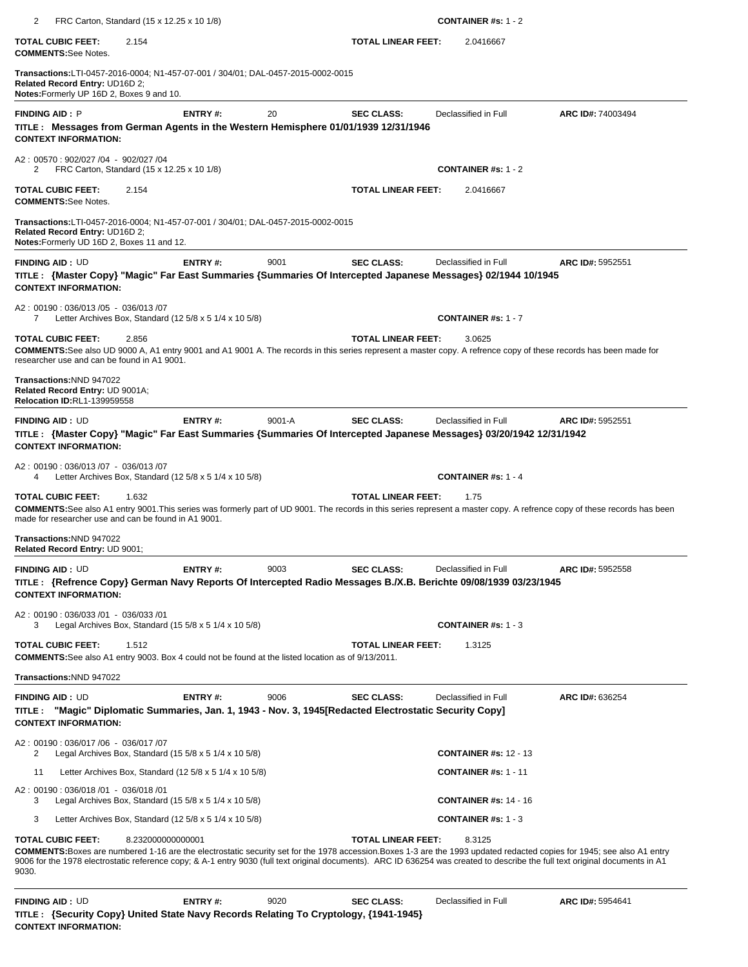| 2<br>FRC Carton, Standard (15 x 12.25 x 10 1/8)                                                                                                                                                                                                                               |         |            |                           | <b>CONTAINER #s: 1 - 2</b>   |                   |
|-------------------------------------------------------------------------------------------------------------------------------------------------------------------------------------------------------------------------------------------------------------------------------|---------|------------|---------------------------|------------------------------|-------------------|
| <b>TOTAL CUBIC FEET:</b><br>2.154<br><b>COMMENTS:See Notes.</b>                                                                                                                                                                                                               |         |            | <b>TOTAL LINEAR FEET:</b> | 2.0416667                    |                   |
| Transactions:LTI-0457-2016-0004; N1-457-07-001 / 304/01; DAL-0457-2015-0002-0015<br>Related Record Entry: UD16D 2;<br>Notes: Formerly UP 16D 2, Boxes 9 and 10.                                                                                                               |         |            |                           |                              |                   |
| <b>FINDING AID: P</b><br>TITLE: Messages from German Agents in the Western Hemisphere 01/01/1939 12/31/1946<br><b>CONTEXT INFORMATION:</b>                                                                                                                                    | ENTRY#: | 20         | <b>SEC CLASS:</b>         | Declassified in Full         | ARC ID#: 74003494 |
| A2: 00570: 902/027 /04 - 902/027 /04<br>FRC Carton, Standard (15 x 12.25 x 10 1/8)<br>2                                                                                                                                                                                       |         |            |                           | <b>CONTAINER #s: 1 - 2</b>   |                   |
| 2.154<br><b>TOTAL CUBIC FEET:</b><br><b>COMMENTS:See Notes.</b>                                                                                                                                                                                                               |         |            | <b>TOTAL LINEAR FEET:</b> | 2.0416667                    |                   |
| Transactions:LTI-0457-2016-0004; N1-457-07-001 / 304/01; DAL-0457-2015-0002-0015<br>Related Record Entry: UD16D 2;<br>Notes: Formerly UD 16D 2, Boxes 11 and 12.                                                                                                              |         |            |                           |                              |                   |
| <b>FINDING AID: UD</b>                                                                                                                                                                                                                                                        | ENTRY#: | 9001       | <b>SEC CLASS:</b>         | Declassified in Full         | ARC ID#: 5952551  |
| TITLE : {Master Copy} "Magic" Far East Summaries {Summaries Of Intercepted Japanese Messages} 02/1944 10/1945<br><b>CONTEXT INFORMATION:</b>                                                                                                                                  |         |            |                           |                              |                   |
| A2: 00190: 036/013 /05 - 036/013 /07<br>Letter Archives Box, Standard (12 5/8 x 5 1/4 x 10 5/8)<br>7                                                                                                                                                                          |         |            |                           | <b>CONTAINER #s: 1 - 7</b>   |                   |
| <b>TOTAL CUBIC FEET:</b><br>2.856<br><b>COMMENTS:</b> See also UD 9000 A, A1 entry 9001 and A1 9001 A. The records in this series represent a master copy. A refrence copy of these records has been made for<br>researcher use and can be found in A1 9001.                  |         |            | <b>TOTAL LINEAR FEET:</b> | 3.0625                       |                   |
| Transactions:NND 947022<br>Related Record Entry: UD 9001A;<br>Relocation ID:RL1-139959558                                                                                                                                                                                     |         |            |                           |                              |                   |
| <b>FINDING AID: UD</b><br>TITLE: {Master Copy} "Magic" Far East Summaries {Summaries Of Intercepted Japanese Messages} 03/20/1942 12/31/1942<br><b>CONTEXT INFORMATION:</b>                                                                                                   | ENTRY#: | $9001 - A$ | <b>SEC CLASS:</b>         | Declassified in Full         | ARC ID#: 5952551  |
| A2: 00190: 036/013/07 - 036/013/07<br>Letter Archives Box, Standard $(125/8 \times 51/4 \times 105/8)$<br>4                                                                                                                                                                   |         |            |                           | <b>CONTAINER #s: 1 - 4</b>   |                   |
| <b>TOTAL CUBIC FEET:</b><br>1.632<br><b>COMMENTS:</b> See also A1 entry 9001. This series was formerly part of UD 9001. The records in this series represent a master copy. A refrence copy of these records has been<br>made for researcher use and can be found in A1 9001. |         |            | <b>TOTAL LINEAR FEET:</b> | 1.75                         |                   |
| Transactions: NND 947022<br>Related Record Entry: UD 9001;                                                                                                                                                                                                                    |         |            |                           |                              |                   |
| <b>FINDING AID: UD</b><br>TITLE: {Refrence Copy} German Navy Reports Of Intercepted Radio Messages B./X.B. Berichte 09/08/1939 03/23/1945<br><b>CONTEXT INFORMATION:</b>                                                                                                      | ENTRY#: | 9003       | <b>SEC CLASS:</b>         | Declassified in Full         | ARC ID#: 5952558  |
| A2: 00190: 036/033 /01 - 036/033 /01<br>Legal Archives Box, Standard (15 $5/8 \times 5$ 1/4 $\times$ 10 $5/8$ )<br>3                                                                                                                                                          |         |            |                           | <b>CONTAINER #s: 1 - 3</b>   |                   |
| <b>TOTAL CUBIC FEET:</b><br>1.512<br><b>COMMENTS:</b> See also A1 entry 9003. Box 4 could not be found at the listed location as of 9/13/2011.                                                                                                                                |         |            | <b>TOTAL LINEAR FEET:</b> | 1.3125                       |                   |
| Transactions: NND 947022                                                                                                                                                                                                                                                      |         |            |                           |                              |                   |
| <b>FINDING AID: UD</b><br>"Magic" Diplomatic Summaries, Jan. 1, 1943 - Nov. 3, 1945 [Redacted Electrostatic Security Copy]<br>TITLE :<br><b>CONTEXT INFORMATION:</b>                                                                                                          | ENTRY#: | 9006       | <b>SEC CLASS:</b>         | Declassified in Full         | ARC ID#: 636254   |
| A2: 00190: 036/017 /06 - 036/017 /07<br>Legal Archives Box, Standard (15 $5/8 \times 5$ 1/4 $\times$ 10 $5/8$ )<br>2                                                                                                                                                          |         |            |                           | <b>CONTAINER #s: 12 - 13</b> |                   |
| 11<br>Letter Archives Box, Standard $(125/8 \times 51/4 \times 105/8)$                                                                                                                                                                                                        |         |            |                           | <b>CONTAINER #s: 1 - 11</b>  |                   |
| A2: 00190: 036/018 /01 - 036/018 /01<br>Legal Archives Box, Standard (15 $5/8 \times 5$ 1/4 $\times$ 10 $5/8$ )<br>3                                                                                                                                                          |         |            |                           | <b>CONTAINER #s: 14 - 16</b> |                   |
| 3<br>Letter Archives Box, Standard $(125/8 \times 51/4 \times 105/8)$                                                                                                                                                                                                         |         |            |                           | <b>CONTAINER #s: 1 - 3</b>   |                   |
| <b>TOTAL CUBIC FEET:</b><br>8.232000000000001<br><b>COMMENTS:</b> Boxes are numbered 1-16 are the electrostatic security set for the 1978 accession. Boxes 1-3 are the 1993 updated redacted copies for 1945; see also A1 entry                                               |         |            | <b>TOTAL LINEAR FEET:</b> | 8.3125                       |                   |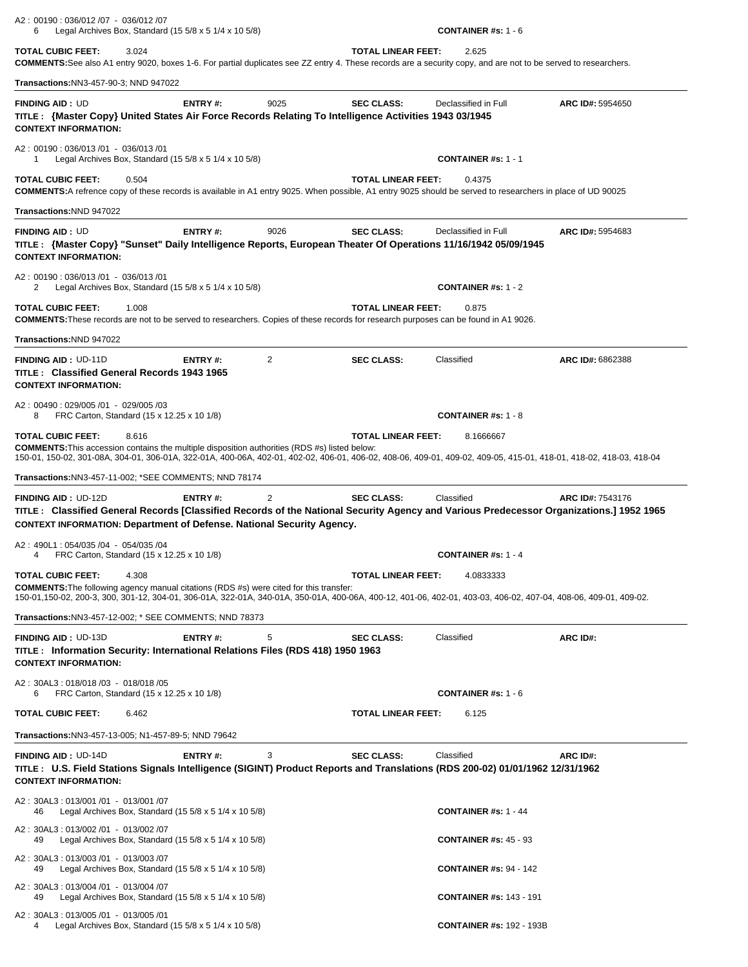| A2: 00190: 036/012 /07 - 036/012 /07<br>6                                                                                                                      |                                            | Legal Archives Box, Standard (15 5/8 x 5 1/4 x 10 5/8)                  |      |                           | <b>CONTAINER #s: 1 - 6</b>                                                                                                                                                      |                  |
|----------------------------------------------------------------------------------------------------------------------------------------------------------------|--------------------------------------------|-------------------------------------------------------------------------|------|---------------------------|---------------------------------------------------------------------------------------------------------------------------------------------------------------------------------|------------------|
| <b>TOTAL CUBIC FEET:</b>                                                                                                                                       | 3.024                                      |                                                                         |      | <b>TOTAL LINEAR FEET:</b> | 2.625<br>COMMENTS: See also A1 entry 9020, boxes 1-6. For partial duplicates see ZZ entry 4. These records are a security copy, and are not to be served to researchers.        |                  |
| <b>Transactions: NN3-457-90-3; NND 947022</b>                                                                                                                  |                                            |                                                                         |      |                           |                                                                                                                                                                                 |                  |
| <b>FINDING AID: UD</b><br>TITLE: {Master Copy} United States Air Force Records Relating To Intelligence Activities 1943 03/1945<br><b>CONTEXT INFORMATION:</b> |                                            | ENTRY#:                                                                 | 9025 | <b>SEC CLASS:</b>         | Declassified in Full                                                                                                                                                            | ARC ID#: 5954650 |
| A2: 00190: 036/013 /01 - 036/013 /01<br>1                                                                                                                      |                                            | Legal Archives Box, Standard (15 $5/8 \times 5$ 1/4 $\times$ 10 $5/8$ ) |      |                           | <b>CONTAINER #s: 1 - 1</b>                                                                                                                                                      |                  |
| <b>TOTAL CUBIC FEET:</b>                                                                                                                                       | 0.504                                      |                                                                         |      | <b>TOTAL LINEAR FEET:</b> | 0.4375<br>COMMENTS:A refrence copy of these records is available in A1 entry 9025. When possible, A1 entry 9025 should be served to researchers in place of UD 90025            |                  |
| Transactions: NND 947022                                                                                                                                       |                                            |                                                                         |      |                           |                                                                                                                                                                                 |                  |
| <b>FINDING AID: UD</b><br><b>CONTEXT INFORMATION:</b>                                                                                                          |                                            | ENTRY#:                                                                 | 9026 | <b>SEC CLASS:</b>         | Declassified in Full<br>TITLE: {Master Copy} "Sunset" Daily Intelligence Reports, European Theater Of Operations 11/16/1942 05/09/1945                                          | ARC ID#: 5954683 |
| A2: 00190: 036/013 /01 - 036/013 /01<br>2                                                                                                                      |                                            | Legal Archives Box, Standard (15 5/8 x 5 1/4 x 10 5/8)                  |      |                           | <b>CONTAINER #s: 1 - 2</b>                                                                                                                                                      |                  |
| <b>TOTAL CUBIC FEET:</b>                                                                                                                                       | 1.008                                      |                                                                         |      | <b>TOTAL LINEAR FEET:</b> | 0.875<br>COMMENTS: These records are not to be served to researchers. Copies of these records for research purposes can be found in A1 9026.                                    |                  |
| Transactions:NND 947022                                                                                                                                        |                                            |                                                                         |      |                           |                                                                                                                                                                                 |                  |
| <b>FINDING AID: UD-11D</b><br>TITLE: Classified General Records 1943 1965<br><b>CONTEXT INFORMATION:</b>                                                       |                                            | ENTRY#:                                                                 | 2    | <b>SEC CLASS:</b>         | Classified                                                                                                                                                                      | ARC ID#: 6862388 |
| A2: 00490: 029/005 /01 - 029/005 /03<br>8                                                                                                                      | FRC Carton, Standard (15 x 12.25 x 10 1/8) |                                                                         |      |                           | <b>CONTAINER #s: 1 - 8</b>                                                                                                                                                      |                  |
| <b>TOTAL CUBIC FEET:</b><br><b>COMMENTS:</b> This accession contains the multiple disposition authorities (RDS #s) listed below:                               | 8.616                                      |                                                                         |      | <b>TOTAL LINEAR FEET:</b> | 8.1666667<br>150-01, 150-02, 301-08A, 304-01, 306-01A, 322-01A, 400-06A, 402-01, 402-02, 406-01, 406-02, 408-06, 409-01, 409-02, 409-05, 415-01, 418-01, 418-02, 418-03, 418-04 |                  |
| <b>Transactions: NN3-457-11-002; *SEE COMMENTS; NND 78174</b>                                                                                                  |                                            |                                                                         |      |                           |                                                                                                                                                                                 |                  |
| FINDING AID: UD-12D<br><b>CONTEXT INFORMATION: Department of Defense. National Security Agency.</b>                                                            |                                            | ENTRY#:                                                                 | 2    | <b>SEC CLASS:</b>         | Classified<br>TITLE: Classified General Records [Classified Records of the National Security Agency and Various Predecessor Organizations.] 1952 1965                           | ARC ID#: 7543176 |
| A2: 490L1: 054/035 /04 - 054/035 /04<br>4                                                                                                                      | FRC Carton, Standard (15 x 12.25 x 10 1/8) |                                                                         |      |                           | <b>CONTAINER #s: 1 - 4</b>                                                                                                                                                      |                  |
| <b>TOTAL CUBIC FEET:</b><br><b>COMMENTS:</b> The following agency manual citations (RDS #s) were cited for this transfer:                                      | 4.308                                      |                                                                         |      | <b>TOTAL LINEAR FEET:</b> | 4.0833333<br>150-01,150-02, 200-3, 300, 301-12, 304-01, 306-01A, 322-01A, 340-01A, 350-01A, 400-06A, 400-12, 401-06, 402-01, 403-03, 406-02, 407-04, 408-06, 409-01, 409-02.    |                  |
| Transactions: NN3-457-12-002; * SEE COMMENTS; NND 78373                                                                                                        |                                            |                                                                         |      |                           |                                                                                                                                                                                 |                  |
| <b>FINDING AID: UD-13D</b><br>TITLE: Information Security: International Relations Files (RDS 418) 1950 1963<br><b>CONTEXT INFORMATION:</b>                    |                                            | ENTRY#:                                                                 | 5    | <b>SEC CLASS:</b>         | Classified                                                                                                                                                                      | ARC ID#:         |
| A2: 30AL3: 018/018 /03 - 018/018 /05<br>6                                                                                                                      | FRC Carton, Standard (15 x 12.25 x 10 1/8) |                                                                         |      |                           | <b>CONTAINER #s: 1 - 6</b>                                                                                                                                                      |                  |
| <b>TOTAL CUBIC FEET:</b>                                                                                                                                       | 6.462                                      |                                                                         |      | <b>TOTAL LINEAR FEET:</b> | 6.125                                                                                                                                                                           |                  |
| Transactions: NN3-457-13-005; N1-457-89-5; NND 79642                                                                                                           |                                            |                                                                         |      |                           |                                                                                                                                                                                 |                  |
| <b>FINDING AID: UD-14D</b><br><b>CONTEXT INFORMATION:</b>                                                                                                      |                                            | <b>ENTRY#:</b>                                                          | 3    | <b>SEC CLASS:</b>         | Classified<br>TITLE: U.S. Field Stations Signals Intelligence (SIGINT) Product Reports and Translations (RDS 200-02) 01/01/1962 12/31/1962                                      | ARC ID#:         |
| A2: 30AL3: 013/001 /01 - 013/001 /07<br>46                                                                                                                     |                                            | Legal Archives Box, Standard (15 $5/8 \times 5$ 1/4 $\times$ 10 $5/8$ ) |      |                           | <b>CONTAINER #s: 1 - 44</b>                                                                                                                                                     |                  |
| A2: 30AL3: 013/002 /01 - 013/002 /07<br>49                                                                                                                     |                                            | Legal Archives Box, Standard (15 5/8 x 5 1/4 x 10 5/8)                  |      |                           | <b>CONTAINER #s: 45 - 93</b>                                                                                                                                                    |                  |
| A2: 30AL3: 013/003 /01 - 013/003 /07<br>49                                                                                                                     |                                            | Legal Archives Box, Standard $(155/8 \times 51/4 \times 105/8)$         |      |                           | <b>CONTAINER #s: 94 - 142</b>                                                                                                                                                   |                  |
| A2: 30AL3: 013/004 /01 - 013/004 /07<br>49                                                                                                                     |                                            | Legal Archives Box, Standard $(15\,5/8 \times 5\,1/4 \times 10\,5/8)$   |      |                           | <b>CONTAINER #s: 143 - 191</b>                                                                                                                                                  |                  |
| A2: 30AL3: 013/005 /01 - 013/005 /01<br>4                                                                                                                      |                                            | Legal Archives Box, Standard (15 $5/8 \times 5$ 1/4 $\times$ 10 $5/8$ ) |      |                           | <b>CONTAINER #s: 192 - 193B</b>                                                                                                                                                 |                  |
|                                                                                                                                                                |                                            |                                                                         |      |                           |                                                                                                                                                                                 |                  |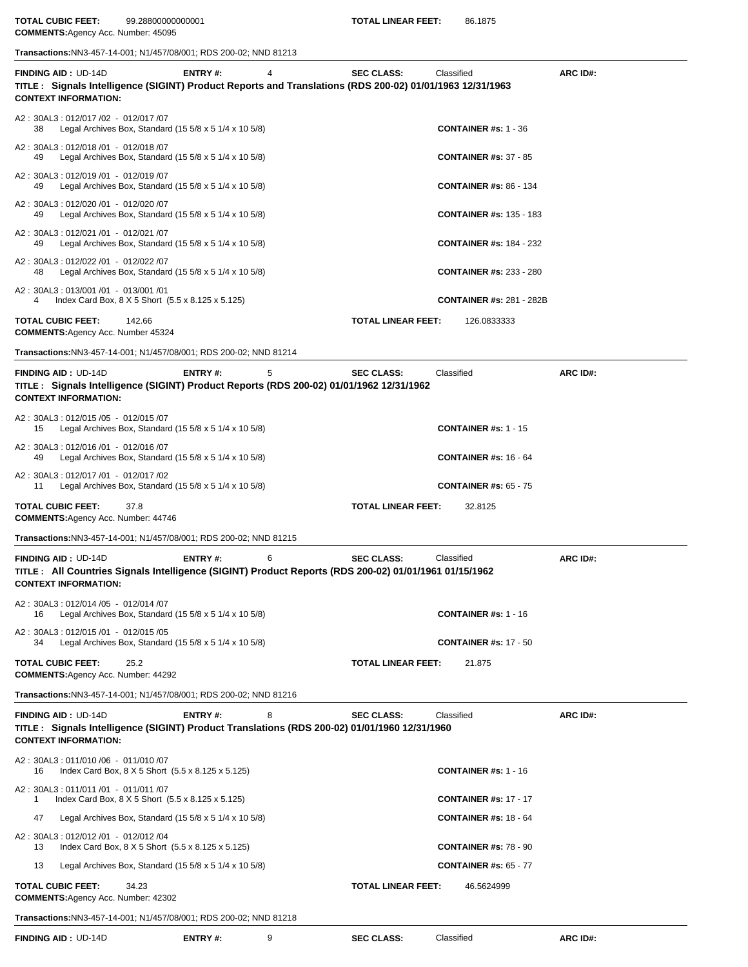**TOTAL CUBIC FEET:** 99.28800000000001 **TOTAL LINEAR FEET:** 86.1875 **COMMENTS:**Agency Acc. Number: 45095

**Transactions:**NN3-457-14-001; N1/457/08/001; RDS 200-02; NND 81213

| TITLE: Signals Intelligence (SIGINT) Product Reports and Translations (RDS 200-02) 01/01/1963 12/31/1963<br>A2: 30AL3: 012/017 /02 - 012/017 /07<br><b>CONTAINER #s: 1 - 36</b><br>Legal Archives Box, Standard $(155/8 \times 51/4 \times 105/8)$<br>38<br>A2: 30AL3: 012/018 /01 - 012/018 /07<br><b>CONTAINER #s: 37 - 85</b><br>Legal Archives Box, Standard $(15\,5/8 \times 5\,1/4 \times 10\,5/8)$<br>49<br>A2: 30AL3: 012/019 /01 - 012/019 /07<br>Legal Archives Box, Standard $(15\,5/8 \times 5\,1/4 \times 10\,5/8)$<br><b>CONTAINER #s: 86 - 134</b><br>49<br>A2: 30AL3: 012/020 /01 - 012/020 /07<br>Legal Archives Box, Standard $(15\,5/8 \times 5\,1/4 \times 10\,5/8)$<br><b>CONTAINER #s: 135 - 183</b><br>49<br>A2: 30AL3: 012/021 /01 - 012/021 /07<br>Legal Archives Box, Standard (15 5/8 x 5 1/4 x 10 5/8)<br><b>CONTAINER #s: 184 - 232</b><br>49<br>A2: 30AL3: 012/022 /01 - 012/022 /07<br>Legal Archives Box, Standard $(15\,5/8 \times 5\,1/4 \times 10\,5/8)$<br><b>CONTAINER #s: 233 - 280</b><br>48<br>A2: 30AL3: 013/001 /01 - 013/001 /01<br>Index Card Box, 8 X 5 Short (5.5 x 8.125 x 5.125)<br><b>CONTAINER #s: 281 - 282B</b><br>142.66<br><b>TOTAL LINEAR FEET:</b><br>126.0833333<br><b>COMMENTS: Agency Acc. Number 45324</b><br>Transactions: NN3-457-14-001; N1/457/08/001; RDS 200-02; NND 81214<br>ENTRY#:<br>5<br><b>SEC CLASS:</b><br>Classified<br>ARC ID#:<br>TITLE : Signals Intelligence (SIGINT) Product Reports (RDS 200-02) 01/01/1962 12/31/1962<br>A2: 30AL3: 012/015 /05 - 012/015 /07<br>Legal Archives Box, Standard $(15\ 5/8 \times 5\ 1/4 \times 10\ 5/8)$<br><b>CONTAINER #s: 1 - 15</b><br>15<br>A2: 30AL3: 012/016 /01 - 012/016 /07<br>Legal Archives Box, Standard $(15\,5/8 \times 5\,1/4 \times 10\,5/8)$<br><b>CONTAINER #s: 16 - 64</b><br>49<br>A2: 30AL3: 012/017 /01 - 012/017 /02<br>Legal Archives Box, Standard (15 5/8 x 5 1/4 x 10 5/8)<br><b>CONTAINER #s: 65 - 75</b><br>11<br><b>TOTAL CUBIC FEET:</b><br><b>TOTAL LINEAR FEET:</b><br>37.8<br>32.8125<br><b>COMMENTS:</b> Agency Acc. Number: 44746<br>Transactions: NN3-457-14-001; N1/457/08/001; RDS 200-02; NND 81215<br><b>ENTRY#:</b><br>6<br><b>SEC CLASS:</b><br>Classified<br>ARC ID#:<br>TITLE: All Countries Signals Intelligence (SIGINT) Product Reports (RDS 200-02) 01/01/1961 01/15/1962<br>A2: 30AL3: 012/014 /05 - 012/014 /07<br>Legal Archives Box, Standard (15 5/8 x 5 1/4 x 10 5/8)<br><b>CONTAINER #s: 1 - 16</b><br>A2: 30AL3: 012/015 /01 - 012/015 /05<br>Legal Archives Box, Standard $(15\ 5/8 \times 5\ 1/4 \times 10\ 5/8)$<br><b>CONTAINER #s: 17 - 50</b><br>34<br>25.2<br><b>TOTAL LINEAR FEET:</b><br>21.875<br><b>COMMENTS: Agency Acc. Number: 44292</b><br>Transactions:NN3-457-14-001; N1/457/08/001; RDS 200-02; NND 81216<br><b>ENTRY#:</b><br>8<br><b>SEC CLASS:</b><br>Classified<br>ARC ID#:<br>TITLE : Signals Intelligence (SIGINT) Product Translations (RDS 200-02) 01/01/1960 12/31/1960<br>A2: 30AL3: 011/010 /06 - 011/010 /07<br>Index Card Box, 8 X 5 Short (5.5 x 8.125 x 5.125)<br><b>CONTAINER #s: 1 - 16</b><br>16<br>A2: 30AL3: 011/011 /01 - 011/011 /07<br>Index Card Box, 8 X 5 Short (5.5 x 8.125 x 5.125)<br><b>CONTAINER #s: 17 - 17</b><br>1<br>Legal Archives Box, Standard $(155/8 \times 51/4 \times 105/8)$<br>47<br><b>CONTAINER #s: 18 - 64</b><br>A2: 30AL3: 012/012 /01 - 012/012 /04<br>Index Card Box, 8 X 5 Short (5.5 x 8.125 x 5.125)<br><b>CONTAINER #s: 78 - 90</b><br>13<br><b>CONTAINER #s: 65 - 77</b><br>13<br>Legal Archives Box, Standard $(15\ 5/8 \times 5\ 1/4 \times 10\ 5/8)$<br>34.23<br><b>TOTAL LINEAR FEET:</b><br>46.5624999<br><b>COMMENTS: Agency Acc. Number: 42302</b> |                                                           | ENTRY#: | 4 | <b>SEC CLASS:</b> | Classified | ARC ID#: |
|---------------------------------------------------------------------------------------------------------------------------------------------------------------------------------------------------------------------------------------------------------------------------------------------------------------------------------------------------------------------------------------------------------------------------------------------------------------------------------------------------------------------------------------------------------------------------------------------------------------------------------------------------------------------------------------------------------------------------------------------------------------------------------------------------------------------------------------------------------------------------------------------------------------------------------------------------------------------------------------------------------------------------------------------------------------------------------------------------------------------------------------------------------------------------------------------------------------------------------------------------------------------------------------------------------------------------------------------------------------------------------------------------------------------------------------------------------------------------------------------------------------------------------------------------------------------------------------------------------------------------------------------------------------------------------------------------------------------------------------------------------------------------------------------------------------------------------------------------------------------------------------------------------------------------------------------------------------------------------------------------------------------------------------------------------------------------------------------------------------------------------------------------------------------------------------------------------------------------------------------------------------------------------------------------------------------------------------------------------------------------------------------------------------------------------------------------------------------------------------------------------------------------------------------------------------------------------------------------------------------------------------------------------------------------------------------------------------------------------------------------------------------------------------------------------------------------------------------------------------------------------------------------------------------------------------------------------------------------------------------------------------------------------------------------------------------------------------------------------------------------------------------------------------------------------------------------------------------------------------------------------------------------------------------------------------------------------------------------------------------------------------------------------------------------------------------------------------------------------------------------------------------------------------------------------------------------------------------------------------------------------------------------------------------------------------------------------------|-----------------------------------------------------------|---------|---|-------------------|------------|----------|
|                                                                                                                                                                                                                                                                                                                                                                                                                                                                                                                                                                                                                                                                                                                                                                                                                                                                                                                                                                                                                                                                                                                                                                                                                                                                                                                                                                                                                                                                                                                                                                                                                                                                                                                                                                                                                                                                                                                                                                                                                                                                                                                                                                                                                                                                                                                                                                                                                                                                                                                                                                                                                                                                                                                                                                                                                                                                                                                                                                                                                                                                                                                                                                                                                                                                                                                                                                                                                                                                                                                                                                                                                                                                                                               | <b>CONTEXT INFORMATION:</b>                               |         |   |                   |            |          |
|                                                                                                                                                                                                                                                                                                                                                                                                                                                                                                                                                                                                                                                                                                                                                                                                                                                                                                                                                                                                                                                                                                                                                                                                                                                                                                                                                                                                                                                                                                                                                                                                                                                                                                                                                                                                                                                                                                                                                                                                                                                                                                                                                                                                                                                                                                                                                                                                                                                                                                                                                                                                                                                                                                                                                                                                                                                                                                                                                                                                                                                                                                                                                                                                                                                                                                                                                                                                                                                                                                                                                                                                                                                                                                               |                                                           |         |   |                   |            |          |
|                                                                                                                                                                                                                                                                                                                                                                                                                                                                                                                                                                                                                                                                                                                                                                                                                                                                                                                                                                                                                                                                                                                                                                                                                                                                                                                                                                                                                                                                                                                                                                                                                                                                                                                                                                                                                                                                                                                                                                                                                                                                                                                                                                                                                                                                                                                                                                                                                                                                                                                                                                                                                                                                                                                                                                                                                                                                                                                                                                                                                                                                                                                                                                                                                                                                                                                                                                                                                                                                                                                                                                                                                                                                                                               |                                                           |         |   |                   |            |          |
|                                                                                                                                                                                                                                                                                                                                                                                                                                                                                                                                                                                                                                                                                                                                                                                                                                                                                                                                                                                                                                                                                                                                                                                                                                                                                                                                                                                                                                                                                                                                                                                                                                                                                                                                                                                                                                                                                                                                                                                                                                                                                                                                                                                                                                                                                                                                                                                                                                                                                                                                                                                                                                                                                                                                                                                                                                                                                                                                                                                                                                                                                                                                                                                                                                                                                                                                                                                                                                                                                                                                                                                                                                                                                                               |                                                           |         |   |                   |            |          |
|                                                                                                                                                                                                                                                                                                                                                                                                                                                                                                                                                                                                                                                                                                                                                                                                                                                                                                                                                                                                                                                                                                                                                                                                                                                                                                                                                                                                                                                                                                                                                                                                                                                                                                                                                                                                                                                                                                                                                                                                                                                                                                                                                                                                                                                                                                                                                                                                                                                                                                                                                                                                                                                                                                                                                                                                                                                                                                                                                                                                                                                                                                                                                                                                                                                                                                                                                                                                                                                                                                                                                                                                                                                                                                               |                                                           |         |   |                   |            |          |
|                                                                                                                                                                                                                                                                                                                                                                                                                                                                                                                                                                                                                                                                                                                                                                                                                                                                                                                                                                                                                                                                                                                                                                                                                                                                                                                                                                                                                                                                                                                                                                                                                                                                                                                                                                                                                                                                                                                                                                                                                                                                                                                                                                                                                                                                                                                                                                                                                                                                                                                                                                                                                                                                                                                                                                                                                                                                                                                                                                                                                                                                                                                                                                                                                                                                                                                                                                                                                                                                                                                                                                                                                                                                                                               |                                                           |         |   |                   |            |          |
|                                                                                                                                                                                                                                                                                                                                                                                                                                                                                                                                                                                                                                                                                                                                                                                                                                                                                                                                                                                                                                                                                                                                                                                                                                                                                                                                                                                                                                                                                                                                                                                                                                                                                                                                                                                                                                                                                                                                                                                                                                                                                                                                                                                                                                                                                                                                                                                                                                                                                                                                                                                                                                                                                                                                                                                                                                                                                                                                                                                                                                                                                                                                                                                                                                                                                                                                                                                                                                                                                                                                                                                                                                                                                                               |                                                           |         |   |                   |            |          |
|                                                                                                                                                                                                                                                                                                                                                                                                                                                                                                                                                                                                                                                                                                                                                                                                                                                                                                                                                                                                                                                                                                                                                                                                                                                                                                                                                                                                                                                                                                                                                                                                                                                                                                                                                                                                                                                                                                                                                                                                                                                                                                                                                                                                                                                                                                                                                                                                                                                                                                                                                                                                                                                                                                                                                                                                                                                                                                                                                                                                                                                                                                                                                                                                                                                                                                                                                                                                                                                                                                                                                                                                                                                                                                               |                                                           |         |   |                   |            |          |
|                                                                                                                                                                                                                                                                                                                                                                                                                                                                                                                                                                                                                                                                                                                                                                                                                                                                                                                                                                                                                                                                                                                                                                                                                                                                                                                                                                                                                                                                                                                                                                                                                                                                                                                                                                                                                                                                                                                                                                                                                                                                                                                                                                                                                                                                                                                                                                                                                                                                                                                                                                                                                                                                                                                                                                                                                                                                                                                                                                                                                                                                                                                                                                                                                                                                                                                                                                                                                                                                                                                                                                                                                                                                                                               | <b>TOTAL CUBIC FEET:</b>                                  |         |   |                   |            |          |
|                                                                                                                                                                                                                                                                                                                                                                                                                                                                                                                                                                                                                                                                                                                                                                                                                                                                                                                                                                                                                                                                                                                                                                                                                                                                                                                                                                                                                                                                                                                                                                                                                                                                                                                                                                                                                                                                                                                                                                                                                                                                                                                                                                                                                                                                                                                                                                                                                                                                                                                                                                                                                                                                                                                                                                                                                                                                                                                                                                                                                                                                                                                                                                                                                                                                                                                                                                                                                                                                                                                                                                                                                                                                                                               |                                                           |         |   |                   |            |          |
|                                                                                                                                                                                                                                                                                                                                                                                                                                                                                                                                                                                                                                                                                                                                                                                                                                                                                                                                                                                                                                                                                                                                                                                                                                                                                                                                                                                                                                                                                                                                                                                                                                                                                                                                                                                                                                                                                                                                                                                                                                                                                                                                                                                                                                                                                                                                                                                                                                                                                                                                                                                                                                                                                                                                                                                                                                                                                                                                                                                                                                                                                                                                                                                                                                                                                                                                                                                                                                                                                                                                                                                                                                                                                                               | <b>FINDING AID: UD-14D</b><br><b>CONTEXT INFORMATION:</b> |         |   |                   |            |          |
|                                                                                                                                                                                                                                                                                                                                                                                                                                                                                                                                                                                                                                                                                                                                                                                                                                                                                                                                                                                                                                                                                                                                                                                                                                                                                                                                                                                                                                                                                                                                                                                                                                                                                                                                                                                                                                                                                                                                                                                                                                                                                                                                                                                                                                                                                                                                                                                                                                                                                                                                                                                                                                                                                                                                                                                                                                                                                                                                                                                                                                                                                                                                                                                                                                                                                                                                                                                                                                                                                                                                                                                                                                                                                                               |                                                           |         |   |                   |            |          |
|                                                                                                                                                                                                                                                                                                                                                                                                                                                                                                                                                                                                                                                                                                                                                                                                                                                                                                                                                                                                                                                                                                                                                                                                                                                                                                                                                                                                                                                                                                                                                                                                                                                                                                                                                                                                                                                                                                                                                                                                                                                                                                                                                                                                                                                                                                                                                                                                                                                                                                                                                                                                                                                                                                                                                                                                                                                                                                                                                                                                                                                                                                                                                                                                                                                                                                                                                                                                                                                                                                                                                                                                                                                                                                               |                                                           |         |   |                   |            |          |
|                                                                                                                                                                                                                                                                                                                                                                                                                                                                                                                                                                                                                                                                                                                                                                                                                                                                                                                                                                                                                                                                                                                                                                                                                                                                                                                                                                                                                                                                                                                                                                                                                                                                                                                                                                                                                                                                                                                                                                                                                                                                                                                                                                                                                                                                                                                                                                                                                                                                                                                                                                                                                                                                                                                                                                                                                                                                                                                                                                                                                                                                                                                                                                                                                                                                                                                                                                                                                                                                                                                                                                                                                                                                                                               |                                                           |         |   |                   |            |          |
|                                                                                                                                                                                                                                                                                                                                                                                                                                                                                                                                                                                                                                                                                                                                                                                                                                                                                                                                                                                                                                                                                                                                                                                                                                                                                                                                                                                                                                                                                                                                                                                                                                                                                                                                                                                                                                                                                                                                                                                                                                                                                                                                                                                                                                                                                                                                                                                                                                                                                                                                                                                                                                                                                                                                                                                                                                                                                                                                                                                                                                                                                                                                                                                                                                                                                                                                                                                                                                                                                                                                                                                                                                                                                                               |                                                           |         |   |                   |            |          |
|                                                                                                                                                                                                                                                                                                                                                                                                                                                                                                                                                                                                                                                                                                                                                                                                                                                                                                                                                                                                                                                                                                                                                                                                                                                                                                                                                                                                                                                                                                                                                                                                                                                                                                                                                                                                                                                                                                                                                                                                                                                                                                                                                                                                                                                                                                                                                                                                                                                                                                                                                                                                                                                                                                                                                                                                                                                                                                                                                                                                                                                                                                                                                                                                                                                                                                                                                                                                                                                                                                                                                                                                                                                                                                               |                                                           |         |   |                   |            |          |
|                                                                                                                                                                                                                                                                                                                                                                                                                                                                                                                                                                                                                                                                                                                                                                                                                                                                                                                                                                                                                                                                                                                                                                                                                                                                                                                                                                                                                                                                                                                                                                                                                                                                                                                                                                                                                                                                                                                                                                                                                                                                                                                                                                                                                                                                                                                                                                                                                                                                                                                                                                                                                                                                                                                                                                                                                                                                                                                                                                                                                                                                                                                                                                                                                                                                                                                                                                                                                                                                                                                                                                                                                                                                                                               |                                                           |         |   |                   |            |          |
|                                                                                                                                                                                                                                                                                                                                                                                                                                                                                                                                                                                                                                                                                                                                                                                                                                                                                                                                                                                                                                                                                                                                                                                                                                                                                                                                                                                                                                                                                                                                                                                                                                                                                                                                                                                                                                                                                                                                                                                                                                                                                                                                                                                                                                                                                                                                                                                                                                                                                                                                                                                                                                                                                                                                                                                                                                                                                                                                                                                                                                                                                                                                                                                                                                                                                                                                                                                                                                                                                                                                                                                                                                                                                                               | <b>FINDING AID: UD-14D</b><br><b>CONTEXT INFORMATION:</b> |         |   |                   |            |          |
|                                                                                                                                                                                                                                                                                                                                                                                                                                                                                                                                                                                                                                                                                                                                                                                                                                                                                                                                                                                                                                                                                                                                                                                                                                                                                                                                                                                                                                                                                                                                                                                                                                                                                                                                                                                                                                                                                                                                                                                                                                                                                                                                                                                                                                                                                                                                                                                                                                                                                                                                                                                                                                                                                                                                                                                                                                                                                                                                                                                                                                                                                                                                                                                                                                                                                                                                                                                                                                                                                                                                                                                                                                                                                                               |                                                           |         |   |                   |            |          |
|                                                                                                                                                                                                                                                                                                                                                                                                                                                                                                                                                                                                                                                                                                                                                                                                                                                                                                                                                                                                                                                                                                                                                                                                                                                                                                                                                                                                                                                                                                                                                                                                                                                                                                                                                                                                                                                                                                                                                                                                                                                                                                                                                                                                                                                                                                                                                                                                                                                                                                                                                                                                                                                                                                                                                                                                                                                                                                                                                                                                                                                                                                                                                                                                                                                                                                                                                                                                                                                                                                                                                                                                                                                                                                               |                                                           |         |   |                   |            |          |
|                                                                                                                                                                                                                                                                                                                                                                                                                                                                                                                                                                                                                                                                                                                                                                                                                                                                                                                                                                                                                                                                                                                                                                                                                                                                                                                                                                                                                                                                                                                                                                                                                                                                                                                                                                                                                                                                                                                                                                                                                                                                                                                                                                                                                                                                                                                                                                                                                                                                                                                                                                                                                                                                                                                                                                                                                                                                                                                                                                                                                                                                                                                                                                                                                                                                                                                                                                                                                                                                                                                                                                                                                                                                                                               | <b>TOTAL CUBIC FEET:</b>                                  |         |   |                   |            |          |
|                                                                                                                                                                                                                                                                                                                                                                                                                                                                                                                                                                                                                                                                                                                                                                                                                                                                                                                                                                                                                                                                                                                                                                                                                                                                                                                                                                                                                                                                                                                                                                                                                                                                                                                                                                                                                                                                                                                                                                                                                                                                                                                                                                                                                                                                                                                                                                                                                                                                                                                                                                                                                                                                                                                                                                                                                                                                                                                                                                                                                                                                                                                                                                                                                                                                                                                                                                                                                                                                                                                                                                                                                                                                                                               |                                                           |         |   |                   |            |          |
|                                                                                                                                                                                                                                                                                                                                                                                                                                                                                                                                                                                                                                                                                                                                                                                                                                                                                                                                                                                                                                                                                                                                                                                                                                                                                                                                                                                                                                                                                                                                                                                                                                                                                                                                                                                                                                                                                                                                                                                                                                                                                                                                                                                                                                                                                                                                                                                                                                                                                                                                                                                                                                                                                                                                                                                                                                                                                                                                                                                                                                                                                                                                                                                                                                                                                                                                                                                                                                                                                                                                                                                                                                                                                                               | <b>FINDING AID: UD-14D</b><br><b>CONTEXT INFORMATION:</b> |         |   |                   |            |          |
|                                                                                                                                                                                                                                                                                                                                                                                                                                                                                                                                                                                                                                                                                                                                                                                                                                                                                                                                                                                                                                                                                                                                                                                                                                                                                                                                                                                                                                                                                                                                                                                                                                                                                                                                                                                                                                                                                                                                                                                                                                                                                                                                                                                                                                                                                                                                                                                                                                                                                                                                                                                                                                                                                                                                                                                                                                                                                                                                                                                                                                                                                                                                                                                                                                                                                                                                                                                                                                                                                                                                                                                                                                                                                                               |                                                           |         |   |                   |            |          |
|                                                                                                                                                                                                                                                                                                                                                                                                                                                                                                                                                                                                                                                                                                                                                                                                                                                                                                                                                                                                                                                                                                                                                                                                                                                                                                                                                                                                                                                                                                                                                                                                                                                                                                                                                                                                                                                                                                                                                                                                                                                                                                                                                                                                                                                                                                                                                                                                                                                                                                                                                                                                                                                                                                                                                                                                                                                                                                                                                                                                                                                                                                                                                                                                                                                                                                                                                                                                                                                                                                                                                                                                                                                                                                               |                                                           |         |   |                   |            |          |
|                                                                                                                                                                                                                                                                                                                                                                                                                                                                                                                                                                                                                                                                                                                                                                                                                                                                                                                                                                                                                                                                                                                                                                                                                                                                                                                                                                                                                                                                                                                                                                                                                                                                                                                                                                                                                                                                                                                                                                                                                                                                                                                                                                                                                                                                                                                                                                                                                                                                                                                                                                                                                                                                                                                                                                                                                                                                                                                                                                                                                                                                                                                                                                                                                                                                                                                                                                                                                                                                                                                                                                                                                                                                                                               |                                                           |         |   |                   |            |          |
|                                                                                                                                                                                                                                                                                                                                                                                                                                                                                                                                                                                                                                                                                                                                                                                                                                                                                                                                                                                                                                                                                                                                                                                                                                                                                                                                                                                                                                                                                                                                                                                                                                                                                                                                                                                                                                                                                                                                                                                                                                                                                                                                                                                                                                                                                                                                                                                                                                                                                                                                                                                                                                                                                                                                                                                                                                                                                                                                                                                                                                                                                                                                                                                                                                                                                                                                                                                                                                                                                                                                                                                                                                                                                                               |                                                           |         |   |                   |            |          |
|                                                                                                                                                                                                                                                                                                                                                                                                                                                                                                                                                                                                                                                                                                                                                                                                                                                                                                                                                                                                                                                                                                                                                                                                                                                                                                                                                                                                                                                                                                                                                                                                                                                                                                                                                                                                                                                                                                                                                                                                                                                                                                                                                                                                                                                                                                                                                                                                                                                                                                                                                                                                                                                                                                                                                                                                                                                                                                                                                                                                                                                                                                                                                                                                                                                                                                                                                                                                                                                                                                                                                                                                                                                                                                               |                                                           |         |   |                   |            |          |
| Transactions: NN3-457-14-001; N1/457/08/001; RDS 200-02; NND 81218                                                                                                                                                                                                                                                                                                                                                                                                                                                                                                                                                                                                                                                                                                                                                                                                                                                                                                                                                                                                                                                                                                                                                                                                                                                                                                                                                                                                                                                                                                                                                                                                                                                                                                                                                                                                                                                                                                                                                                                                                                                                                                                                                                                                                                                                                                                                                                                                                                                                                                                                                                                                                                                                                                                                                                                                                                                                                                                                                                                                                                                                                                                                                                                                                                                                                                                                                                                                                                                                                                                                                                                                                                            | <b>TOTAL CUBIC FEET:</b>                                  |         |   |                   |            |          |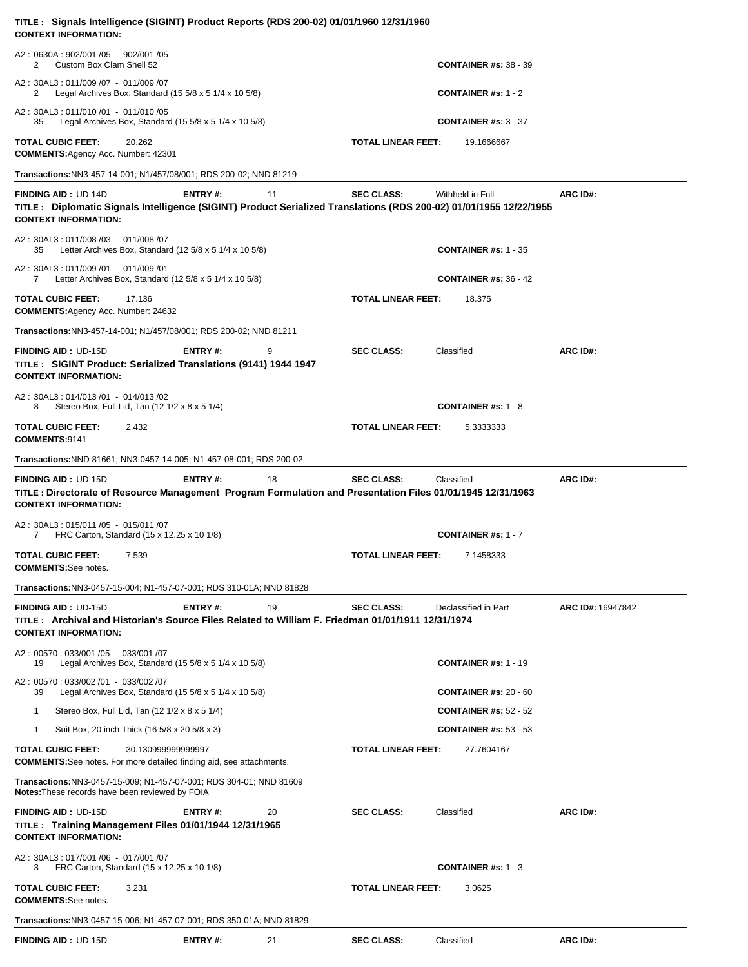| TITLE : Signals Intelligence (SIGINT) Product Reports (RDS 200-02) 01/01/1960 12/31/1960<br><b>CONTEXT INFORMATION:</b>                                                 |                |    |                           |                                          |                   |
|-------------------------------------------------------------------------------------------------------------------------------------------------------------------------|----------------|----|---------------------------|------------------------------------------|-------------------|
| A2: 0630A: 902/001 /05 - 902/001 /05<br>Custom Box Clam Shell 52<br>2                                                                                                   |                |    |                           | <b>CONTAINER #s: 38 - 39</b>             |                   |
| A2: 30AL3: 011/009 /07 - 011/009 /07<br>Legal Archives Box, Standard $(15\ 5/8 \times 5\ 1/4 \times 10\ 5/8)$<br>2                                                      |                |    |                           | <b>CONTAINER #s: 1 - 2</b>               |                   |
| A2: 30AL3: 011/010 /01 - 011/010 /05<br>Legal Archives Box, Standard $(15\ 5/8 \times 5\ 1/4 \times 10\ 5/8)$<br>35                                                     |                |    |                           | <b>CONTAINER #s: <math>3 - 37</math></b> |                   |
| <b>TOTAL CUBIC FEET:</b><br>20.262<br>COMMENTS: Agency Acc. Number: 42301                                                                                               |                |    | <b>TOTAL LINEAR FEET:</b> | 19.1666667                               |                   |
| Transactions: NN3-457-14-001; N1/457/08/001; RDS 200-02; NND 81219                                                                                                      |                |    |                           |                                          |                   |
| <b>FINDING AID: UD-14D</b>                                                                                                                                              | ENTRY#:        | 11 | <b>SEC CLASS:</b>         | Withheld in Full                         | ARC ID#:          |
| TITLE : Diplomatic Signals Intelligence (SIGINT) Product Serialized Translations (RDS 200-02) 01/01/1955 12/22/1955<br><b>CONTEXT INFORMATION:</b>                      |                |    |                           |                                          |                   |
| A2:30AL3:011/008 /03 - 011/008 /07<br>Letter Archives Box, Standard $(125/8 \times 51/4 \times 105/8)$<br>35                                                            |                |    |                           | <b>CONTAINER #s: 1 - 35</b>              |                   |
| A2: 30AL3: 011/009 /01 - 011/009 /01<br>Letter Archives Box, Standard (12 5/8 x 5 1/4 x 10 5/8)<br>7                                                                    |                |    |                           | <b>CONTAINER #s: 36 - 42</b>             |                   |
| <b>TOTAL CUBIC FEET:</b><br>17.136<br><b>COMMENTS: Agency Acc. Number: 24632</b>                                                                                        |                |    | <b>TOTAL LINEAR FEET:</b> | 18.375                                   |                   |
| Transactions:NN3-457-14-001; N1/457/08/001; RDS 200-02; NND 81211                                                                                                       |                |    |                           |                                          |                   |
| <b>FINDING AID: UD-15D</b><br>TITLE : SIGINT Product: Serialized Translations (9141) 1944 1947<br><b>CONTEXT INFORMATION:</b>                                           | ENTRY#:        | 9  | <b>SEC CLASS:</b>         | Classified                               | ARC ID#:          |
| A2:30AL3:014/013 /01 - 014/013 /02<br>Stereo Box, Full Lid, Tan (12 1/2 x 8 x 5 1/4)<br>8                                                                               |                |    |                           | <b>CONTAINER #s: 1 - 8</b>               |                   |
| <b>TOTAL CUBIC FEET:</b><br>2.432<br>COMMENTS:9141                                                                                                                      |                |    | <b>TOTAL LINEAR FEET:</b> | 5.3333333                                |                   |
| <b>Transactions: NND 81661; NN3-0457-14-005; N1-457-08-001; RDS 200-02</b>                                                                                              |                |    |                           |                                          |                   |
| <b>FINDING AID: UD-15D</b><br>TITLE: Directorate of Resource Management Program Formulation and Presentation Files 01/01/1945 12/31/1963<br><b>CONTEXT INFORMATION:</b> | ENTRY#:        | 18 | <b>SEC CLASS:</b>         | Classified                               | ARC ID#:          |
| A2: 30AL3: 015/011 /05 - 015/011 /07<br>FRC Carton, Standard (15 x 12.25 x 10 1/8)<br>7.                                                                                |                |    |                           | CONTAINER #s: $1 - 7$                    |                   |
| <b>TOTAL CUBIC FEET:</b><br>7.539<br><b>COMMENTS:See notes.</b>                                                                                                         |                |    | <b>TOTAL LINEAR FEET:</b> | 7.1458333                                |                   |
| <b>Transactions:</b> NN3-0457-15-004; N1-457-07-001; RDS 310-01A; NND 81828                                                                                             |                |    |                           |                                          |                   |
| <b>FINDING AID: UD-15D</b><br>TITLE: Archival and Historian's Source Files Related to William F. Friedman 01/01/1911 12/31/1974<br><b>CONTEXT INFORMATION:</b>          | <b>ENTRY#:</b> | 19 | <b>SEC CLASS:</b>         | Declassified in Part                     | ARC ID#: 16947842 |
| A2: 00570: 033/001/05 - 033/001/07<br>Legal Archives Box, Standard (15 $5/8 \times 5$ 1/4 $\times$ 10 $5/8$ )<br>19                                                     |                |    |                           | <b>CONTAINER #s: 1 - 19</b>              |                   |
| A2: 00570: 033/002 /01 - 033/002 /07<br>Legal Archives Box, Standard $(15\ 5/8 \times 5\ 1/4 \times 10\ 5/8)$<br>39                                                     |                |    |                           | <b>CONTAINER #s: 20 - 60</b>             |                   |
| Stereo Box, Full Lid, Tan (12 1/2 x 8 x 5 1/4)<br>1                                                                                                                     |                |    |                           | <b>CONTAINER #s: 52 - 52</b>             |                   |
| Suit Box, 20 inch Thick (16 5/8 x 20 5/8 x 3)<br>1                                                                                                                      |                |    |                           | <b>CONTAINER #s: 53 - 53</b>             |                   |
| <b>TOTAL CUBIC FEET:</b><br>30.130999999999997<br><b>COMMENTS:</b> See notes. For more detailed finding aid, see attachments.                                           |                |    | <b>TOTAL LINEAR FEET:</b> | 27.7604167                               |                   |
| Transactions:NN3-0457-15-009; N1-457-07-001; RDS 304-01; NND 81609<br>Notes: These records have been reviewed by FOIA                                                   |                |    |                           |                                          |                   |
| <b>FINDING AID: UD-15D</b><br>TITLE: Training Management Files 01/01/1944 12/31/1965<br><b>CONTEXT INFORMATION:</b>                                                     | <b>ENTRY#:</b> | 20 | <b>SEC CLASS:</b>         | Classified                               | ARC ID#:          |
| A2: 30AL3: 017/001 /06 - 017/001 /07<br>FRC Carton, Standard (15 x 12.25 x 10 1/8)<br>3                                                                                 |                |    |                           | <b>CONTAINER #s: 1 - 3</b>               |                   |
| <b>TOTAL CUBIC FEET:</b><br>3.231<br><b>COMMENTS:See notes.</b>                                                                                                         |                |    | <b>TOTAL LINEAR FEET:</b> | 3.0625                                   |                   |
| <b>Transactions:</b> NN3-0457-15-006; N1-457-07-001; RDS 350-01A; NND 81829                                                                                             |                |    |                           |                                          |                   |
| <b>FINDING AID: UD-15D</b>                                                                                                                                              | ENTRY#:        | 21 | <b>SEC CLASS:</b>         | Classified                               | ARC ID#:          |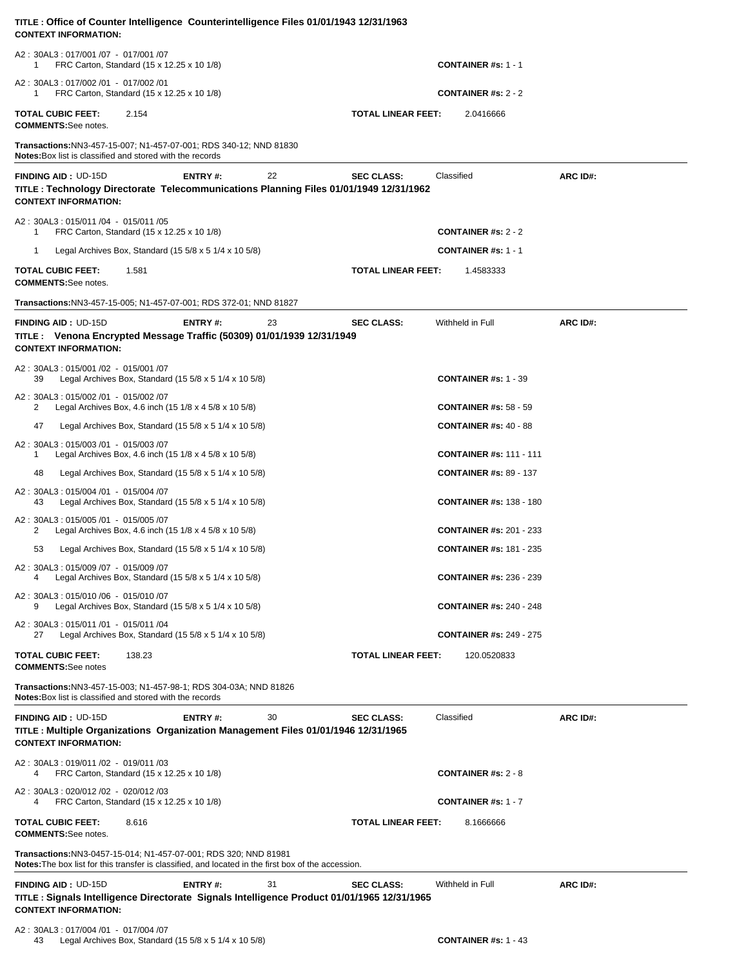| TITLE: Office of Counter Intelligence Counterintelligence Files 01/01/1943 12/31/1963<br><b>CONTEXT INFORMATION:</b>                                                    |                |    |                           |                                |          |
|-------------------------------------------------------------------------------------------------------------------------------------------------------------------------|----------------|----|---------------------------|--------------------------------|----------|
| A2: 30AL3: 017/001 /07 - 017/001 /07<br>FRC Carton, Standard (15 x 12.25 x 10 1/8)<br>1                                                                                 |                |    |                           | <b>CONTAINER #s: 1 - 1</b>     |          |
| A2: 30AL3: 017/002 /01 - 017/002 /01<br>FRC Carton, Standard (15 x 12.25 x 10 1/8)<br>1                                                                                 |                |    |                           | <b>CONTAINER #s: 2 - 2</b>     |          |
| <b>TOTAL CUBIC FEET:</b><br>2.154<br><b>COMMENTS:</b> See notes.                                                                                                        |                |    | <b>TOTAL LINEAR FEET:</b> | 2.0416666                      |          |
| Transactions: NN3-457-15-007; N1-457-07-001; RDS 340-12; NND 81830<br><b>Notes:</b> Box list is classified and stored with the records                                  |                |    |                           |                                |          |
| <b>FINDING AID: UD-15D</b><br>TITLE : Technology Directorate Telecommunications Planning Files 01/01/1949 12/31/1962<br><b>CONTEXT INFORMATION:</b>                     | ENTRY#:        | 22 | <b>SEC CLASS:</b>         | Classified                     | ARC ID#: |
| A2: 30AL3: 015/011 /04 - 015/011 /05<br>FRC Carton, Standard (15 x 12.25 x 10 1/8)<br>1                                                                                 |                |    |                           | <b>CONTAINER #s: 2 - 2</b>     |          |
| $\mathbf 1$<br>Legal Archives Box, Standard (15 $5/8 \times 5$ 1/4 $\times$ 10 $5/8$ )                                                                                  |                |    |                           | <b>CONTAINER #s: 1 - 1</b>     |          |
| <b>TOTAL CUBIC FEET:</b><br>1.581<br><b>COMMENTS:</b> See notes.                                                                                                        |                |    | <b>TOTAL LINEAR FEET:</b> | 1.4583333                      |          |
| Transactions: NN3-457-15-005; N1-457-07-001; RDS 372-01; NND 81827                                                                                                      |                |    |                           |                                |          |
| <b>FINDING AID: UD-15D</b><br>TITLE : Venona Encrypted Message Traffic (50309) 01/01/1939 12/31/1949<br><b>CONTEXT INFORMATION:</b>                                     | <b>ENTRY#:</b> | 23 | <b>SEC CLASS:</b>         | Withheld in Full               | ARC ID#: |
| A2: 30AL3: 015/001 /02 - 015/001 /07<br>Legal Archives Box, Standard (15 $5/8 \times 5$ 1/4 $\times$ 10 $5/8$ )<br>39                                                   |                |    |                           | <b>CONTAINER #s: 1 - 39</b>    |          |
| A2: 30AL3: 015/002 /01 - 015/002 /07<br>Legal Archives Box, 4.6 inch (15 1/8 x 4 5/8 x 10 5/8)<br>2                                                                     |                |    |                           | <b>CONTAINER #s: 58 - 59</b>   |          |
| 47<br>Legal Archives Box, Standard (15 $5/8 \times 5$ 1/4 $\times$ 10 $5/8$ )                                                                                           |                |    |                           | <b>CONTAINER #s: 40 - 88</b>   |          |
| A2: 30AL3: 015/003 /01 - 015/003 /07<br>Legal Archives Box, 4.6 inch (15 1/8 x 4 5/8 x 10 5/8)<br>1                                                                     |                |    |                           | <b>CONTAINER #s: 111 - 111</b> |          |
| 48<br>Legal Archives Box, Standard $(15\ 5/8 \times 5\ 1/4 \times 10\ 5/8)$                                                                                             |                |    |                           | <b>CONTAINER #s: 89 - 137</b>  |          |
| A2: 30AL3: 015/004 /01 - 015/004 /07<br>Legal Archives Box, Standard $(15\ 5/8 \times 5\ 1/4 \times 10\ 5/8)$<br>43                                                     |                |    |                           | <b>CONTAINER #s: 138 - 180</b> |          |
| A2: 30AL3: 015/005 /01 - 015/005 /07<br>Legal Archives Box, 4.6 inch (15 1/8 x 4 5/8 x 10 5/8)<br>2                                                                     |                |    |                           | <b>CONTAINER #s: 201 - 233</b> |          |
| 53<br>Legal Archives Box, Standard $(15\ 5/8 \times 5\ 1/4 \times 10\ 5/8)$                                                                                             |                |    |                           | <b>CONTAINER #s: 181 - 235</b> |          |
| A2: 30AL3: 015/009 /07 - 015/009 /07<br>Legal Archives Box, Standard (15 $5/8 \times 5$ 1/4 $\times$ 10 $5/8$ )<br>4                                                    |                |    |                           | <b>CONTAINER #s: 236 - 239</b> |          |
| A2: 30AL3: 015/010 /06 - 015/010 /07<br>Legal Archives Box, Standard (15 $5/8 \times 5$ 1/4 $\times$ 10 $5/8$ )<br>9                                                    |                |    |                           | <b>CONTAINER #s: 240 - 248</b> |          |
| A2: 30AL3: 015/011 /01 - 015/011 /04<br>Legal Archives Box, Standard (15 $5/8 \times 5$ 1/4 $\times$ 10 $5/8$ )<br>27                                                   |                |    |                           | <b>CONTAINER #s: 249 - 275</b> |          |
| <b>TOTAL CUBIC FEET:</b><br>138.23<br><b>COMMENTS:See notes</b>                                                                                                         |                |    | <b>TOTAL LINEAR FEET:</b> | 120.0520833                    |          |
| Transactions: NN3-457-15-003; N1-457-98-1; RDS 304-03A; NND 81826<br><b>Notes:</b> Box list is classified and stored with the records                                   |                |    |                           |                                |          |
| <b>FINDING AID: UD-15D</b><br>TITLE: Multiple Organizations Organization Management Files 01/01/1946 12/31/1965<br><b>CONTEXT INFORMATION:</b>                          | ENTRY#:        | 30 | <b>SEC CLASS:</b>         | Classified                     | ARC ID#: |
| A2: 30AL3: 019/011 /02 - 019/011 /03<br>FRC Carton, Standard (15 x 12.25 x 10 1/8)                                                                                      |                |    |                           | <b>CONTAINER #s: 2 - 8</b>     |          |
| A2: 30AL3: 020/012 /02 - 020/012 /03<br>FRC Carton, Standard (15 x 12.25 x 10 1/8)                                                                                      |                |    |                           | <b>CONTAINER #s: 1 - 7</b>     |          |
| <b>TOTAL CUBIC FEET:</b><br>8.616<br><b>COMMENTS:See notes.</b>                                                                                                         |                |    | <b>TOTAL LINEAR FEET:</b> | 8.1666666                      |          |
| Transactions: NN3-0457-15-014; N1-457-07-001; RDS 320; NND 81981<br>Notes: The box list for this transfer is classified, and located in the first box of the accession. |                |    |                           |                                |          |
| <b>FINDING AID: UD-15D</b><br>TITLE : Signals Intelligence Directorate Signals Intelligence Product 01/01/1965 12/31/1965<br><b>CONTEXT INFORMATION:</b>                | ENTRY#:        | 31 | <b>SEC CLASS:</b>         | Withheld in Full               | ARC ID#: |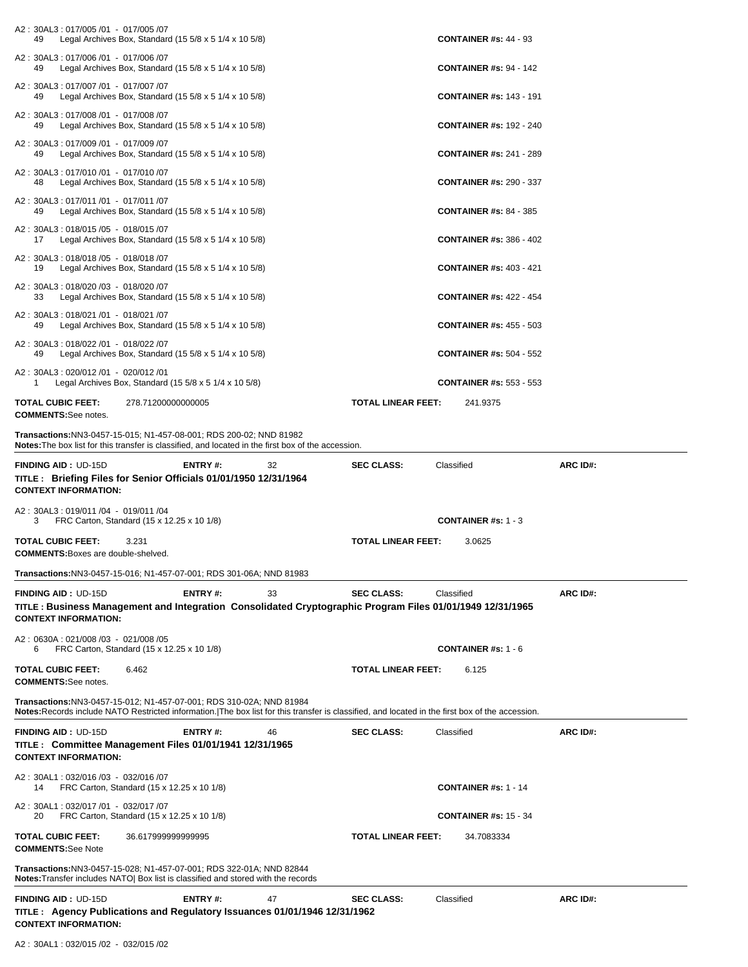| A2: 30AL3: 017/005 /01 - 017/005 /07                                                                                                                                                    |                                                                   |          |
|-----------------------------------------------------------------------------------------------------------------------------------------------------------------------------------------|-------------------------------------------------------------------|----------|
| Legal Archives Box, Standard $(155/8 \times 51/4 \times 105/8)$<br>49<br>A2: 30AL3: 017/006 /01 - 017/006 /07                                                                           | <b>CONTAINER #s: 44 - 93</b>                                      |          |
| Legal Archives Box, Standard $(15\ 5/8 \times 5\ 1/4 \times 10\ 5/8)$<br>49<br>A2: 30AL3: 017/007 /01 - 017/007 /07                                                                     | <b>CONTAINER #s: 94 - 142</b>                                     |          |
| Legal Archives Box, Standard $(155/8 \times 51/4 \times 105/8)$<br>49                                                                                                                   | <b>CONTAINER #s: 143 - 191</b>                                    |          |
| A2: 30AL3: 017/008 /01 - 017/008 /07<br>Legal Archives Box, Standard $(15\ 5/8 \times 5\ 1/4 \times 10\ 5/8)$<br>49                                                                     | <b>CONTAINER #s: 192 - 240</b>                                    |          |
| A2: 30AL3: 017/009 /01 - 017/009 /07<br>Legal Archives Box, Standard $(15\ 5/8 \times 5\ 1/4 \times 10\ 5/8)$<br>49                                                                     | <b>CONTAINER #s: 241 - 289</b>                                    |          |
| A2: 30AL3: 017/010 /01 - 017/010 /07<br>Legal Archives Box, Standard $(15\ 5/8 \times 5\ 1/4 \times 10\ 5/8)$<br>48                                                                     | <b>CONTAINER #s: 290 - 337</b>                                    |          |
| A2: 30AL3: 017/011 /01 - 017/011 /07<br>Legal Archives Box, Standard $(15\,5/8 \times 5\,1/4 \times 10\,5/8)$<br>49                                                                     | <b>CONTAINER #s: 84 - 385</b>                                     |          |
| A2: 30AL3: 018/015 /05 - 018/015 /07<br>Legal Archives Box, Standard (15 $5/8 \times 5$ 1/4 $\times$ 10 $5/8$ )<br>17                                                                   | <b>CONTAINER #s: 386 - 402</b>                                    |          |
| A2: 30AL3: 018/018 /05 - 018/018 /07<br>Legal Archives Box, Standard (15 $5/8 \times 5$ 1/4 $\times$ 10 $5/8$ )<br>19                                                                   | <b>CONTAINER #s: 403 - 421</b>                                    |          |
| A2: 30AL3: 018/020 /03 - 018/020 /07<br>Legal Archives Box, Standard $(15\,5/8 \times 5\,1/4 \times 10\,5/8)$<br>33                                                                     | <b>CONTAINER #s: 422 - 454</b>                                    |          |
| A2: 30AL3: 018/021 /01 - 018/021 /07<br>Legal Archives Box, Standard (15 5/8 x 5 1/4 x 10 5/8)<br>49                                                                                    | <b>CONTAINER #s: 455 - 503</b>                                    |          |
| A2: 30AL3: 018/022 /01 - 018/022 /07<br>Legal Archives Box, Standard (15 5/8 x 5 1/4 x 10 5/8)<br>49                                                                                    | <b>CONTAINER #s: 504 - 552</b>                                    |          |
| A2: 30AL3: 020/012 /01 - 020/012 /01<br>Legal Archives Box, Standard (15 $5/8 \times 5$ 1/4 $\times$ 10 $5/8$ )<br>1                                                                    | <b>CONTAINER #s: 553 - 553</b>                                    |          |
| <b>TOTAL CUBIC FEET:</b><br>278.71200000000005                                                                                                                                          | <b>TOTAL LINEAR FEET:</b><br>241.9375                             |          |
| <b>COMMENTS:See notes.</b><br>Transactions: NN3-0457-15-015; N1-457-08-001; RDS 200-02; NND 81982                                                                                       |                                                                   |          |
| Notes: The box list for this transfer is classified, and located in the first box of the accession.<br><b>FINDING AID: UD-15D</b><br>ENTRY#:<br>32                                      | <b>SEC CLASS:</b><br>Classified                                   | ARC ID#: |
| TITLE: Briefing Files for Senior Officials 01/01/1950 12/31/1964                                                                                                                        |                                                                   |          |
| <b>CONTEXT INFORMATION:</b>                                                                                                                                                             |                                                                   |          |
| A2: 30AL3: 019/011 /04 - 019/011 /04                                                                                                                                                    |                                                                   |          |
| FRC Carton, Standard (15 x 12.25 x 10 1/8)<br>3<br><b>TOTAL CUBIC FEET:</b><br>3.231                                                                                                    | <b>CONTAINER #s: 1 - 3</b><br><b>TOTAL LINEAR FEET:</b><br>3.0625 |          |
| <b>COMMENTS:</b> Boxes are double-shelved.                                                                                                                                              |                                                                   |          |
| Transactions:NN3-0457-15-016; N1-457-07-001; RDS 301-06A; NND 81983                                                                                                                     |                                                                   |          |
| ENTRY#:<br><b>FINDING AID: UD-15D</b><br>33<br>TITLE: Business Management and Integration Consolidated Cryptographic Program Files 01/01/1949 12/31/1965<br><b>CONTEXT INFORMATION:</b> | <b>SEC CLASS:</b><br>Classified                                   | ARC ID#: |
| A2: 0630A: 021/008 /03 - 021/008 /05<br>FRC Carton, Standard (15 x 12.25 x 10 1/8)<br>6                                                                                                 | <b>CONTAINER #s: 1 - 6</b>                                        |          |
| <b>TOTAL CUBIC FEET:</b><br>6.462<br><b>COMMENTS:See notes.</b>                                                                                                                         | <b>TOTAL LINEAR FEET:</b><br>6.125                                |          |
| Transactions: NN3-0457-15-012; N1-457-07-001; RDS 310-02A; NND 81984                                                                                                                    |                                                                   |          |
| Notes: Records include NATO Restricted information. The box list for this transfer is classified, and located in the first box of the accession.                                        |                                                                   |          |
| ENTRY#:<br>46<br><b>FINDING AID: UD-15D</b><br>TITLE : Committee Management Files 01/01/1941 12/31/1965<br><b>CONTEXT INFORMATION:</b>                                                  | <b>SEC CLASS:</b><br>Classified                                   | ARC ID#: |
| A2: 30AL1: 032/016 /03 - 032/016 /07<br>FRC Carton, Standard (15 x 12.25 x 10 1/8)<br>14                                                                                                | <b>CONTAINER #s: 1 - 14</b>                                       |          |
| A2: 30AL1: 032/017 /01 - 032/017 /07<br>FRC Carton, Standard (15 x 12.25 x 10 1/8)<br>20                                                                                                | <b>CONTAINER #s: 15 - 34</b>                                      |          |
| <b>TOTAL CUBIC FEET:</b><br>36.617999999999995<br><b>COMMENTS:See Note</b>                                                                                                              | <b>TOTAL LINEAR FEET:</b><br>34.7083334                           |          |
| Transactions: NN3-0457-15-028; N1-457-07-001; RDS 322-01A; NND 82844<br><b>Notes:</b> Transfer includes NATO Box list is classified and stored with the records                         |                                                                   |          |
| FINDING AID: UD-15D<br><b>ENTRY#:</b><br>47                                                                                                                                             | Classified<br><b>SEC CLASS:</b>                                   | ARC ID#: |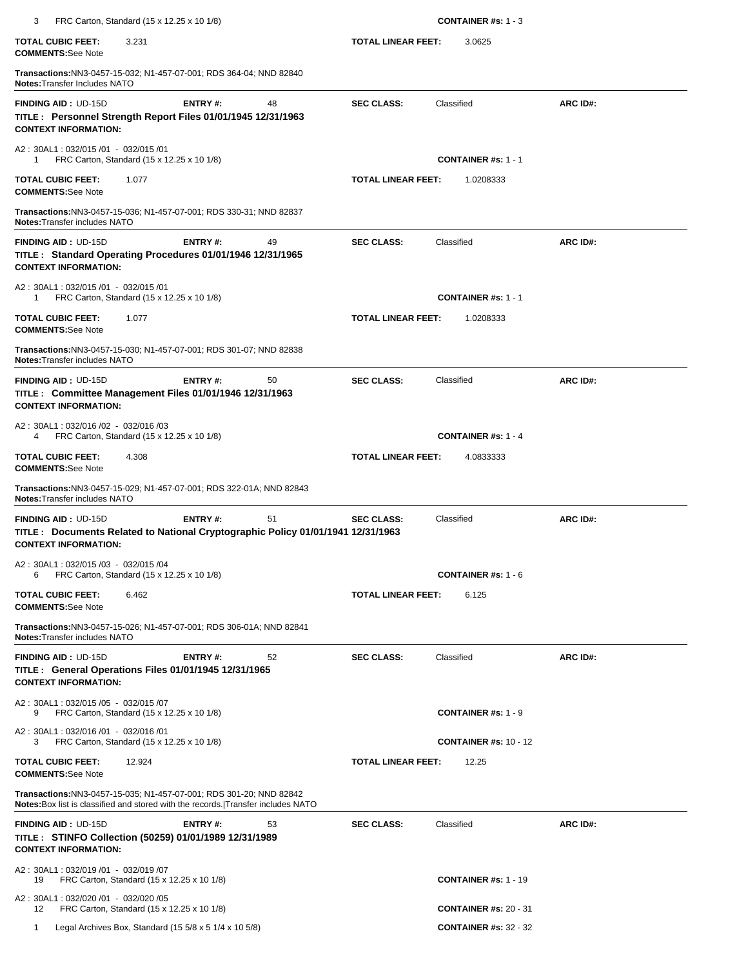| 3<br>FRC Carton, Standard (15 x 12.25 x 10 1/8)                                                                                                          |                    | <b>CONTAINER #s: 1 - 3</b>   |          |
|----------------------------------------------------------------------------------------------------------------------------------------------------------|--------------------|------------------------------|----------|
| <b>TOTAL CUBIC FEET:</b><br>3.231<br><b>COMMENTS:See Note</b>                                                                                            | TOTAL LINEAR FEET: | 3.0625                       |          |
| Transactions: NN3-0457-15-032; N1-457-07-001; RDS 364-04; NND 82840<br>Notes: Transfer Includes NATO                                                     |                    |                              |          |
| <b>FINDING AID: UD-15D</b><br>ENTRY#:<br>48<br>TITLE : Personnel Strength Report Files 01/01/1945 12/31/1963<br><b>CONTEXT INFORMATION:</b>              | <b>SEC CLASS:</b>  | Classified                   | ARC ID#: |
| A2: 30AL1: 032/015 /01 - 032/015 /01<br>FRC Carton, Standard (15 x 12.25 x 10 1/8)<br>1                                                                  |                    | <b>CONTAINER #s: 1 - 1</b>   |          |
| <b>TOTAL CUBIC FEET:</b><br>1.077<br><b>COMMENTS:See Note</b>                                                                                            | TOTAL LINEAR FEET: | 1.0208333                    |          |
| Transactions: NN3-0457-15-036; N1-457-07-001; RDS 330-31; NND 82837<br>Notes: Transfer includes NATO                                                     |                    |                              |          |
| 49<br><b>FINDING AID: UD-15D</b><br>ENTRY#:<br>TITLE: Standard Operating Procedures 01/01/1946 12/31/1965<br><b>CONTEXT INFORMATION:</b>                 | <b>SEC CLASS:</b>  | Classified                   | ARC ID#: |
| A2: 30AL1: 032/015 /01 - 032/015 /01<br>FRC Carton, Standard (15 x 12.25 x 10 1/8)<br>1                                                                  |                    | <b>CONTAINER #s: 1 - 1</b>   |          |
| <b>TOTAL CUBIC FEET:</b><br>1.077<br><b>COMMENTS:See Note</b>                                                                                            | TOTAL LINEAR FEET: | 1.0208333                    |          |
| Transactions:NN3-0457-15-030; N1-457-07-001; RDS 301-07; NND 82838<br>Notes: Transfer includes NATO                                                      |                    |                              |          |
| <b>FINDING AID: UD-15D</b><br>ENTRY#:<br>50<br>TITLE : Committee Management Files 01/01/1946 12/31/1963<br><b>CONTEXT INFORMATION:</b>                   | <b>SEC CLASS:</b>  | Classified                   | ARC ID#: |
| A2: 30AL1: 032/016 /02 - 032/016 /03<br>FRC Carton, Standard (15 x 12.25 x 10 1/8)<br>4                                                                  |                    | <b>CONTAINER #s: 1 - 4</b>   |          |
| <b>TOTAL CUBIC FEET:</b><br>4.308<br><b>COMMENTS:See Note</b>                                                                                            | TOTAL LINEAR FEET: | 4.0833333                    |          |
| Transactions: NN3-0457-15-029; N1-457-07-001; RDS 322-01A; NND 82843<br>Notes: Transfer includes NATO                                                    |                    |                              |          |
| 51<br><b>FINDING AID: UD-15D</b><br>ENTRY#:<br>TITLE : Documents Related to National Cryptographic Policy 01/01/1941 12/31/1963                          | <b>SEC CLASS:</b>  | Classified                   | ARC ID#: |
| <b>CONTEXT INFORMATION:</b>                                                                                                                              |                    |                              |          |
| A2: 30AL1: 032/015 /03 - 032/015 /04<br>FRC Carton, Standard (15 x 12.25 x 10 1/8)<br>6                                                                  |                    | <b>CONTAINER #s: 1 - 6</b>   |          |
| <b>TOTAL CUBIC FEET:</b><br>6.462<br><b>COMMENTS:See Note</b>                                                                                            | TOTAL LINEAR FEET: | 6.125                        |          |
| Transactions: NN3-0457-15-026; N1-457-07-001; RDS 306-01A; NND 82841<br><b>Notes: Transfer includes NATO</b>                                             |                    |                              |          |
| 52<br><b>FINDING AID: UD-15D</b><br>ENTRY#:<br>TITLE : General Operations Files 01/01/1945 12/31/1965<br><b>CONTEXT INFORMATION:</b>                     | <b>SEC CLASS:</b>  | Classified                   | ARC ID#: |
| A2: 30AL1: 032/015 /05 - 032/015 /07<br>FRC Carton, Standard (15 x 12.25 x 10 1/8)<br>9                                                                  |                    | <b>CONTAINER #s: 1 - 9</b>   |          |
| A2: 30AL1: 032/016 /01 - 032/016 /01<br>FRC Carton, Standard (15 x 12.25 x 10 1/8)<br>З                                                                  |                    | <b>CONTAINER #s: 10 - 12</b> |          |
| <b>TOTAL CUBIC FEET:</b><br>12.924<br><b>COMMENTS:See Note</b>                                                                                           | TOTAL LINEAR FEET: | 12.25                        |          |
| Transactions: NN3-0457-15-035; N1-457-07-001; RDS 301-20; NND 82842<br>Notes: Box list is classified and stored with the records. Transfer includes NATO |                    |                              |          |
| ENTRY#:<br><b>FINDING AID: UD-15D</b><br>53<br>TITLE : STINFO Collection (50259) 01/01/1989 12/31/1989<br><b>CONTEXT INFORMATION:</b>                    | <b>SEC CLASS:</b>  | Classified                   | ARC ID#: |
| A2: 30AL1: 032/019 /01 - 032/019 /07<br>FRC Carton, Standard (15 x 12.25 x 10 1/8)<br>19                                                                 |                    | <b>CONTAINER #s: 1 - 19</b>  |          |
| A2: 30AL1: 032/020 /01 - 032/020 /05<br>FRC Carton, Standard (15 x 12.25 x 10 1/8)<br>12                                                                 |                    | <b>CONTAINER #s: 20 - 31</b> |          |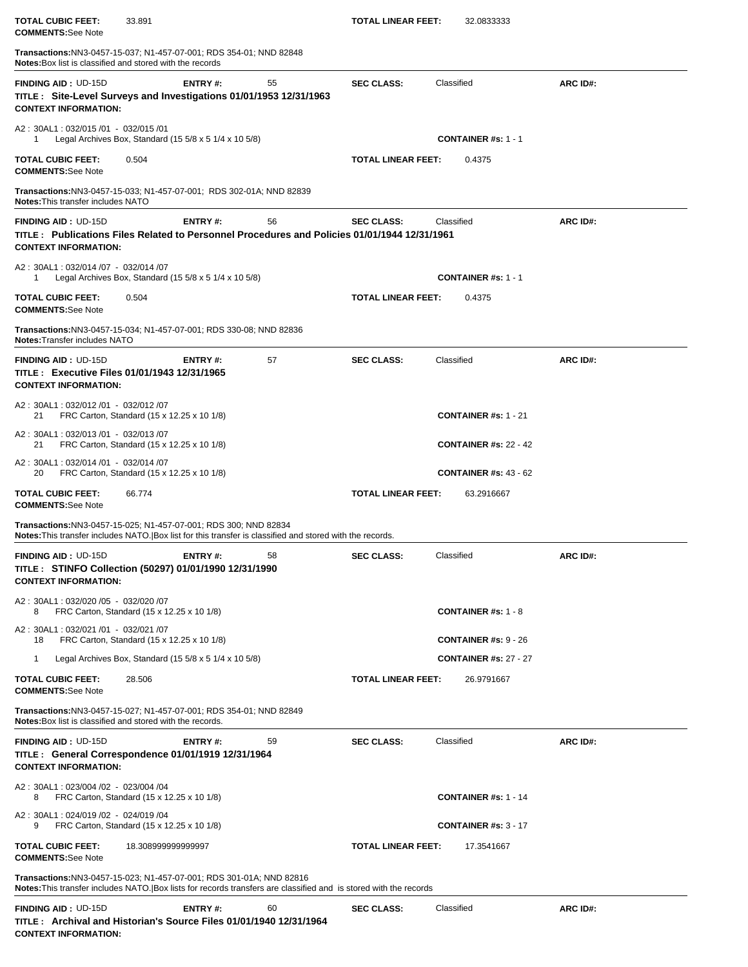| <b>TOTAL CUBIC FEET:</b><br><b>COMMENTS:See Note</b>                                                                                                                          | 33.891                                                                  |    | <b>TOTAL LINEAR FEET:</b>                                                                                         | 32.0833333                               |          |
|-------------------------------------------------------------------------------------------------------------------------------------------------------------------------------|-------------------------------------------------------------------------|----|-------------------------------------------------------------------------------------------------------------------|------------------------------------------|----------|
| <b>Transactions:</b> NN3-0457-15-037; N1-457-07-001; RDS 354-01; NND 82848<br><b>Notes:</b> Box list is classified and stored with the records                                |                                                                         |    |                                                                                                                   |                                          |          |
| <b>FINDING AID: UD-15D</b><br>TITLE: Site-Level Surveys and Investigations 01/01/1953 12/31/1963<br><b>CONTEXT INFORMATION:</b>                                               | ENTRY#:                                                                 | 55 | <b>SEC CLASS:</b>                                                                                                 | Classified                               | ARC ID#: |
| A2: 30AL1: 032/015 /01 - 032/015 /01<br>1                                                                                                                                     | Legal Archives Box, Standard (15 $5/8 \times 5$ 1/4 $\times$ 10 $5/8$ ) |    |                                                                                                                   | <b>CONTAINER #s: 1 - 1</b>               |          |
| TOTAL CUBIC FEET:<br><b>COMMENTS:See Note</b>                                                                                                                                 | 0.504                                                                   |    | <b>TOTAL LINEAR FEET:</b>                                                                                         | 0.4375                                   |          |
| <b>Transactions:</b> NN3-0457-15-033; N1-457-07-001; RDS 302-01A; NND 82839<br><b>Notes: This transfer includes NATO</b>                                                      |                                                                         |    |                                                                                                                   |                                          |          |
| <b>FINDING AID: UD-15D</b><br><b>CONTEXT INFORMATION:</b>                                                                                                                     | ENTRY#:                                                                 | 56 | <b>SEC CLASS:</b><br>TITLE: Publications Files Related to Personnel Procedures and Policies 01/01/1944 12/31/1961 | Classified                               | ARC ID#: |
| A2: 30AL1: 032/014 /07 - 032/014 /07<br>1                                                                                                                                     | Legal Archives Box, Standard $(15\,5/8 \times 5\,1/4 \times 10\,5/8)$   |    |                                                                                                                   | <b>CONTAINER #s: 1 - 1</b>               |          |
| <b>TOTAL CUBIC FEET:</b><br><b>COMMENTS:See Note</b>                                                                                                                          | 0.504                                                                   |    | <b>TOTAL LINEAR FEET:</b>                                                                                         | 0.4375                                   |          |
| <b>Transactions:</b> NN3-0457-15-034; N1-457-07-001; RDS 330-08; NND 82836<br>Notes: Transfer includes NATO                                                                   |                                                                         |    |                                                                                                                   |                                          |          |
| <b>FINDING AID: UD-15D</b><br>TITLE : Executive Files 01/01/1943 12/31/1965<br><b>CONTEXT INFORMATION:</b>                                                                    | ENTRY#:                                                                 | 57 | <b>SEC CLASS:</b>                                                                                                 | Classified                               | ARC ID#: |
| A2: 30AL1: 032/012 /01 - 032/012 /07<br>21                                                                                                                                    | FRC Carton, Standard (15 x 12.25 x 10 1/8)                              |    |                                                                                                                   | <b>CONTAINER #s: 1 - 21</b>              |          |
| A2: 30AL1: 032/013 /01 - 032/013 /07<br>21                                                                                                                                    | FRC Carton, Standard (15 x 12.25 x 10 1/8)                              |    |                                                                                                                   | <b>CONTAINER #s: 22 - 42</b>             |          |
| A2: 30AL1: 032/014 /01 - 032/014 /07<br>20                                                                                                                                    | FRC Carton, Standard (15 x 12.25 x 10 1/8)                              |    |                                                                                                                   | <b>CONTAINER #s: 43 - 62</b>             |          |
| TOTAL CUBIC FEET:<br><b>COMMENTS:See Note</b>                                                                                                                                 | 66.774                                                                  |    | <b>TOTAL LINEAR FEET:</b>                                                                                         | 63.2916667                               |          |
| Transactions: NN3-0457-15-025; N1-457-07-001; RDS 300; NND 82834<br>Notes: This transfer includes NATO. Box list for this transfer is classified and stored with the records. |                                                                         |    |                                                                                                                   |                                          |          |
| <b>FINDING AID: UD-15D</b><br>TITLE: STINFO Collection (50297) 01/01/1990 12/31/1990<br><b>CONTEXT INFORMATION:</b>                                                           | ENTRY#:                                                                 | 58 | <b>SEC CLASS:</b>                                                                                                 | Classified                               | ARC ID#: |
| A2: 30AL1: 032/020 /05 - 032/020 /07<br>8                                                                                                                                     | FRC Carton, Standard (15 x 12.25 x 10 1/8)                              |    |                                                                                                                   | <b>CONTAINER #s: 1 - 8</b>               |          |
| A2: 30AL1: 032/021 /01 - 032/021 /07<br>18                                                                                                                                    | FRC Carton, Standard (15 x 12.25 x 10 1/8)                              |    |                                                                                                                   | <b>CONTAINER #s: <math>9 - 26</math></b> |          |
| 1                                                                                                                                                                             | Legal Archives Box, Standard (15 5/8 x 5 1/4 x 10 5/8)                  |    |                                                                                                                   | <b>CONTAINER #s: 27 - 27</b>             |          |
| <b>TOTAL CUBIC FEET:</b><br><b>COMMENTS:See Note</b>                                                                                                                          | 28.506                                                                  |    | <b>TOTAL LINEAR FEET:</b>                                                                                         | 26.9791667                               |          |
| Transactions:NN3-0457-15-027; N1-457-07-001; RDS 354-01; NND 82849<br><b>Notes:</b> Box list is classified and stored with the records.                                       |                                                                         |    |                                                                                                                   |                                          |          |
| <b>FINDING AID: UD-15D</b><br>TITLE : General Correspondence 01/01/1919 12/31/1964<br><b>CONTEXT INFORMATION:</b>                                                             | ENTRY#:                                                                 | 59 | <b>SEC CLASS:</b>                                                                                                 | Classified                               | ARC ID#: |
| A2: 30AL1: 023/004 /02 - 023/004 /04<br>8                                                                                                                                     | FRC Carton, Standard (15 x 12.25 x 10 1/8)                              |    |                                                                                                                   | <b>CONTAINER #s: 1 - 14</b>              |          |
| A2: 30AL1: 024/019 /02 - 024/019 /04<br>9                                                                                                                                     | FRC Carton, Standard (15 x 12.25 x 10 1/8)                              |    |                                                                                                                   | <b>CONTAINER #s: 3 - 17</b>              |          |
| TOTAL CUBIC FEET:<br><b>COMMENTS:See Note</b>                                                                                                                                 | 18.308999999999997                                                      |    | <b>TOTAL LINEAR FEET:</b>                                                                                         | 17.3541667                               |          |
| <b>Transactions:</b> NN3-0457-15-023; N1-457-07-001; RDS 301-01A; NND 82816                                                                                                   |                                                                         |    | Notes: This transfer includes NATO. Box lists for records transfers are classified and is stored with the records |                                          |          |
| <b>FINDING AID: UD-15D</b><br>TITLE: Archival and Historian's Source Files 01/01/1940 12/31/1964<br><b>CONTEXT INFORMATION:</b>                                               | ENTRY#:                                                                 | 60 | <b>SEC CLASS:</b>                                                                                                 | Classified                               | ARC ID#: |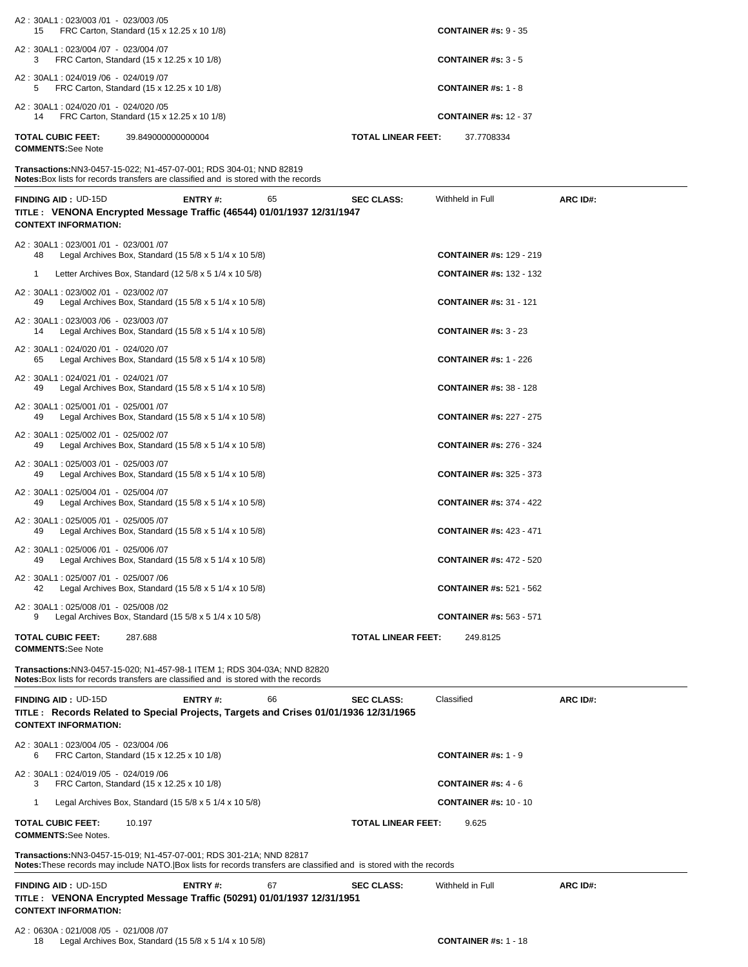| A2: 30AL1: 023/003 /01 - 023/003 /05<br>FRC Carton, Standard (15 x 12.25 x 10 1/8)<br>15                                                                                                    | <b>CONTAINER #s: 9 - 35</b>             |          |
|---------------------------------------------------------------------------------------------------------------------------------------------------------------------------------------------|-----------------------------------------|----------|
| A2: 30AL1: 023/004 /07 - 023/004 /07<br>3<br>FRC Carton, Standard (15 x 12.25 x 10 1/8)                                                                                                     | <b>CONTAINER #s: 3 - 5</b>              |          |
| A2: 30AL1: 024/019 /06 - 024/019 /07<br>5<br>FRC Carton, Standard (15 x 12.25 x 10 1/8)                                                                                                     | <b>CONTAINER #s: 1 - 8</b>              |          |
| A2: 30AL1: 024/020 /01 - 024/020 /05<br>FRC Carton, Standard (15 x 12.25 x 10 1/8)<br>14                                                                                                    | <b>CONTAINER #s: 12 - 37</b>            |          |
| <b>TOTAL CUBIC FEET:</b><br>39.849000000000004<br><b>COMMENTS:See Note</b>                                                                                                                  | <b>TOTAL LINEAR FEET:</b><br>37.7708334 |          |
| Transactions: NN3-0457-15-022; N1-457-07-001; RDS 304-01; NND 82819<br><b>Notes:</b> Box lists for records transfers are classified and is stored with the records                          |                                         |          |
| <b>FINDING AID: UD-15D</b><br>ENTRY#:<br>65<br>TITLE : VENONA Encrypted Message Traffic (46544) 01/01/1937 12/31/1947<br><b>CONTEXT INFORMATION:</b>                                        | Withheld in Full<br><b>SEC CLASS:</b>   | ARC ID#: |
| A2: 30AL1: 023/001 /01 - 023/001 /07<br>Legal Archives Box, Standard $(15\ 5/8 \times 5\ 1/4 \times 10\ 5/8)$<br>48                                                                         | <b>CONTAINER #s: 129 - 219</b>          |          |
| Letter Archives Box, Standard $(125/8 \times 51/4 \times 105/8)$<br>1                                                                                                                       | <b>CONTAINER #s: 132 - 132</b>          |          |
| A2: 30AL1: 023/002 /01 - 023/002 /07<br>Legal Archives Box, Standard (15 $5/8 \times 5$ 1/4 $\times$ 10 $5/8$ )<br>49                                                                       | <b>CONTAINER #s: 31 - 121</b>           |          |
| A2: 30AL1: 023/003 /06 - 023/003 /07<br>Legal Archives Box, Standard $(155/8 \times 51/4 \times 105/8)$<br>14                                                                               | <b>CONTAINER #s: 3 - 23</b>             |          |
| A2: 30AL1: 024/020 /01 - 024/020 /07<br>Legal Archives Box, Standard (15 $5/8 \times 5$ 1/4 $\times$ 10 $5/8$ )<br>65                                                                       | <b>CONTAINER #s: 1 - 226</b>            |          |
| A2: 30AL1: 024/021 /01 - 024/021 /07<br>Legal Archives Box, Standard (15 $5/8 \times 5$ 1/4 $\times$ 10 $5/8$ )<br>49                                                                       | <b>CONTAINER #s: 38 - 128</b>           |          |
| A2: 30AL1: 025/001 /01 - 025/001 /07<br>Legal Archives Box, Standard (15 5/8 x 5 1/4 x 10 5/8)<br>49                                                                                        | <b>CONTAINER #s: 227 - 275</b>          |          |
| A2: 30AL1: 025/002 /01 - 025/002 /07<br>Legal Archives Box, Standard (15 $5/8 \times 5$ 1/4 $\times$ 10 $5/8$ )<br>49                                                                       | <b>CONTAINER #s: 276 - 324</b>          |          |
| A2: 30AL1: 025/003 /01 - 025/003 /07<br>Legal Archives Box, Standard $(15\,5/8 \times 5\,1/4 \times 10\,5/8)$<br>49                                                                         | <b>CONTAINER #s: 325 - 373</b>          |          |
| A2: 30AL1: 025/004 /01 - 025/004 /07<br>Legal Archives Box, Standard $(155/8 \times 51/4 \times 105/8)$<br>49                                                                               | <b>CONTAINER #s: 374 - 422</b>          |          |
| A2: 30AL1: 025/005 /01 - 025/005 /07<br>Legal Archives Box, Standard $(15\,5/8 \times 5\,1/4 \times 10\,5/8)$<br>49                                                                         | <b>CONTAINER #s: 423 - 471</b>          |          |
| A2: 30AL1: 025/006 /01 - 025/006 /07<br>49<br>Legal Archives Box, Standard $(155/8 \times 51/4 \times 105/8)$                                                                               | <b>CONTAINER #s: 472 - 520</b>          |          |
| A2: 30AL1: 025/007 /01 - 025/007 /06<br>Legal Archives Box, Standard (15 5/8 x 5 1/4 x 10 5/8)<br>42                                                                                        | <b>CONTAINER #s: 521 - 562</b>          |          |
| A2: 30AL1: 025/008 /01 - 025/008 /02<br>Legal Archives Box, Standard (15 $5/8 \times 5$ 1/4 $\times$ 10 $5/8$ )<br>9                                                                        | <b>CONTAINER #s: 563 - 571</b>          |          |
| TOTAL CUBIC FEET:<br>287.688<br><b>COMMENTS:See Note</b>                                                                                                                                    | <b>TOTAL LINEAR FEET:</b><br>249.8125   |          |
| Transactions:NN3-0457-15-020; N1-457-98-1 ITEM 1; RDS 304-03A; NND 82820<br>Notes: Box lists for records transfers are classified and is stored with the records                            |                                         |          |
| FINDING AID: UD-15D<br>ENTRY#:<br>66<br>TITLE: Records Related to Special Projects, Targets and Crises 01/01/1936 12/31/1965<br><b>CONTEXT INFORMATION:</b>                                 | <b>SEC CLASS:</b><br>Classified         | ARC ID#: |
| A2: 30AL1: 023/004 /05 - 023/004 /06<br>FRC Carton, Standard (15 x 12.25 x 10 1/8)<br>6                                                                                                     | <b>CONTAINER #s: 1 - 9</b>              |          |
| A2: 30AL1: 024/019 /05 - 024/019 /06<br>3<br>FRC Carton, Standard (15 x 12.25 x 10 1/8)                                                                                                     | <b>CONTAINER #s: <math>4 - 6</math></b> |          |
| Legal Archives Box, Standard (15 5/8 x 5 1/4 x 10 5/8)<br>1                                                                                                                                 | <b>CONTAINER #s: 10 - 10</b>            |          |
| TOTAL CUBIC FEET:<br>10.197<br><b>COMMENTS:See Notes.</b>                                                                                                                                   | TOTAL LINEAR FEET:<br>9.625             |          |
| Transactions:NN3-0457-15-019; N1-457-07-001; RDS 301-21A; NND 82817<br>Notes: These records may include NATO. Box lists for records transfers are classified and is stored with the records |                                         |          |
| 67<br><b>FINDING AID: UD-15D</b><br>ENTRY#:<br>TITLE : VENONA Encrypted Message Traffic (50291) 01/01/1937 12/31/1951<br><b>CONTEXT INFORMATION:</b>                                        | Withheld in Full<br><b>SEC CLASS:</b>   | ARC ID#: |
| A2: 0630A: 021/008 /05 - 021/008 /07                                                                                                                                                        |                                         |          |

18 Legal Archives Box, Standard (15 5/8 x 5 1/4 x 10 5/8) **CONTAINER #s:** 1 - 18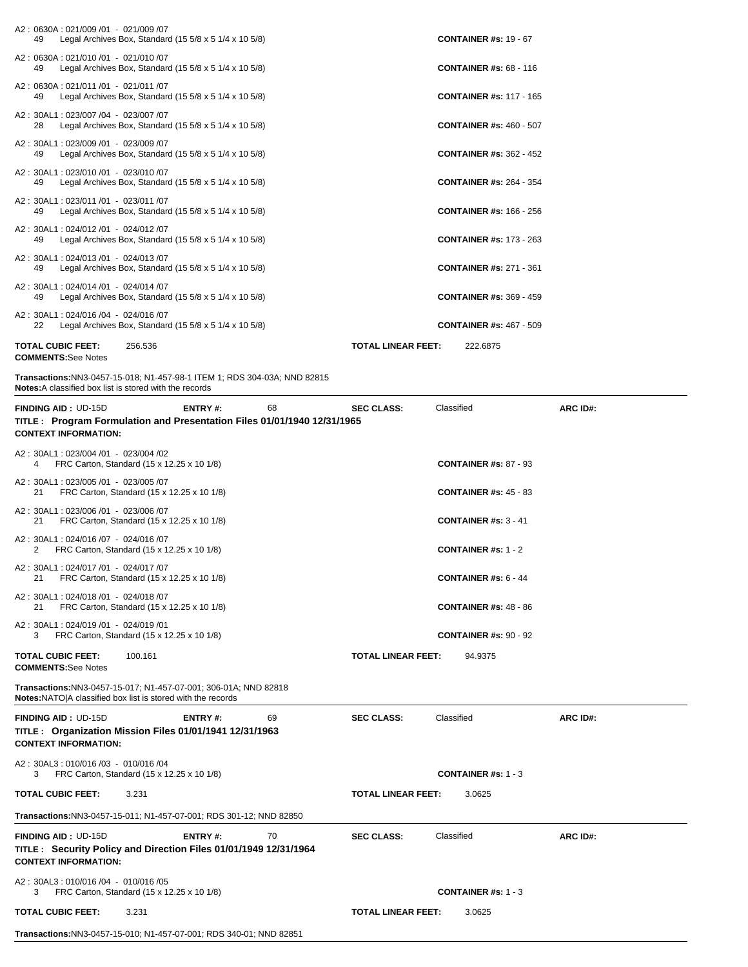| A2: 0630A: 021/009 /01 - 021/009 /07<br>Legal Archives Box, Standard $(15\ 5/8 \times 5\ 1/4 \times 10\ 5/8)$<br>49                             |                           | <b>CONTAINER #s: 19 - 67</b>   |          |
|-------------------------------------------------------------------------------------------------------------------------------------------------|---------------------------|--------------------------------|----------|
| A2: 0630A: 021/010 /01 - 021/010 /07<br>Legal Archives Box, Standard $(15\ 5/8 \times 5\ 1/4 \times 10\ 5/8)$<br>49                             |                           | <b>CONTAINER #s: 68 - 116</b>  |          |
| A2: 0630A: 021/011 /01 - 021/011 /07<br>49<br>Legal Archives Box, Standard $(15\ 5/8 \times 5\ 1/4 \times 10\ 5/8)$                             |                           | <b>CONTAINER #s: 117 - 165</b> |          |
| A2: 30AL1: 023/007 /04 - 023/007 /07<br>Legal Archives Box, Standard $(155/8 \times 51/4 \times 105/8)$<br>28                                   |                           | <b>CONTAINER #s: 460 - 507</b> |          |
| A2: 30AL1: 023/009 /01 - 023/009 /07<br>Legal Archives Box, Standard $(15\ 5/8 \times 5\ 1/4 \times 10\ 5/8)$<br>49                             |                           | <b>CONTAINER #s: 362 - 452</b> |          |
| A2: 30AL1: 023/010 /01 - 023/010 /07<br>Legal Archives Box, Standard $(15\ 5/8 \times 5\ 1/4 \times 10\ 5/8)$<br>49                             |                           | <b>CONTAINER #s: 264 - 354</b> |          |
| A2: 30AL1: 023/011 /01 - 023/011 /07<br>Legal Archives Box, Standard $(15\ 5/8 \times 5\ 1/4 \times 10\ 5/8)$<br>49                             |                           | <b>CONTAINER #s: 166 - 256</b> |          |
| A2: 30AL1: 024/012 /01 - 024/012 /07<br>Legal Archives Box, Standard $(15\ 5/8 \times 5\ 1/4 \times 10\ 5/8)$<br>49                             |                           | <b>CONTAINER #s: 173 - 263</b> |          |
| A2: 30AL1: 024/013 /01 - 024/013 /07<br>Legal Archives Box, Standard (15 $5/8 \times 5$ 1/4 $\times$ 10 $5/8$ )<br>49                           |                           | <b>CONTAINER #s: 271 - 361</b> |          |
| A2: 30AL1: 024/014 /01 - 024/014 /07<br>Legal Archives Box, Standard $(15\,5/8 \times 5\,1/4 \times 10\,5/8)$<br>49                             |                           | <b>CONTAINER #s: 369 - 459</b> |          |
| A2: 30AL1: 024/016 /04 - 024/016 /07<br>Legal Archives Box, Standard $(15\ 5/8 \times 5\ 1/4 \times 10\ 5/8)$<br>22                             |                           | <b>CONTAINER #s: 467 - 509</b> |          |
| <b>TOTAL CUBIC FEET:</b><br>256.536                                                                                                             | <b>TOTAL LINEAR FEET:</b> | 222.6875                       |          |
| <b>COMMENTS:See Notes</b>                                                                                                                       |                           |                                |          |
| Transactions:NN3-0457-15-018; N1-457-98-1 ITEM 1; RDS 304-03A; NND 82815<br><b>Notes:</b> A classified box list is stored with the records      |                           |                                |          |
| <b>FINDING AID: UD-15D</b><br>ENTRY#:<br>68                                                                                                     | <b>SEC CLASS:</b>         | Classified                     | ARC ID#: |
| TITLE: Program Formulation and Presentation Files 01/01/1940 12/31/1965<br><b>CONTEXT INFORMATION:</b>                                          |                           |                                |          |
|                                                                                                                                                 |                           |                                |          |
| A2: 30AL1: 023/004 /01 - 023/004 /02<br>FRC Carton, Standard (15 x 12.25 x 10 1/8)<br>4                                                         |                           | <b>CONTAINER #s: 87 - 93</b>   |          |
| A2: 30AL1: 023/005 /01 - 023/005 /07<br>FRC Carton, Standard (15 x 12.25 x 10 1/8)<br>21                                                        |                           | <b>CONTAINER #s: 45 - 83</b>   |          |
| A2: 30AL1: 023/006 /01 - 023/006 /07<br>FRC Carton, Standard (15 x 12.25 x 10 1/8)<br>21                                                        |                           | <b>CONTAINER #s: 3 - 41</b>    |          |
| A2: 30AL1: 024/016 /07 - 024/016 /07<br>FRC Carton, Standard (15 x 12.25 x 10 1/8)<br>2                                                         |                           | <b>CONTAINER #s: 1 - 2</b>     |          |
| A2: 30AL1: 024/017 /01 - 024/017 /07<br>21<br>FRC Carton, Standard (15 x 12.25 x 10 1/8)                                                        |                           | CONTAINER #s: $6 - 44$         |          |
| A2: 30AL1: 024/018 /01 - 024/018 /07<br>FRC Carton, Standard (15 x 12.25 x 10 1/8)<br>21                                                        |                           | <b>CONTAINER #s: 48 - 86</b>   |          |
| A2: 30AL1: 024/019 /01 - 024/019 /01<br>FRC Carton, Standard (15 x 12.25 x 10 1/8)<br>3                                                         |                           | <b>CONTAINER #s: 90 - 92</b>   |          |
| <b>TOTAL CUBIC FEET:</b><br>100.161<br><b>COMMENTS:</b> See Notes                                                                               | <b>TOTAL LINEAR FEET:</b> | 94.9375                        |          |
| <b>Transactions:</b> NN3-0457-15-017; N1-457-07-001; 306-01A; NND 82818<br><b>Notes: NATO A classified box list is stored with the records</b>  |                           |                                |          |
| <b>FINDING AID: UD-15D</b><br>69<br><b>ENTRY#:</b><br>TITLE: Organization Mission Files 01/01/1941 12/31/1963<br><b>CONTEXT INFORMATION:</b>    | <b>SEC CLASS:</b>         | Classified                     | ARC ID#: |
| A2: 30AL3: 010/016 /03 - 010/016 /04<br>FRC Carton, Standard (15 x 12.25 x 10 1/8)<br>3                                                         |                           | <b>CONTAINER #s: 1 - 3</b>     |          |
| <b>TOTAL CUBIC FEET:</b><br>3.231                                                                                                               | <b>TOTAL LINEAR FEET:</b> | 3.0625                         |          |
| <b>Transactions:</b> NN3-0457-15-011; N1-457-07-001; RDS 301-12; NND 82850                                                                      |                           |                                |          |
| <b>FINDING AID: UD-15D</b><br>ENTRY#:<br>70<br>TITLE : Security Policy and Direction Files 01/01/1949 12/31/1964<br><b>CONTEXT INFORMATION:</b> | <b>SEC CLASS:</b>         | Classified                     | ARC ID#: |
|                                                                                                                                                 |                           |                                |          |
| A2: 30AL3: 010/016 /04 - 010/016 /05<br>FRC Carton, Standard (15 x 12.25 x 10 1/8)<br>3                                                         |                           | <b>CONTAINER #s: 1 - 3</b>     |          |

**Transactions:**NN3-0457-15-010; N1-457-07-001; RDS 340-01; NND 82851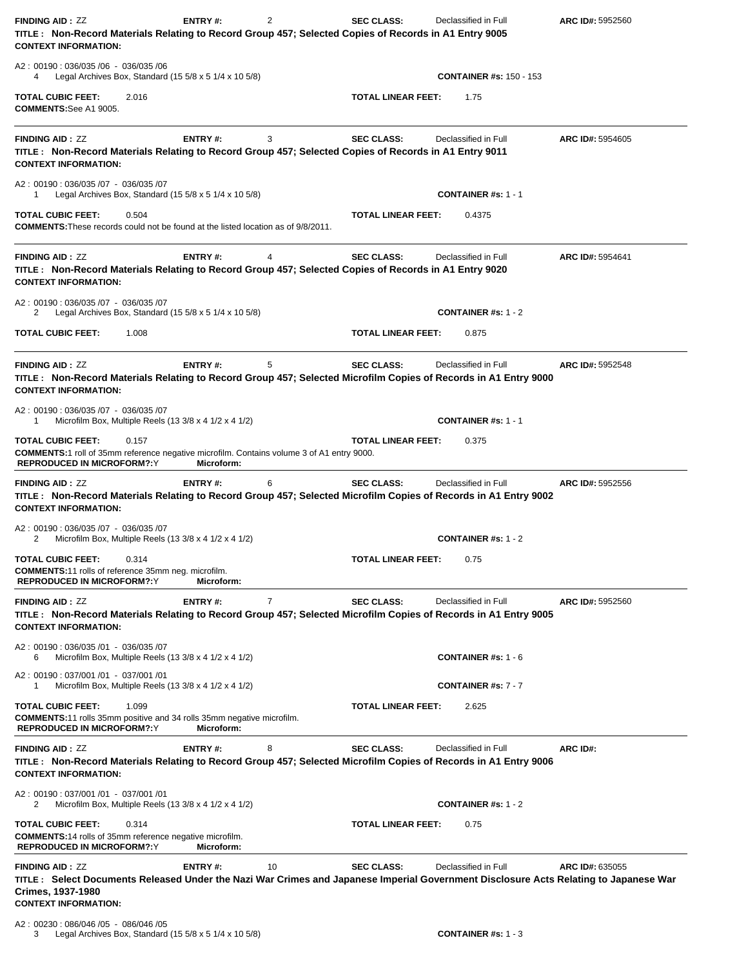| <b>FINDING AID: ZZ</b><br><b>CONTEXT INFORMATION:</b>                                                                             | <b>ENTRY#:</b><br>TITLE: Non-Record Materials Relating to Record Group 457; Selected Copies of Records in A1 Entry 9005  | 2  | <b>SEC CLASS:</b>         | Declassified in Full                                                                                                                                         | ARC ID#: 5952560 |
|-----------------------------------------------------------------------------------------------------------------------------------|--------------------------------------------------------------------------------------------------------------------------|----|---------------------------|--------------------------------------------------------------------------------------------------------------------------------------------------------------|------------------|
| A2: 00190: 036/035 /06 - 036/035 /06<br>4                                                                                         | Legal Archives Box, Standard $(15\ 5/8 \times 5\ 1/4 \times 10\ 5/8)$                                                    |    |                           | <b>CONTAINER #s: 150 - 153</b>                                                                                                                               |                  |
| <b>TOTAL CUBIC FEET:</b><br><b>COMMENTS:See A1 9005.</b>                                                                          | 2.016                                                                                                                    |    | <b>TOTAL LINEAR FEET:</b> | 1.75                                                                                                                                                         |                  |
| <b>FINDING AID: ZZ</b><br><b>CONTEXT INFORMATION:</b>                                                                             | ENTRY#:<br>TITLE: Non-Record Materials Relating to Record Group 457; Selected Copies of Records in A1 Entry 9011         | 3  | <b>SEC CLASS:</b>         | Declassified in Full                                                                                                                                         | ARC ID#: 5954605 |
| A2: 00190: 036/035 /07 - 036/035 /07<br>1                                                                                         | Legal Archives Box, Standard (15 $5/8 \times 5$ 1/4 $\times$ 10 $5/8$ )                                                  |    |                           | <b>CONTAINER #s: 1 - 1</b>                                                                                                                                   |                  |
| TOTAL CUBIC FEET:                                                                                                                 | 0.504<br><b>COMMENTS:</b> These records could not be found at the listed location as of 9/8/2011.                        |    | <b>TOTAL LINEAR FEET:</b> | 0.4375                                                                                                                                                       |                  |
| <b>FINDING AID: ZZ</b><br><b>CONTEXT INFORMATION:</b>                                                                             | ENTRY#:<br>TITLE: Non-Record Materials Relating to Record Group 457; Selected Copies of Records in A1 Entry 9020         | 4  | <b>SEC CLASS:</b>         | Declassified in Full                                                                                                                                         | ARC ID#: 5954641 |
| A2: 00190: 036/035 /07 - 036/035 /07<br>2                                                                                         | Legal Archives Box, Standard (15 $5/8 \times 5$ 1/4 $\times$ 10 $5/8$ )                                                  |    |                           | <b>CONTAINER #s: 1 - 2</b>                                                                                                                                   |                  |
| TOTAL CUBIC FEET:                                                                                                                 | 1.008                                                                                                                    |    | <b>TOTAL LINEAR FEET:</b> | 0.875                                                                                                                                                        |                  |
| <b>FINDING AID: ZZ</b><br><b>CONTEXT INFORMATION:</b>                                                                             | ENTRY#:                                                                                                                  | 5  | <b>SEC CLASS:</b>         | Declassified in Full<br>TITLE: Non-Record Materials Relating to Record Group 457; Selected Microfilm Copies of Records in A1 Entry 9000                      | ARC ID#: 5952548 |
| A2: 00190: 036/035 /07 - 036/035 /07<br>1                                                                                         | Microfilm Box, Multiple Reels (13 3/8 x 4 1/2 x 4 1/2)                                                                   |    |                           | <b>CONTAINER #s: 1 - 1</b>                                                                                                                                   |                  |
| TOTAL CUBIC FEET:<br><b>REPRODUCED IN MICROFORM?:Y</b>                                                                            | 0.157<br><b>COMMENTS:</b> 1 roll of 35mm reference negative microfilm. Contains volume 3 of A1 entry 9000.<br>Microform: |    | <b>TOTAL LINEAR FEET:</b> | 0.375                                                                                                                                                        |                  |
| <b>FINDING AID: ZZ</b><br><b>CONTEXT INFORMATION:</b>                                                                             | ENTRY#:                                                                                                                  | 6  | <b>SEC CLASS:</b>         | Declassified in Full<br>TITLE: Non-Record Materials Relating to Record Group 457; Selected Microfilm Copies of Records in A1 Entry 9002                      | ARC ID#: 5952556 |
| A2: 00190: 036/035 /07 - 036/035 /07<br>2                                                                                         | Microfilm Box, Multiple Reels (13 3/8 x 4 1/2 x 4 1/2)                                                                   |    |                           | CONTAINER #s: $1 - 2$                                                                                                                                        |                  |
| <b>TOTAL CUBIC FEET:</b> 0.314<br><b>COMMENTS:11 rolls of reference 35mm neg. microfilm.</b><br><b>REPRODUCED IN MICROFORM?:Y</b> | Microform:                                                                                                               |    | <b>TOTAL LINEAR FEET:</b> | 0.75                                                                                                                                                         |                  |
| <b>FINDING AID: ZZ</b><br><b>CONTEXT INFORMATION:</b>                                                                             | ENTRY#:                                                                                                                  | 7  | <b>SEC CLASS:</b>         | Declassified in Full<br>TITLE: Non-Record Materials Relating to Record Group 457; Selected Microfilm Copies of Records in A1 Entry 9005                      | ARC ID#: 5952560 |
| A2: 00190: 036/035 /01 - 036/035 /07<br>6                                                                                         | Microfilm Box, Multiple Reels (13 3/8 x 4 1/2 x 4 1/2)                                                                   |    |                           | <b>CONTAINER #s: 1 - 6</b>                                                                                                                                   |                  |
| A2: 00190: 037/001 /01 - 037/001 /01<br>1                                                                                         | Microfilm Box, Multiple Reels (13 3/8 x 4 1/2 x 4 1/2)                                                                   |    |                           | <b>CONTAINER #s: 7 - 7</b>                                                                                                                                   |                  |
| TOTAL CUBIC FEET:<br><b>REPRODUCED IN MICROFORM?:Y</b>                                                                            | 1.099<br><b>COMMENTS:</b> 11 rolls 35mm positive and 34 rolls 35mm negative microfilm.<br>Microform:                     |    | <b>TOTAL LINEAR FEET:</b> | 2.625                                                                                                                                                        |                  |
| <b>FINDING AID: ZZ</b><br><b>CONTEXT INFORMATION:</b>                                                                             | ENTRY#:                                                                                                                  | 8  | <b>SEC CLASS:</b>         | Declassified in Full<br>TITLE: Non-Record Materials Relating to Record Group 457; Selected Microfilm Copies of Records in A1 Entry 9006                      | ARC ID#:         |
| A2: 00190: 037/001 /01 - 037/001 /01<br>2                                                                                         | Microfilm Box, Multiple Reels (13 3/8 x 4 1/2 x 4 1/2)                                                                   |    |                           | <b>CONTAINER #s: 1 - 2</b>                                                                                                                                   |                  |
| <b>TOTAL CUBIC FEET:</b><br><b>COMMENTS:14 rolls of 35mm reference negative microfilm.</b><br><b>REPRODUCED IN MICROFORM?:Y</b>   | 0.314<br>Microform:                                                                                                      |    | <b>TOTAL LINEAR FEET:</b> | 0.75                                                                                                                                                         |                  |
| <b>FINDING AID: ZZ</b><br>Crimes, 1937-1980<br><b>CONTEXT INFORMATION:</b>                                                        | ENTRY#:                                                                                                                  | 10 | <b>SEC CLASS:</b>         | Declassified in Full<br>TITLE: Select Documents Released Under the Nazi War Crimes and Japanese Imperial Government Disclosure Acts Relating to Japanese War | ARC ID#: 635055  |

A2 : 00230 : 086/046 /05 - 086/046 /05 3 Legal Archives Box, Standard (15 5/8 x 5 1/4 x 10 5/8) **CONTAINER #s:** 1 - 3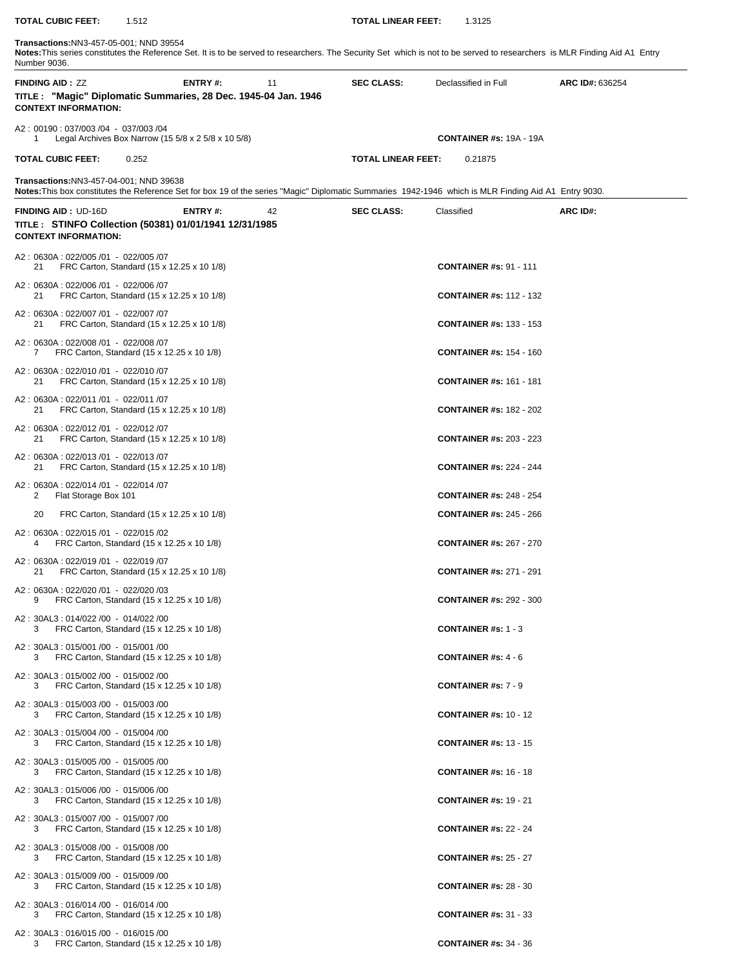## **Transactions:**NN3-457-05-001; NND 39554 **Notes:**This series constitutes the Reference Set. It is to be served to researchers. The Security Set which is not to be served to researchers is MLR Finding Aid A1 Entry Number 9036. **FINDING AID :** ZZ **ENTRY #:** 11 **SEC CLASS:** Declassified in Full **ARC ID#:** 636254 **TITLE : "Magic" Diplomatic Summaries, 28 Dec. 1945-04 Jan. 1946 CONTEXT INFORMATION:**  A2 : 00190 : 037/003 /04 - 037/003 /04 1 Legal Archives Box Narrow (15 5/8 x 2 5/8 x 10 5/8) **CONTAINER #s:** 19A - 19A **TOTAL CUBIC FEET:** 0.252 **TOTAL LINEAR FEET:** 0.21875 **Transactions:**NN3-457-04-001; NND 39638 **Notes:**This box constitutes the Reference Set for box 19 of the series "Magic" Diplomatic Summaries 1942-1946 which is MLR Finding Aid A1 Entry 9030. **FINDING AID :** UD-16D **ENTRY #:** 42 **SEC CLASS:** Classified **ARC ID#: TITLE : STINFO Collection (50381) 01/01/1941 12/31/1985 CONTEXT INFORMATION:**  A2 : 0630A : 022/005 /01 - 022/005 /07 21 FRC Carton, Standard (15 x 12.25 x 10 1/8) **CONTAINER #s:** 91 - 111 A2 : 0630A : 022/006 /01 - 022/006 /07 21 FRC Carton, Standard (15 x 12.25 x 10 1/8) **CONTAINER #s:** 112 - 132 A2 : 0630A : 022/007 /01 - 022/007 /07 21 FRC Carton, Standard (15 x 12.25 x 10 1/8) **CONTAINER #s:** 133 - 153 A2 : 0630A : 022/008 /01 - 022/008 /07 7 FRC Carton, Standard (15 x 12.25 x 10 1/8) **CONTAINER #s:** 154 - 160 A2 : 0630A : 022/010 /01 - 022/010 /07 21 FRC Carton, Standard (15 x 12.25 x 10 1/8) **CONTAINER #s:** 161 - 181 A2 : 0630A : 022/011 /01 - 022/011 /07 21 FRC Carton, Standard (15 x 12.25 x 10 1/8) **CONTAINER #s:** 182 - 202 A2 : 0630A : 022/012 /01 - 022/012 /07 21 FRC Carton, Standard (15 x 12.25 x 10 1/8) **CONTAINER #s:** 203 - 223 A2 : 0630A : 022/013 /01 - 022/013 /07 21 FRC Carton, Standard (15 x 12.25 x 10 1/8) **CONTAINER #s:** 224 - 244 A2 : 0630A : 022/014 /01 - 022/014 /07 2 Flat Storage Box 101 **CONTAINER #s:** 248 - 254 20 FRC Carton, Standard (15 x 12.25 x 10 1/8) **CONTAINER #s:** 245 - 266 A2 : 0630A : 022/015 /01 - 022/015 /02 4 FRC Carton, Standard (15 x 12.25 x 10 1/8) **CONTAINER #s:** 267 - 270 A2 : 0630A : 022/019 /01 - 022/019 /07 21 FRC Carton, Standard (15 x 12.25 x 10 1/8) **CONTAINER #s:** 271 - 291 A2 : 0630A : 022/020 /01 - 022/020 /03 9 FRC Carton, Standard (15 x 12.25 x 10 1/8) **CONTAINER #s:** 292 - 300 A2 : 30AL3 : 014/022 /00 - 014/022 /00 3 FRC Carton, Standard (15 x 12.25 x 10 1/8) **CONTAINER #s:** 1 - 3 A2 : 30AL3 : 015/001 /00 - 015/001 /00 3 FRC Carton, Standard (15 x 12.25 x 10 1/8) **CONTAINER #s:** 4 - 6 A2 : 30AL3 : 015/002 /00 - 015/002 /00 3 FRC Carton, Standard (15 x 12.25 x 10 1/8) **CONTAINER #s:** 7 - 9 A2 : 30AL3 : 015/003 /00 - 015/003 /00 3 FRC Carton, Standard (15 x 12.25 x 10 1/8) **CONTAINER #s:** 10 - 12 A2 : 30AL3 : 015/004 /00 - 015/004 /00 3 FRC Carton, Standard (15 x 12.25 x 10 1/8) **CONTAINER #s:** 13 - 15 A2 : 30AL3 : 015/005 /00 - 015/005 /00 3 FRC Carton, Standard (15 x 12.25 x 10 1/8) **CONTAINER #s:** 16 - 18 A2 : 30AL3 : 015/006 /00 - 015/006 /00 3 FRC Carton, Standard (15 x 12.25 x 10 1/8) **CONTAINER #s:** 19 - 21 A2 : 30AL3 : 015/007 /00 - 015/007 /00 3 FRC Carton, Standard (15 x 12.25 x 10 1/8) **CONTAINER #s:** 22 - 24 A2 : 30AL3 : 015/008 /00 - 015/008 /00 3 FRC Carton, Standard (15 x 12.25 x 10 1/8) **CONTAINER #s:** 25 - 27

**TOTAL CUBIC FEET:** 1.512 **TOTAL LINEAR FEET:** 1.3125

- A2 : 30AL3 : 015/009 /00 015/009 /00 3 FRC Carton, Standard (15 x 12.25 x 10 1/8) **CONTAINER #s:** 28 - 30
- A2 : 30AL3 : 016/014 /00 016/014 /00 3 FRC Carton, Standard (15 x 12.25 x 10 1/8) **CONTAINER #s:** 31 - 33
- A2 : 30AL3 : 016/015 /00 016/015 /00 3 FRC Carton, Standard (15 x 12.25 x 10 1/8) **CONTAINER #s:** 34 - 36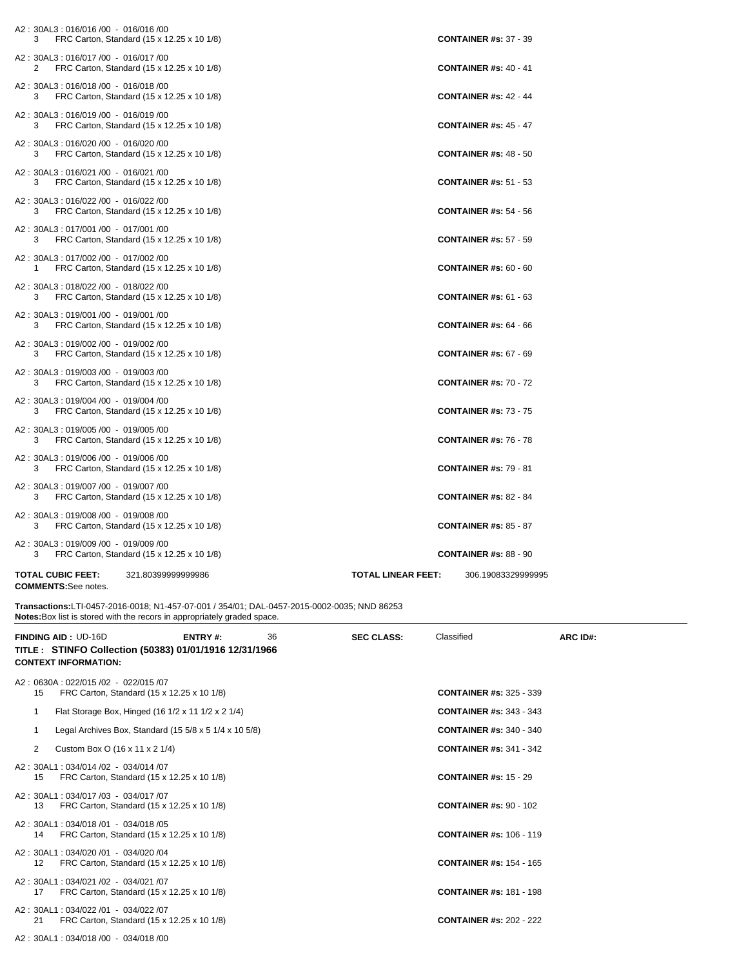| A2: 30AL3: 016/016 /00 - 016/016 /00                                                    |                                                 |
|-----------------------------------------------------------------------------------------|-------------------------------------------------|
| FRC Carton, Standard (15 x 12.25 x 10 1/8)<br>3                                         | <b>CONTAINER #s: 37 - 39</b>                    |
| A2: 30AL3: 016/017 /00 - 016/017 /00<br>2<br>FRC Carton, Standard (15 x 12.25 x 10 1/8) | <b>CONTAINER #s: 40 - 41</b>                    |
| A2: 30AL3: 016/018 /00 - 016/018 /00<br>FRC Carton, Standard (15 x 12.25 x 10 1/8)<br>3 | <b>CONTAINER #s: 42 - 44</b>                    |
| A2: 30AL3: 016/019 /00 - 016/019 /00<br>FRC Carton, Standard (15 x 12.25 x 10 1/8)<br>3 | <b>CONTAINER #s: 45 - 47</b>                    |
| A2: 30AL3: 016/020 /00 - 016/020 /00<br>FRC Carton, Standard (15 x 12.25 x 10 1/8)<br>3 | <b>CONTAINER #s: 48 - 50</b>                    |
| A2: 30AL3: 016/021 /00 - 016/021 /00<br>FRC Carton, Standard (15 x 12.25 x 10 1/8)<br>3 | <b>CONTAINER #s: 51 - 53</b>                    |
| A2: 30AL3: 016/022 /00 - 016/022 /00<br>FRC Carton, Standard (15 x 12.25 x 10 1/8)<br>3 | <b>CONTAINER #s: 54 - 56</b>                    |
| A2: 30AL3: 017/001 /00 - 017/001 /00<br>FRC Carton, Standard (15 x 12.25 x 10 1/8)<br>3 | <b>CONTAINER #s: 57 - 59</b>                    |
| A2: 30AL3: 017/002 /00 - 017/002 /00<br>FRC Carton, Standard (15 x 12.25 x 10 1/8)<br>1 | <b>CONTAINER #s: 60 - 60</b>                    |
| A2: 30AL3: 018/022 /00 - 018/022 /00<br>FRC Carton, Standard (15 x 12.25 x 10 1/8)<br>3 | <b>CONTAINER #s: 61 - 63</b>                    |
| A2: 30AL3: 019/001 /00 - 019/001 /00<br>FRC Carton, Standard (15 x 12.25 x 10 1/8)<br>3 | <b>CONTAINER #s: 64 - 66</b>                    |
| A2: 30AL3: 019/002 /00 - 019/002 /00<br>FRC Carton, Standard (15 x 12.25 x 10 1/8)<br>3 | <b>CONTAINER #s: 67 - 69</b>                    |
| A2: 30AL3: 019/003 /00 - 019/003 /00<br>FRC Carton, Standard (15 x 12.25 x 10 1/8)<br>3 | <b>CONTAINER #s: 70 - 72</b>                    |
| A2: 30AL3: 019/004 /00 - 019/004 /00<br>FRC Carton, Standard (15 x 12.25 x 10 1/8)<br>3 | <b>CONTAINER #s: 73 - 75</b>                    |
| A2: 30AL3: 019/005 /00 - 019/005 /00<br>FRC Carton, Standard (15 x 12.25 x 10 1/8)<br>3 | <b>CONTAINER #s: 76 - 78</b>                    |
| A2: 30AL3: 019/006 /00 - 019/006 /00<br>FRC Carton, Standard (15 x 12.25 x 10 1/8)<br>3 | <b>CONTAINER #s: 79 - 81</b>                    |
| A2: 30AL3: 019/007 /00 - 019/007 /00<br>FRC Carton, Standard (15 x 12.25 x 10 1/8)<br>3 | <b>CONTAINER #s: 82 - 84</b>                    |
| A2: 30AL3: 019/008 /00 - 019/008 /00<br>FRC Carton, Standard (15 x 12.25 x 10 1/8)<br>3 | <b>CONTAINER #s: 85 - 87</b>                    |
| A2: 30AL3: 019/009 /00 - 019/009 /00<br>FRC Carton, Standard (15 x 12.25 x 10 1/8)<br>3 | <b>CONTAINER #s: 88 - 90</b>                    |
| <b>TOTAL CUBIC FEET:</b><br>321.80399999999986<br><b>COMMENTS:</b> See notes.           | <b>TOTAL LINEAR FEET:</b><br>306.19083329999995 |

**Transactions:**LTI-0457-2016-0018; N1-457-07-001 / 354/01; DAL-0457-2015-0002-0035; NND 86253 **Notes:**Box list is stored with the recors in appropriately graded space. 

|    | <b>FINDING AID: UD-16D</b><br>TITLE : STINFO Collection (50383) 01/01/1916 12/31/1966<br><b>CONTEXT INFORMATION:</b> | ENTRY#: | 36 | <b>SEC CLASS:</b> | Classified                     | ARC ID#: |
|----|----------------------------------------------------------------------------------------------------------------------|---------|----|-------------------|--------------------------------|----------|
| 15 | A2: 0630A: 022/015 /02 - 022/015 /07<br>FRC Carton, Standard (15 x 12.25 x 10 1/8)                                   |         |    |                   | <b>CONTAINER #s: 325 - 339</b> |          |
| 1  | Flat Storage Box, Hinged (16 1/2 x 11 1/2 x 2 1/4)                                                                   |         |    |                   | <b>CONTAINER #s: 343 - 343</b> |          |
|    | Legal Archives Box, Standard $(155/8 \times 51/4 \times 105/8)$                                                      |         |    |                   | <b>CONTAINER #s: 340 - 340</b> |          |
| 2  | Custom Box O (16 x 11 x 2 1/4)                                                                                       |         |    |                   | <b>CONTAINER #s: 341 - 342</b> |          |
| 15 | A2: 30AL1: 034/014 /02 - 034/014 /07<br>FRC Carton, Standard (15 x 12.25 x 10 1/8)                                   |         |    |                   | <b>CONTAINER #s: 15 - 29</b>   |          |
| 13 | A2: 30AL1: 034/017 /03 - 034/017 /07<br>FRC Carton, Standard (15 x 12.25 x 10 1/8)                                   |         |    |                   | <b>CONTAINER #s: 90 - 102</b>  |          |
| 14 | A2: 30AL1: 034/018 /01 - 034/018 /05<br>FRC Carton, Standard (15 x 12.25 x 10 1/8)                                   |         |    |                   | <b>CONTAINER #s: 106 - 119</b> |          |
| 12 | A2: 30AL1: 034/020 /01 - 034/020 /04<br>FRC Carton, Standard (15 x 12.25 x 10 1/8)                                   |         |    |                   | <b>CONTAINER #s: 154 - 165</b> |          |
| 17 | A2: 30AL1: 034/021 /02 - 034/021 /07<br>FRC Carton, Standard (15 x 12.25 x 10 1/8)                                   |         |    |                   | <b>CONTAINER #s: 181 - 198</b> |          |
| 21 | A2: 30AL1: 034/022 /01 - 034/022 /07<br>FRC Carton, Standard (15 x 12.25 x 10 1/8)                                   |         |    |                   | <b>CONTAINER #s: 202 - 222</b> |          |
|    | A2: 30AL1: 034/018 /00 - 034/018 /00                                                                                 |         |    |                   |                                |          |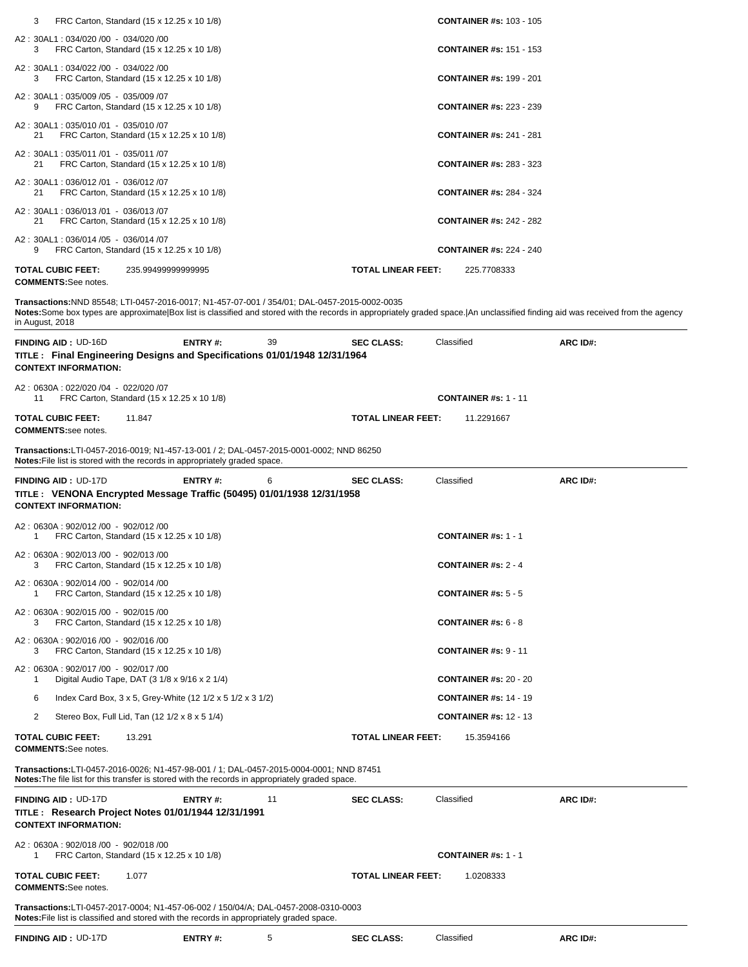| 3  | FRC Carton, Standard (15 x 12.25 x 10 1/8)                                         |                           | <b>CONTAINER #s: 103 - 105</b> |
|----|------------------------------------------------------------------------------------|---------------------------|--------------------------------|
| 3  | A2: 30AL1: 034/020 /00 - 034/020 /00<br>FRC Carton, Standard (15 x 12.25 x 10 1/8) |                           | <b>CONTAINER #s: 151 - 153</b> |
| 3  | A2: 30AL1: 034/022 /00 - 034/022 /00<br>FRC Carton, Standard (15 x 12.25 x 10 1/8) |                           | <b>CONTAINER #s: 199 - 201</b> |
| 9  | A2: 30AL1: 035/009 /05 - 035/009 /07<br>FRC Carton, Standard (15 x 12.25 x 10 1/8) |                           | <b>CONTAINER #s: 223 - 239</b> |
| 21 | A2: 30AL1: 035/010 /01 - 035/010 /07<br>FRC Carton, Standard (15 x 12.25 x 10 1/8) |                           | <b>CONTAINER #s: 241 - 281</b> |
| 21 | A2: 30AL1: 035/011 /01 - 035/011 /07<br>FRC Carton, Standard (15 x 12.25 x 10 1/8) |                           | <b>CONTAINER #s: 283 - 323</b> |
| 21 | A2: 30AL1: 036/012 /01 - 036/012 /07<br>FRC Carton, Standard (15 x 12.25 x 10 1/8) |                           | <b>CONTAINER #s: 284 - 324</b> |
| 21 | A2: 30AL1: 036/013 /01 - 036/013 /07<br>FRC Carton, Standard (15 x 12.25 x 10 1/8) |                           | <b>CONTAINER #s: 242 - 282</b> |
| 9  | A2: 30AL1: 036/014 /05 - 036/014 /07<br>FRC Carton, Standard (15 x 12.25 x 10 1/8) |                           | <b>CONTAINER #s: 224 - 240</b> |
|    | <b>TOTAL CUBIC FEET:</b><br>235.99499999999995<br><b>COMMENTS:</b> See notes.      | <b>TOTAL LINEAR FEET:</b> | 225.7708333                    |

**Transactions:**NND 85548; LTI-0457-2016-0017; N1-457-07-001 / 354/01; DAL-0457-2015-0002-0035

**Notes:**Some box types are approximate|Box list is classified and stored with the records in appropriately graded space.|An unclassified finding aid was received from the agency in August, 2018

| <b>FINDING AID: UD-16D</b><br>TITLE: Final Engineering Designs and Specifications 01/01/1948 12/31/1964<br><b>CONTEXT INFORMATION:</b>                                                     | <b>ENTRY#:</b> | 39 | <b>SEC CLASS:</b>         | Classified                              | ARC ID#: |
|--------------------------------------------------------------------------------------------------------------------------------------------------------------------------------------------|----------------|----|---------------------------|-----------------------------------------|----------|
| A2: 0630A: 022/020 /04 - 022/020 /07<br>FRC Carton, Standard (15 x 12.25 x 10 1/8)<br>11                                                                                                   |                |    |                           | <b>CONTAINER #s: 1 - 11</b>             |          |
| <b>TOTAL CUBIC FEET:</b><br>11.847<br><b>COMMENTS:see notes.</b>                                                                                                                           |                |    | <b>TOTAL LINEAR FEET:</b> | 11.2291667                              |          |
| <b>Transactions:</b> LTI-0457-2016-0019; N1-457-13-001 / 2; DAL-0457-2015-0001-0002; NND 86250<br>Notes: File list is stored with the records in appropriately graded space.               |                |    |                           |                                         |          |
| <b>FINDING AID: UD-17D</b>                                                                                                                                                                 | ENTRY#:        | 6  | <b>SEC CLASS:</b>         | Classified                              | ARC ID#: |
| TITLE : VENONA Encrypted Message Traffic (50495) 01/01/1938 12/31/1958<br><b>CONTEXT INFORMATION:</b>                                                                                      |                |    |                           |                                         |          |
| A2: 0630A: 902/012 /00 - 902/012 /00<br>FRC Carton, Standard (15 x 12.25 x 10 1/8)<br>1                                                                                                    |                |    |                           | <b>CONTAINER #s: 1 - 1</b>              |          |
| A2: 0630A: 902/013 /00 - 902/013 /00<br>FRC Carton, Standard (15 x 12.25 x 10 1/8)<br>3                                                                                                    |                |    |                           | <b>CONTAINER #s: 2 - 4</b>              |          |
| A2: 0630A: 902/014 /00 - 902/014 /00<br>FRC Carton, Standard (15 x 12.25 x 10 1/8)<br>1                                                                                                    |                |    |                           | <b>CONTAINER #s: 5 - 5</b>              |          |
| A2: 0630A: 902/015 /00 - 902/015 /00<br>FRC Carton, Standard (15 x 12.25 x 10 1/8)<br>3                                                                                                    |                |    |                           | <b>CONTAINER #s: <math>6 - 8</math></b> |          |
| A2: 0630A: 902/016 /00 - 902/016 /00<br>FRC Carton, Standard (15 x 12.25 x 10 1/8)<br>3                                                                                                    |                |    |                           | <b>CONTAINER #s: 9 - 11</b>             |          |
| A2: 0630A: 902/017 /00 - 902/017 /00<br>Digital Audio Tape, DAT (3 1/8 x 9/16 x 2 1/4)<br>1                                                                                                |                |    |                           | <b>CONTAINER #s: 20 - 20</b>            |          |
| Index Card Box, 3 x 5, Grey-White (12 1/2 x 5 1/2 x 3 1/2)<br>6                                                                                                                            |                |    |                           | <b>CONTAINER #s: 14 - 19</b>            |          |
| $\overline{2}$<br>Stereo Box, Full Lid, Tan (12 1/2 x 8 x 5 1/4)                                                                                                                           |                |    |                           | <b>CONTAINER #s: 12 - 13</b>            |          |
| <b>TOTAL CUBIC FEET:</b><br>13.291<br><b>COMMENTS:See notes.</b>                                                                                                                           |                |    | <b>TOTAL LINEAR FEET:</b> | 15.3594166                              |          |
| Transactions:LTI-0457-2016-0026; N1-457-98-001 / 1; DAL-0457-2015-0004-0001; NND 87451<br>Notes: The file list for this transfer is stored with the records in appropriately graded space. |                |    |                           |                                         |          |
| <b>FINDING AID: UD-17D</b><br>TITLE: Research Project Notes 01/01/1944 12/31/1991<br><b>CONTEXT INFORMATION:</b>                                                                           | ENTRY#:        | 11 | <b>SEC CLASS:</b>         | Classified                              | ARC ID#: |
| A2: 0630A: 902/018 /00 - 902/018 /00<br>FRC Carton, Standard (15 x 12.25 x 10 1/8)<br>1                                                                                                    |                |    |                           | <b>CONTAINER #s: 1 - 1</b>              |          |
| <b>TOTAL CUBIC FEET:</b><br>1.077<br><b>COMMENTS:See notes.</b>                                                                                                                            |                |    | <b>TOTAL LINEAR FEET:</b> | 1.0208333                               |          |
| Transactions:LTI-0457-2017-0004; N1-457-06-002 / 150/04/A; DAL-0457-2008-0310-0003<br>Notes: File list is classified and stored with the records in appropriately graded space.            |                |    |                           |                                         |          |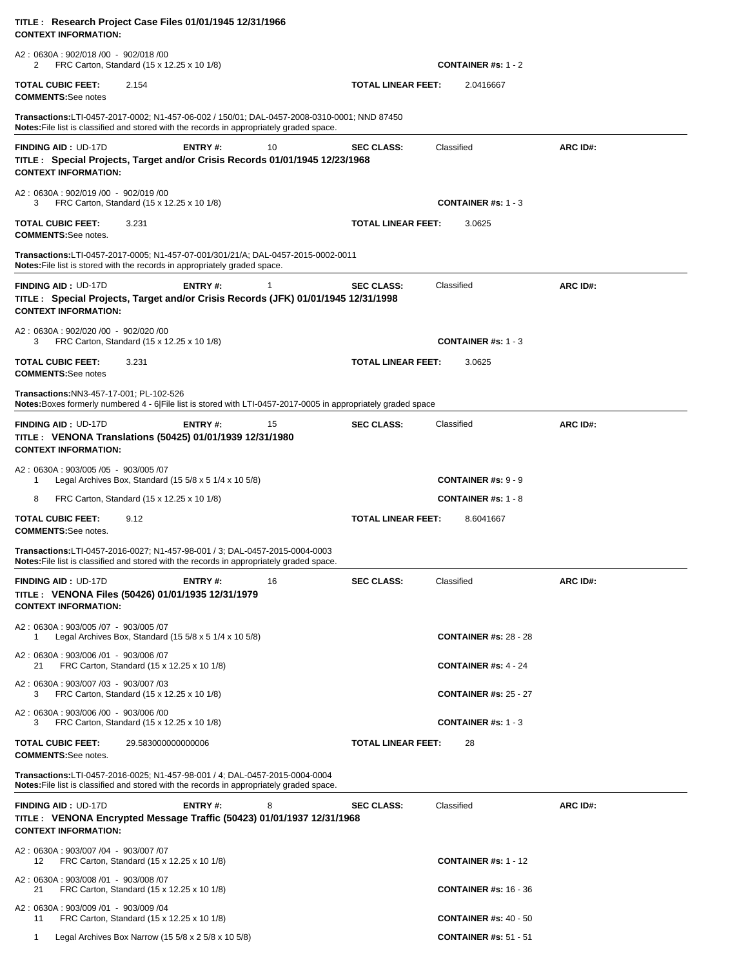| TITLE : Research Project Case Files 01/01/1945 12/31/1966<br><b>CONTEXT INFORMATION:</b>                                                                                                 |                           |                              |          |
|------------------------------------------------------------------------------------------------------------------------------------------------------------------------------------------|---------------------------|------------------------------|----------|
| A2: 0630A: 902/018 /00 - 902/018 /00<br>FRC Carton, Standard (15 x 12.25 x 10 1/8)<br>2                                                                                                  |                           | <b>CONTAINER #s: 1 - 2</b>   |          |
| <b>TOTAL CUBIC FEET:</b><br>2.154<br><b>COMMENTS:See notes</b>                                                                                                                           | <b>TOTAL LINEAR FEET:</b> | 2.0416667                    |          |
| Transactions:LTI-0457-2017-0002; N1-457-06-002 / 150/01; DAL-0457-2008-0310-0001; NND 87450<br>Notes: File list is classified and stored with the records in appropriately graded space. |                           |                              |          |
| ENTRY#:<br>10<br><b>FINDING AID: UD-17D</b><br>TITLE: Special Projects, Target and/or Crisis Records 01/01/1945 12/23/1968<br><b>CONTEXT INFORMATION:</b>                                | <b>SEC CLASS:</b>         | Classified                   | ARC ID#: |
| A2: 0630A: 902/019 /00 - 902/019 /00<br>FRC Carton, Standard (15 x 12.25 x 10 1/8)<br>3                                                                                                  |                           | <b>CONTAINER #s: 1 - 3</b>   |          |
| <b>TOTAL CUBIC FEET:</b><br>3.231<br><b>COMMENTS:</b> See notes.                                                                                                                         | <b>TOTAL LINEAR FEET:</b> | 3.0625                       |          |
| Transactions:LTI-0457-2017-0005; N1-457-07-001/301/21/A; DAL-0457-2015-0002-0011<br>Notes: File list is stored with the records in appropriately graded space.                           |                           |                              |          |
| <b>FINDING AID: UD-17D</b><br>ENTRY#:<br>$\mathbf{1}$<br>TITLE : Special Projects, Target and/or Crisis Records (JFK) 01/01/1945 12/31/1998<br><b>CONTEXT INFORMATION:</b>               | <b>SEC CLASS:</b>         | Classified                   | ARC ID#: |
| A2: 0630A: 902/020 /00 - 902/020 /00<br>FRC Carton, Standard (15 x 12.25 x 10 1/8)<br>3                                                                                                  |                           | <b>CONTAINER #s: 1 - 3</b>   |          |
| <b>TOTAL CUBIC FEET:</b><br>3.231<br><b>COMMENTS:See notes</b>                                                                                                                           | <b>TOTAL LINEAR FEET:</b> | 3.0625                       |          |
| Transactions:NN3-457-17-001; PL-102-526<br>Notes: Boxes formerly numbered 4 - 6  File list is stored with LTI-0457-2017-0005 in appropriately graded space                               |                           |                              |          |
| <b>FINDING AID: UD-17D</b><br><b>ENTRY#:</b><br>15<br>TITLE: VENONA Translations (50425) 01/01/1939 12/31/1980<br><b>CONTEXT INFORMATION:</b>                                            | <b>SEC CLASS:</b>         | Classified                   | ARC ID#: |
| A2: 0630A: 903/005 /05 - 903/005 /07<br>Legal Archives Box, Standard (15 $5/8 \times 5$ 1/4 $\times$ 10 $5/8$ )<br>-1                                                                    |                           | <b>CONTAINER #s: 9 - 9</b>   |          |
| 8<br>FRC Carton, Standard (15 x 12.25 x 10 1/8)                                                                                                                                          |                           | <b>CONTAINER #s: 1 - 8</b>   |          |
| <b>TOTAL CUBIC FEET:</b><br>9.12<br><b>COMMENTS:</b> See notes.                                                                                                                          | <b>TOTAL LINEAR FEET:</b> | 8.6041667                    |          |
| Transactions:LTI-0457-2016-0027; N1-457-98-001 / 3; DAL-0457-2015-0004-0003<br><b>Notes:</b> File list is classified and stored with the records in appropriately graded space.          |                           |                              |          |
| <b>FINDING AID: UD-17D</b><br><b>ENTRY#:</b><br>16<br>TITLE : VENONA Files (50426) 01/01/1935 12/31/1979<br><b>CONTEXT INFORMATION:</b>                                                  | <b>SEC CLASS:</b>         | Classified                   | ARC ID#: |
| A2: 0630A: 903/005 /07 - 903/005 /07<br>Legal Archives Box, Standard $(15\ 5/8 \times 5\ 1/4 \times 10\ 5/8)$<br>1                                                                       |                           | <b>CONTAINER #s: 28 - 28</b> |          |
| A2: 0630A: 903/006 /01 - 903/006 /07<br>FRC Carton, Standard (15 x 12.25 x 10 1/8)<br>21                                                                                                 |                           | <b>CONTAINER #s: 4 - 24</b>  |          |
| A2: 0630A: 903/007 /03 - 903/007 /03<br>FRC Carton, Standard (15 x 12.25 x 10 1/8)<br>3                                                                                                  |                           | <b>CONTAINER #s: 25 - 27</b> |          |
| A2: 0630A: 903/006 /00 - 903/006 /00<br>FRC Carton, Standard (15 x 12.25 x 10 1/8)<br>3                                                                                                  |                           | <b>CONTAINER #s: 1 - 3</b>   |          |
| TOTAL CUBIC FEET:<br>29.583000000000006<br><b>COMMENTS:</b> See notes.                                                                                                                   | <b>TOTAL LINEAR FEET:</b> | 28                           |          |
| Transactions:LTI-0457-2016-0025; N1-457-98-001 / 4; DAL-0457-2015-0004-0004<br><b>Notes:</b> File list is classified and stored with the records in appropriately graded space.          |                           |                              |          |
| <b>FINDING AID: UD-17D</b><br>ENTRY#:<br>8<br>TITLE : VENONA Encrypted Message Traffic (50423) 01/01/1937 12/31/1968<br><b>CONTEXT INFORMATION:</b>                                      | <b>SEC CLASS:</b>         | Classified                   | ARC ID#: |
| A2: 0630A: 903/007 /04 - 903/007 /07<br>FRC Carton, Standard (15 x 12.25 x 10 1/8)<br>12                                                                                                 |                           | <b>CONTAINER #s: 1 - 12</b>  |          |
| A2: 0630A: 903/008 /01 - 903/008 /07<br>21<br>FRC Carton, Standard (15 x 12.25 x 10 1/8)                                                                                                 |                           | <b>CONTAINER #s: 16 - 36</b> |          |
| A2: 0630A: 903/009 /01 - 903/009 /04<br>11<br>FRC Carton, Standard (15 x 12.25 x 10 1/8)                                                                                                 |                           | <b>CONTAINER #s: 40 - 50</b> |          |
| Legal Archives Box Narrow (15 5/8 x 2 5/8 x 10 5/8)<br>$\mathbf{1}$                                                                                                                      |                           | <b>CONTAINER #s: 51 - 51</b> |          |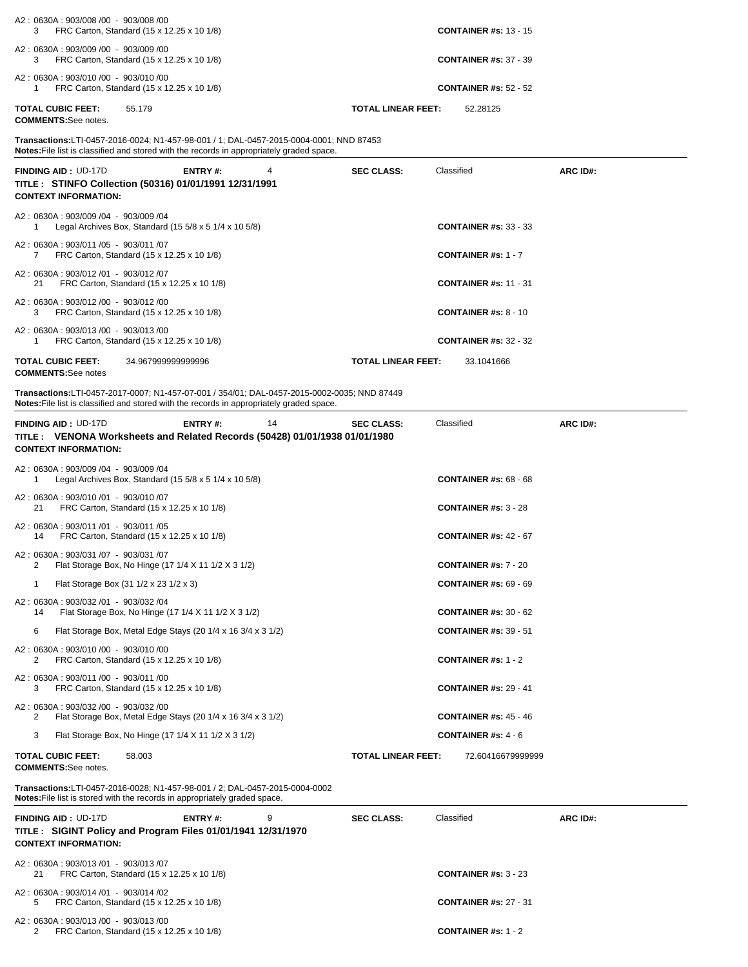| A2: 0630A: 903/008 /00 - 903/008 /00<br>FRC Carton, Standard (15 x 12.25 x 10 1/8)<br>3                                                                                                     |                           | <b>CONTAINER #s: 13 - 15</b>             |          |
|---------------------------------------------------------------------------------------------------------------------------------------------------------------------------------------------|---------------------------|------------------------------------------|----------|
| A2: 0630A: 903/009 /00 - 903/009 /00<br>FRC Carton, Standard (15 x 12.25 x 10 1/8)<br>3                                                                                                     |                           | <b>CONTAINER #s: 37 - 39</b>             |          |
| A2: 0630A: 903/010 /00 - 903/010 /00<br>FRC Carton, Standard (15 x 12.25 x 10 1/8)<br>1                                                                                                     |                           | <b>CONTAINER #s: 52 - 52</b>             |          |
| <b>TOTAL CUBIC FEET:</b><br>55.179<br><b>COMMENTS:</b> See notes.                                                                                                                           | <b>TOTAL LINEAR FEET:</b> | 52.28125                                 |          |
| <b>Transactions:</b> LTI-0457-2016-0024; N1-457-98-001 / 1; DAL-0457-2015-0004-0001; NND 87453<br>Notes: File list is classified and stored with the records in appropriately graded space. |                           |                                          |          |
| <b>FINDING AID: UD-17D</b><br>ENTRY#:<br>4<br>TITLE : STINFO Collection (50316) 01/01/1991 12/31/1991<br><b>CONTEXT INFORMATION:</b>                                                        | <b>SEC CLASS:</b>         | Classified                               | ARC ID#: |
| A2: 0630A: 903/009 /04 - 903/009 /04<br>Legal Archives Box, Standard $(15\ 5/8 \times 5\ 1/4 \times 10\ 5/8)$<br>1                                                                          |                           | <b>CONTAINER #s: 33 - 33</b>             |          |
| A2: 0630A: 903/011 /05 - 903/011 /07<br>FRC Carton, Standard (15 x 12.25 x 10 1/8)<br>$7^{\circ}$                                                                                           |                           | <b>CONTAINER #s: 1 - 7</b>               |          |
| A2: 0630A: 903/012 /01 - 903/012 /07<br>FRC Carton, Standard (15 x 12.25 x 10 1/8)<br>21                                                                                                    |                           | <b>CONTAINER #s: 11 - 31</b>             |          |
| A2: 0630A: 903/012 /00 - 903/012 /00<br>FRC Carton, Standard (15 x 12.25 x 10 1/8)<br>3                                                                                                     |                           | <b>CONTAINER #s: 8 - 10</b>              |          |
| A2: 0630A: 903/013 /00 - 903/013 /00<br>FRC Carton, Standard (15 x 12.25 x 10 1/8)<br>1                                                                                                     |                           | <b>CONTAINER #s: 32 - 32</b>             |          |
| <b>TOTAL CUBIC FEET:</b><br>34.967999999999996<br><b>COMMENTS:</b> See notes                                                                                                                | <b>TOTAL LINEAR FEET:</b> | 33.1041666                               |          |
| Transactions:LTI-0457-2017-0007; N1-457-07-001 / 354/01; DAL-0457-2015-0002-0035; NND 87449<br>Notes: File list is classified and stored with the records in appropriately graded space.    |                           |                                          |          |
| <b>ENTRY#:</b><br><b>FINDING AID: UD-17D</b><br>14<br>TITLE: VENONA Worksheets and Related Records (50428) 01/01/1938 01/01/1980<br><b>CONTEXT INFORMATION:</b>                             | <b>SEC CLASS:</b>         | Classified                               | ARC ID#: |
| A2: 0630A: 903/009 /04 - 903/009 /04<br>Legal Archives Box, Standard $(15\,5/8 \times 5\,1/4 \times 10\,5/8)$<br>1                                                                          |                           | <b>CONTAINER #s: 68 - 68</b>             |          |
| A2: 0630A: 903/010 /01 - 903/010 /07<br>FRC Carton, Standard (15 x 12.25 x 10 1/8)<br>21                                                                                                    |                           | <b>CONTAINER #s: <math>3 - 28</math></b> |          |
| A2: 0630A: 903/011 /01 - 903/011 /05<br>FRC Carton, Standard (15 x 12.25 x 10 1/8)<br>14                                                                                                    |                           | <b>CONTAINER #s: 42 - 67</b>             |          |
| A2: 0630A: 903/031 /07 - 903/031 /07<br>2<br>Flat Storage Box, No Hinge (17 1/4 X 11 1/2 X 3 1/2)                                                                                           |                           | <b>CONTAINER #s: 7 - 20</b>              |          |
| Flat Storage Box (31 1/2 x 23 1/2 x 3)<br>1                                                                                                                                                 |                           | <b>CONTAINER #s: 69 - 69</b>             |          |
| A2: 0630A: 903/032 /01 - 903/032 /04<br>Flat Storage Box, No Hinge (17 1/4 X 11 1/2 X 3 1/2)<br>14                                                                                          |                           | <b>CONTAINER #s: 30 - 62</b>             |          |
| 6<br>Flat Storage Box, Metal Edge Stays (20 1/4 x 16 3/4 x 3 1/2)                                                                                                                           |                           | <b>CONTAINER #s: 39 - 51</b>             |          |
| A2: 0630A: 903/010 /00 - 903/010 /00<br>2<br>FRC Carton, Standard (15 x 12.25 x 10 1/8)                                                                                                     |                           | <b>CONTAINER #s: 1 - 2</b>               |          |
| A2: 0630A: 903/011 /00 - 903/011 /00<br>3<br>FRC Carton, Standard (15 x 12.25 x 10 1/8)                                                                                                     |                           | <b>CONTAINER #s: 29 - 41</b>             |          |
| A2: 0630A: 903/032 /00 - 903/032 /00<br>Flat Storage Box, Metal Edge Stays (20 1/4 x 16 3/4 x 3 1/2)<br>2                                                                                   |                           | <b>CONTAINER #s: 45 - 46</b>             |          |
| 3<br>Flat Storage Box, No Hinge (17 1/4 X 11 1/2 X 3 1/2)                                                                                                                                   |                           | <b>CONTAINER #s: <math>4 - 6</math></b>  |          |
| <b>TOTAL CUBIC FEET:</b><br>58.003<br><b>COMMENTS:</b> See notes.                                                                                                                           | <b>TOTAL LINEAR FEET:</b> | 72.60416679999999                        |          |
| Transactions:LTI-0457-2016-0028; N1-457-98-001 / 2; DAL-0457-2015-0004-0002<br>Notes: File list is stored with the records in appropriately graded space.                                   |                           |                                          |          |
| <b>FINDING AID: UD-17D</b><br>ENTRY#:<br>9<br>TITLE: SIGINT Policy and Program Files 01/01/1941 12/31/1970<br><b>CONTEXT INFORMATION:</b>                                                   | <b>SEC CLASS:</b>         | Classified                               | ARC ID#: |
| A2: 0630A: 903/013 /01 - 903/013 /07<br>FRC Carton, Standard (15 x 12.25 x 10 1/8)<br>21                                                                                                    |                           | <b>CONTAINER #s: 3 - 23</b>              |          |
| A2: 0630A: 903/014 /01 - 903/014 /02<br>FRC Carton, Standard (15 x 12.25 x 10 1/8)<br>5                                                                                                     |                           | <b>CONTAINER #s: 27 - 31</b>             |          |
| A2: 0630A: 903/013 /00 - 903/013 /00<br>FRC Carton, Standard (15 x 12.25 x 10 1/8)<br>2                                                                                                     |                           | <b>CONTAINER #s: 1 - 2</b>               |          |
|                                                                                                                                                                                             |                           |                                          |          |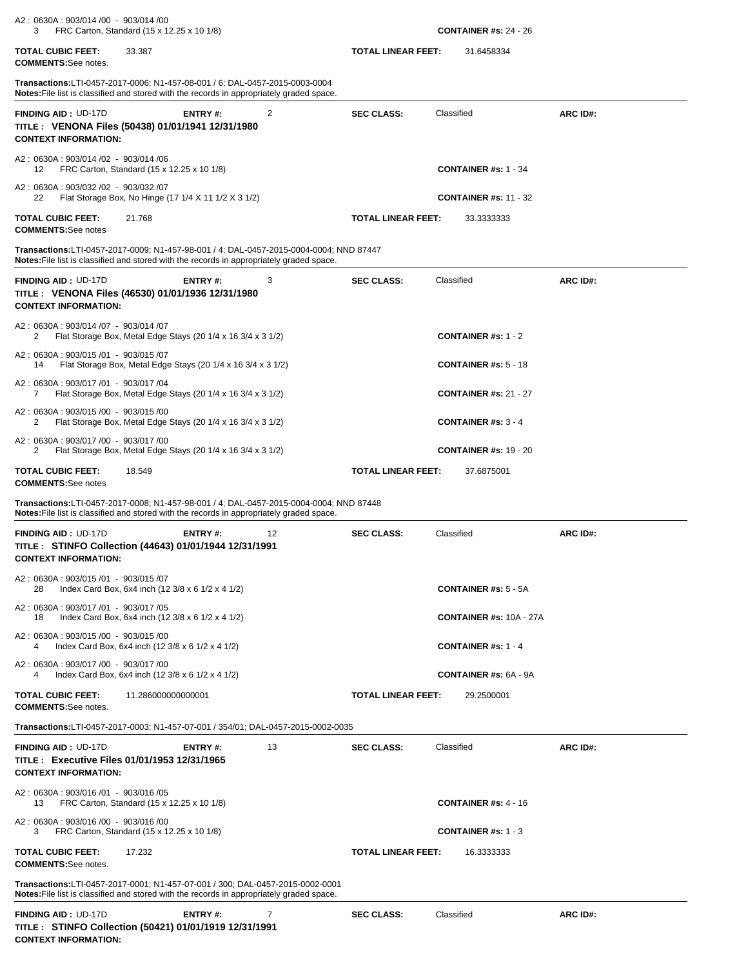| A2: 0630A: 903/014 /00 - 903/014 /00<br>FRC Carton, Standard (15 x 12.25 x 10 1/8)<br>3                                                                                             |                           | <b>CONTAINER #s: 24 - 26</b>             |          |
|-------------------------------------------------------------------------------------------------------------------------------------------------------------------------------------|---------------------------|------------------------------------------|----------|
| <b>TOTAL CUBIC FEET:</b><br>33.387<br><b>COMMENTS:</b> See notes.                                                                                                                   | <b>TOTAL LINEAR FEET:</b> | 31.6458334                               |          |
| Transactions:LTI-0457-2017-0006; N1-457-08-001 / 6; DAL-0457-2015-0003-0004<br>Notes: File list is classified and stored with the records in appropriately graded space.            |                           |                                          |          |
| <b>FINDING AID: UD-17D</b><br><b>ENTRY#:</b><br>2<br>TITLE: VENONA Files (50438) 01/01/1941 12/31/1980<br><b>CONTEXT INFORMATION:</b>                                               | <b>SEC CLASS:</b>         | Classified                               | ARC ID#: |
| A2: 0630A: 903/014 /02 - 903/014 /06<br>FRC Carton, Standard (15 x 12.25 x 10 1/8)<br>12                                                                                            |                           | <b>CONTAINER #s: 1 - 34</b>              |          |
| A2: 0630A: 903/032 /02 - 903/032 /07<br>22<br>Flat Storage Box, No Hinge (17 1/4 X 11 1/2 X 3 1/2)                                                                                  |                           | <b>CONTAINER #s: 11 - 32</b>             |          |
| <b>TOTAL CUBIC FEET:</b><br>21.768<br><b>COMMENTS:</b> See notes                                                                                                                    | <b>TOTAL LINEAR FEET:</b> | 33.3333333                               |          |
| Transactions:LTI-0457-2017-0009; N1-457-98-001 / 4; DAL-0457-2015-0004-0004; NND 87447<br>Notes: File list is classified and stored with the records in appropriately graded space. |                           |                                          |          |
| <b>FINDING AID: UD-17D</b><br><b>ENTRY#:</b><br>3<br>TITLE: VENONA Files (46530) 01/01/1936 12/31/1980<br><b>CONTEXT INFORMATION:</b>                                               | <b>SEC CLASS:</b>         | Classified                               | ARC ID#: |
| A2: 0630A: 903/014 /07 - 903/014 /07<br>Flat Storage Box, Metal Edge Stays (20 1/4 x 16 3/4 x 3 1/2)<br>2                                                                           |                           | <b>CONTAINER #s: 1 - 2</b>               |          |
| A2: 0630A: 903/015 /01 - 903/015 /07<br>Flat Storage Box, Metal Edge Stays (20 1/4 x 16 3/4 x 3 1/2)<br>14                                                                          |                           | <b>CONTAINER #s: <math>5 - 18</math></b> |          |
| A2: 0630A: 903/017 /01 - 903/017 /04<br>Flat Storage Box, Metal Edge Stays (20 1/4 x 16 3/4 x 3 1/2)<br>7                                                                           |                           | <b>CONTAINER #s: 21 - 27</b>             |          |
| A2: 0630A: 903/015 /00 - 903/015 /00<br>Flat Storage Box, Metal Edge Stays (20 1/4 x 16 3/4 x 3 1/2)<br>2                                                                           |                           | <b>CONTAINER</b> #s: $3 - 4$             |          |
| A2: 0630A: 903/017 /00 - 903/017 /00<br>Flat Storage Box, Metal Edge Stays (20 1/4 x 16 3/4 x 3 1/2)<br>2                                                                           |                           | <b>CONTAINER #s: 19 - 20</b>             |          |
| <b>TOTAL CUBIC FEET:</b><br>18.549<br><b>COMMENTS:See notes</b>                                                                                                                     | <b>TOTAL LINEAR FEET:</b> | 37.6875001                               |          |
| Transactions:LTI-0457-2017-0008; N1-457-98-001 / 4; DAL-0457-2015-0004-0004; NND 87448<br>Notes: File list is classified and stored with the records in appropriately graded space. |                           |                                          |          |
| <b>FINDING AID: UD-17D</b><br>12<br>ENTRY#:<br>TITLE : STINFO Collection (44643) 01/01/1944 12/31/1991                                                                              | <b>SEC CLASS:</b>         | Classified                               | ARC ID#: |
| <b>CONTEXT INFORMATION:</b>                                                                                                                                                         |                           |                                          |          |
| A2: 0630A: 903/015 /01 - 903/015 /07<br>Index Card Box, 6x4 inch (12 3/8 x 6 1/2 x 4 1/2)<br>28                                                                                     |                           | <b>CONTAINER #s: 5 - 5A</b>              |          |
| A2: 0630A: 903/017 /01 - 903/017 /05<br>Index Card Box, 6x4 inch (12 3/8 x 6 1/2 x 4 1/2)<br>18                                                                                     |                           | <b>CONTAINER #s: 10A - 27A</b>           |          |
| A2: 0630A: 903/015 /00 - 903/015 /00<br>Index Card Box, 6x4 inch (12 3/8 x 6 1/2 x 4 1/2)<br>4                                                                                      |                           | CONTAINER #s: $1 - 4$                    |          |
| A2: 0630A: 903/017 /00 - 903/017 /00<br>4<br>Index Card Box, 6x4 inch (12 3/8 x 6 1/2 x 4 1/2)                                                                                      |                           | <b>CONTAINER #s: 6A - 9A</b>             |          |
| TOTAL CUBIC FEET:<br>11.286000000000001<br><b>COMMENTS:</b> See notes.                                                                                                              | <b>TOTAL LINEAR FEET:</b> | 29.2500001                               |          |
| Transactions:LTI-0457-2017-0003; N1-457-07-001 / 354/01; DAL-0457-2015-0002-0035                                                                                                    |                           |                                          |          |
| <b>FINDING AID: UD-17D</b><br>13<br>ENTRY#:<br>TITLE : Executive Files 01/01/1953 12/31/1965<br><b>CONTEXT INFORMATION:</b>                                                         | <b>SEC CLASS:</b>         | Classified                               | ARC ID#: |
| A2: 0630A: 903/016 /01 - 903/016 /05<br>FRC Carton, Standard (15 x 12.25 x 10 1/8)<br>13                                                                                            |                           | <b>CONTAINER #s: 4 - 16</b>              |          |
| A2: 0630A: 903/016 /00 - 903/016 /00<br>FRC Carton, Standard (15 x 12.25 x 10 1/8)<br>3                                                                                             |                           | <b>CONTAINER #s: 1 - 3</b>               |          |
| <b>TOTAL CUBIC FEET:</b><br>17.232<br><b>COMMENTS:</b> See notes.                                                                                                                   | <b>TOTAL LINEAR FEET:</b> | 16.3333333                               |          |
| Transactions:LTI-0457-2017-0001; N1-457-07-001 / 300; DAL-0457-2015-0002-0001<br><b>Notes:</b> File list is classified and stored with the records in appropriately graded space.   |                           |                                          |          |

**CONTEXT INFORMATION:**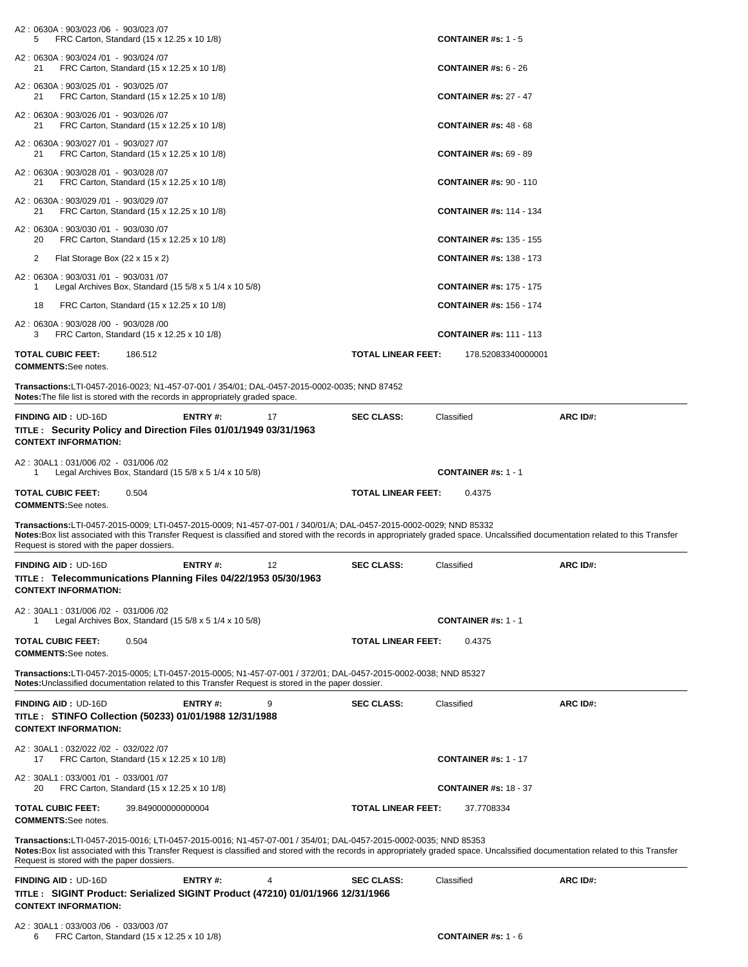| FRC Carton, Standard (15 x 12.25 x 10 1/8)<br>5                                                                                                                                                                                                                                                                                                      |                      |                           | CONTAINER #s: $1 - 5$                    |          |
|------------------------------------------------------------------------------------------------------------------------------------------------------------------------------------------------------------------------------------------------------------------------------------------------------------------------------------------------------|----------------------|---------------------------|------------------------------------------|----------|
| A2: 0630A: 903/024 /01 - 903/024 /07<br>FRC Carton, Standard (15 x 12.25 x 10 1/8)<br>21                                                                                                                                                                                                                                                             |                      |                           | <b>CONTAINER #s: <math>6 - 26</math></b> |          |
| A2: 0630A: 903/025 /01 - 903/025 /07<br>FRC Carton, Standard (15 x 12.25 x 10 1/8)<br>21                                                                                                                                                                                                                                                             |                      |                           | <b>CONTAINER #s: 27 - 47</b>             |          |
| A2: 0630A: 903/026 /01 - 903/026 /07<br>FRC Carton, Standard (15 x 12.25 x 10 1/8)<br>21                                                                                                                                                                                                                                                             |                      |                           | <b>CONTAINER #s: 48 - 68</b>             |          |
| A2: 0630A: 903/027 /01 - 903/027 /07<br>FRC Carton, Standard (15 x 12.25 x 10 1/8)<br>21                                                                                                                                                                                                                                                             |                      |                           | <b>CONTAINER #s: 69 - 89</b>             |          |
| A2: 0630A: 903/028 /01 - 903/028 /07<br>FRC Carton, Standard (15 x 12.25 x 10 1/8)<br>21                                                                                                                                                                                                                                                             |                      |                           | <b>CONTAINER #s: 90 - 110</b>            |          |
| A2: 0630A: 903/029 /01 - 903/029 /07<br>FRC Carton, Standard (15 x 12.25 x 10 1/8)<br>21                                                                                                                                                                                                                                                             |                      |                           | <b>CONTAINER #s: 114 - 134</b>           |          |
| A2: 0630A: 903/030 /01 - 903/030 /07<br>FRC Carton, Standard (15 x 12.25 x 10 1/8)<br>20                                                                                                                                                                                                                                                             |                      |                           | <b>CONTAINER #s: 135 - 155</b>           |          |
| 2<br>Flat Storage Box (22 x 15 x 2)                                                                                                                                                                                                                                                                                                                  |                      |                           | <b>CONTAINER #s: 138 - 173</b>           |          |
| A2: 0630A: 903/031 /01 - 903/031 /07<br>Legal Archives Box, Standard $(15\,5/8 \times 5\,1/4 \times 10\,5/8)$<br>1                                                                                                                                                                                                                                   |                      |                           | <b>CONTAINER #s: 175 - 175</b>           |          |
| 18<br>FRC Carton, Standard (15 x 12.25 x 10 1/8)                                                                                                                                                                                                                                                                                                     |                      |                           | <b>CONTAINER #s: 156 - 174</b>           |          |
| A2: 0630A: 903/028 /00 - 903/028 /00<br>FRC Carton, Standard (15 x 12.25 x 10 1/8)<br>З                                                                                                                                                                                                                                                              |                      |                           | <b>CONTAINER #s: 111 - 113</b>           |          |
| TOTAL CUBIC FEET:<br>186.512<br><b>COMMENTS:See notes.</b>                                                                                                                                                                                                                                                                                           |                      | <b>TOTAL LINEAR FEET:</b> | 178.52083340000001                       |          |
| Transactions:LTI-0457-2016-0023; N1-457-07-001 / 354/01; DAL-0457-2015-0002-0035; NND 87452<br><b>Notes:</b> The file list is stored with the records in appropriately graded space.                                                                                                                                                                 |                      |                           |                                          |          |
| <b>FINDING AID: UD-16D</b><br>TITLE : Security Policy and Direction Files 01/01/1949 03/31/1963<br><b>CONTEXT INFORMATION:</b>                                                                                                                                                                                                                       | <b>ENTRY#:</b><br>17 | <b>SEC CLASS:</b>         | Classified                               | ARC ID#: |
| A2: 30AL1: 031/006 /02 - 031/006 /02                                                                                                                                                                                                                                                                                                                 |                      |                           |                                          |          |
| Legal Archives Box, Standard $(15\ 5/8 \times 5\ 1/4 \times 10\ 5/8)$<br>1                                                                                                                                                                                                                                                                           |                      |                           | <b>CONTAINER #s: 1 - 1</b>               |          |
|                                                                                                                                                                                                                                                                                                                                                      |                      |                           |                                          |          |
| <b>TOTAL CUBIC FEET:</b><br>0.504<br><b>COMMENTS:</b> See notes.                                                                                                                                                                                                                                                                                     |                      | TOTAL LINEAR FEET:        | 0.4375                                   |          |
| Transactions:LTI-0457-2015-0009; LTI-0457-2015-0009; N1-457-07-001 / 340/01/A; DAL-0457-2015-0002-0029; NND 85332<br>Notes:Box list associated with this Transfer Request is classified and stored with the records in appropriately graded space. Uncalssified documentation related to this Transfer<br>Request is stored with the paper dossiers. |                      |                           |                                          |          |
|                                                                                                                                                                                                                                                                                                                                                      | ENTRY#:<br>12        | <b>SEC CLASS:</b>         | Classified                               | ARC ID#: |
| FINDING AID: UD-16D<br>TITLE : Telecommunications Planning Files 04/22/1953 05/30/1963<br><b>CONTEXT INFORMATION:</b>                                                                                                                                                                                                                                |                      |                           |                                          |          |
| A2: 30AL1: 031/006 /02 - 031/006 /02<br>Legal Archives Box, Standard (15 $5/8 \times 5$ 1/4 $\times$ 10 $5/8$ )<br>1                                                                                                                                                                                                                                 |                      |                           | <b>CONTAINER #s: 1 - 1</b>               |          |
| TOTAL CUBIC FEET:<br>0.504<br><b>COMMENTS:See notes.</b>                                                                                                                                                                                                                                                                                             |                      | <b>TOTAL LINEAR FEET:</b> | 0.4375                                   |          |
| Transactions:LTI-0457-2015-0005; LTI-0457-2015-0005; N1-457-07-001 / 372/01; DAL-0457-2015-0002-0038; NND 85327<br>Notes: Unclassified documentation related to this Transfer Request is stored in the paper dossier.                                                                                                                                |                      |                           |                                          |          |
| <b>FINDING AID: UD-16D</b><br>TITLE: STINFO Collection (50233) 01/01/1988 12/31/1988<br><b>CONTEXT INFORMATION:</b>                                                                                                                                                                                                                                  | 9<br><b>ENTRY#:</b>  | <b>SEC CLASS:</b>         | Classified                               | ARC ID#: |
| A2: 30AL1: 032/022 /02 - 032/022 /07<br>FRC Carton, Standard (15 x 12.25 x 10 1/8)<br>17                                                                                                                                                                                                                                                             |                      |                           | <b>CONTAINER #s: 1 - 17</b>              |          |
| A2: 30AL1: 033/001 /01 - 033/001 /07<br>20<br>FRC Carton, Standard (15 x 12.25 x 10 1/8)                                                                                                                                                                                                                                                             |                      |                           | <b>CONTAINER #s: 18 - 37</b>             |          |
| TOTAL CUBIC FEET:<br>39.849000000000004<br><b>COMMENTS:See notes.</b>                                                                                                                                                                                                                                                                                |                      | TOTAL LINEAR FEET:        | 37.7708334                               |          |
| Transactions:LTI-0457-2015-0016; LTI-0457-2015-0016; N1-457-07-001 / 354/01; DAL-0457-2015-0002-0035; NND 85353<br>Notes: Box list associated with this Transfer Request is classified and stored with the records in appropriately graded space. Uncalssified documentation related to this Transfer<br>Request is stored with the paper dossiers.  |                      |                           |                                          |          |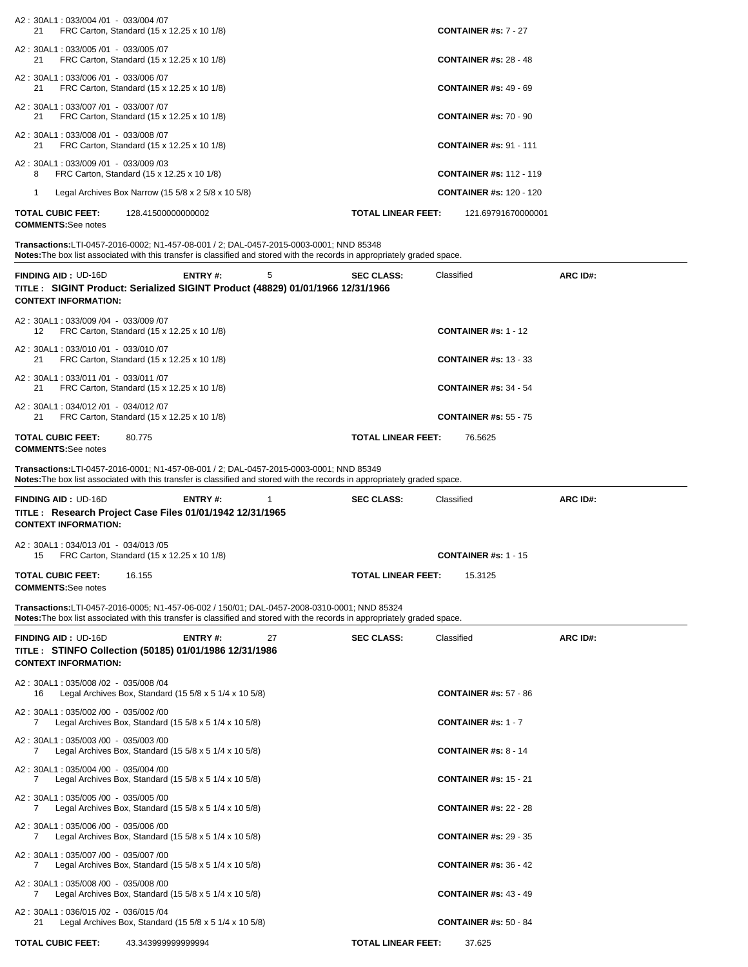| A2: 30AL1: 033/004 /01 - 033/004 /07                       |                                                                                                  |    |                                                                                                                            |                                |                 |
|------------------------------------------------------------|--------------------------------------------------------------------------------------------------|----|----------------------------------------------------------------------------------------------------------------------------|--------------------------------|-----------------|
| 21                                                         | FRC Carton, Standard (15 x 12.25 x 10 1/8)                                                       |    |                                                                                                                            | <b>CONTAINER #s: 7 - 27</b>    |                 |
| A2: 30AL1: 033/005 /01 - 033/005 /07<br>21                 | FRC Carton, Standard (15 x 12.25 x 10 1/8)                                                       |    |                                                                                                                            | <b>CONTAINER #s: 28 - 48</b>   |                 |
| A2: 30AL1: 033/006 /01 - 033/006 /07<br>21                 | FRC Carton, Standard (15 x 12.25 x 10 1/8)                                                       |    |                                                                                                                            | <b>CONTAINER #s: 49 - 69</b>   |                 |
| A2: 30AL1: 033/007 /01 - 033/007 /07<br>21                 | FRC Carton, Standard (15 x 12.25 x 10 1/8)                                                       |    |                                                                                                                            | <b>CONTAINER #s: 70 - 90</b>   |                 |
| A2: 30AL1: 033/008 /01 - 033/008 /07<br>21                 | FRC Carton, Standard (15 x 12.25 x 10 1/8)                                                       |    |                                                                                                                            | <b>CONTAINER #s: 91 - 111</b>  |                 |
| A2: 30AL1: 033/009 /01 - 033/009 /03<br>8                  | FRC Carton, Standard (15 x 12.25 x 10 1/8)                                                       |    |                                                                                                                            | <b>CONTAINER #s: 112 - 119</b> |                 |
| 1                                                          | Legal Archives Box Narrow (15 $5/8 \times 2$ 5/8 $\times$ 10 5/8)                                |    |                                                                                                                            | <b>CONTAINER #s: 120 - 120</b> |                 |
| <b>TOTAL CUBIC FEET:</b><br><b>COMMENTS:</b> See notes     | 128.41500000000002                                                                               |    | <b>TOTAL LINEAR FEET:</b>                                                                                                  | 121.69791670000001             |                 |
|                                                            | Transactions:LTI-0457-2016-0002; N1-457-08-001 / 2; DAL-0457-2015-0003-0001; NND 85348           |    | Notes: The box list associated with this transfer is classified and stored with the records in appropriately graded space. |                                |                 |
| <b>FINDING AID: UD-16D</b><br><b>CONTEXT INFORMATION:</b>  | <b>ENTRY#:</b><br>TITLE: SIGINT Product: Serialized SIGINT Product (48829) 01/01/1966 12/31/1966 | 5  | <b>SEC CLASS:</b>                                                                                                          | Classified                     | <b>ARC ID#:</b> |
| A2:30AL1:033/009 /04 - 033/009 /07                         |                                                                                                  |    |                                                                                                                            |                                |                 |
| 12                                                         | FRC Carton, Standard (15 x 12.25 x 10 1/8)                                                       |    |                                                                                                                            | <b>CONTAINER #s: 1 - 12</b>    |                 |
| A2:30AL1:033/010 /01 - 033/010 /07<br>21                   | FRC Carton, Standard (15 x 12.25 x 10 1/8)                                                       |    |                                                                                                                            | <b>CONTAINER #s: 13 - 33</b>   |                 |
| A2: 30AL1: 033/011 /01 - 033/011 /07<br>21                 | FRC Carton, Standard (15 x 12.25 x 10 1/8)                                                       |    |                                                                                                                            | <b>CONTAINER #s: 34 - 54</b>   |                 |
| A2:30AL1:034/012 /01 - 034/012 /07<br>21                   | FRC Carton, Standard (15 x 12.25 x 10 1/8)                                                       |    |                                                                                                                            | <b>CONTAINER #s: 55 - 75</b>   |                 |
| <b>TOTAL CUBIC FEET:</b><br><b>COMMENTS:</b> See notes     | 80.775                                                                                           |    | <b>TOTAL LINEAR FEET:</b>                                                                                                  | 76.5625                        |                 |
|                                                            | Transactions:LTI-0457-2016-0001; N1-457-08-001 / 2; DAL-0457-2015-0003-0001; NND 85349           |    | Notes: The box list associated with this transfer is classified and stored with the records in appropriately graded space. |                                |                 |
| <b>FINDING AID : UD-16D</b><br><b>CONTEXT INFORMATION:</b> | <b>ENTRY#:</b><br>TITLE: Research Project Case Files 01/01/1942 12/31/1965                       | 1  | <b>SEC CLASS:</b>                                                                                                          | Classified                     | ARC ID#:        |
| A2: 30AL1: 034/013 /01 - 034/013 /05<br>15                 | FRC Carton, Standard (15 x 12.25 x 10 1/8)                                                       |    |                                                                                                                            | <b>CONTAINER #s: 1 - 15</b>    |                 |
| <b>TOTAL CUBIC FEET:</b><br><b>COMMENTS:</b> See notes     | 16.155                                                                                           |    | <b>TOTAL LINEAR FEET:</b>                                                                                                  | 15.3125                        |                 |
|                                                            | Transactions:LTI-0457-2016-0005; N1-457-06-002 / 150/01; DAL-0457-2008-0310-0001; NND 85324      |    | Notes: The box list associated with this transfer is classified and stored with the records in appropriately graded space. |                                |                 |
| <b>FINDING AID: UD-16D</b><br><b>CONTEXT INFORMATION:</b>  | ENTRY#:<br>TITLE: STINFO Collection (50185) 01/01/1986 12/31/1986                                | 27 | <b>SEC CLASS:</b>                                                                                                          | Classified                     | <b>ARC ID#:</b> |
| A2: 30AL1: 035/008 /02 - 035/008 /04<br>16                 | Legal Archives Box, Standard (15 $5/8 \times 5$ 1/4 $\times$ 10 $5/8$ )                          |    |                                                                                                                            | <b>CONTAINER #s: 57 - 86</b>   |                 |
| A2: 30AL1: 035/002 /00 - 035/002 /00<br>7                  | Legal Archives Box, Standard (15 $5/8 \times 5$ 1/4 $\times$ 10 $5/8$ )                          |    |                                                                                                                            | CONTAINER #s: $1 - 7$          |                 |
| A2: 30AL1: 035/003 /00 - 035/003 /00<br>7                  | Legal Archives Box, Standard (15 $5/8 \times 5$ 1/4 $\times$ 10 $5/8$ )                          |    |                                                                                                                            | <b>CONTAINER #s: 8 - 14</b>    |                 |
| A2: 30AL1: 035/004 /00 - 035/004 /00<br>7                  | Legal Archives Box, Standard (15 $5/8 \times 5$ 1/4 $\times$ 10 $5/8$ )                          |    |                                                                                                                            | <b>CONTAINER #s: 15 - 21</b>   |                 |

A2 : 30AL1 : 035/005 /00 - 035/005 /00 7 Legal Archives Box, Standard (15 5/8 x 5 1/4 x 10 5/8) **CONTAINER #s:** 22 - 28 A2 : 30AL1 : 035/006 /00 - 035/006 /00 7 Legal Archives Box, Standard (15 5/8 x 5 1/4 x 10 5/8) **CONTAINER #s:** 29 - 35 A2 : 30AL1 : 035/007 /00 - 035/007 /00

7 Legal Archives Box, Standard (15 5/8 x 5 1/4 x 10 5/8) **CONTAINER #s:** 36 - 42

A2 : 30AL1 : 035/008 /00 - 035/008 /00 7 Legal Archives Box, Standard (15 5/8 x 5 1/4 x 10 5/8) **CONTAINER #s:** 43 - 49 A2 : 30AL1 : 036/015 /02 - 036/015 /04

21 Legal Archives Box, Standard (15 5/8 x 5 1/4 x 10 5/8) **CONTAINER #s:** 50 - 84

**TOTAL CUBIC FEET:** 43.343999999999994 **TOTAL LINEAR FEET:** 37.625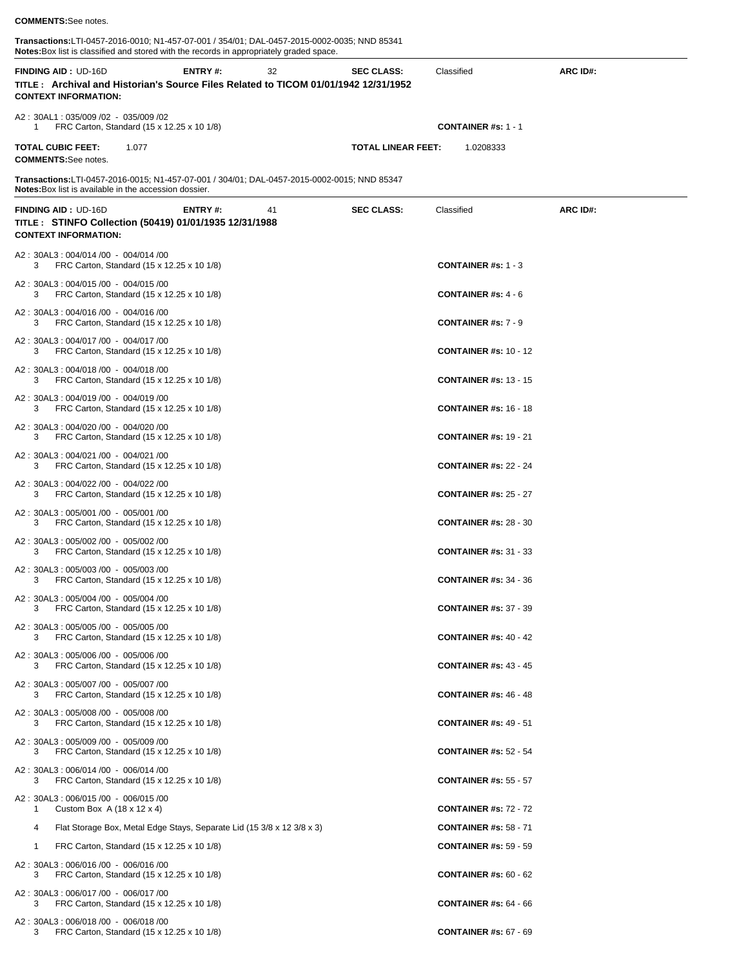## **COMMENTS:**See notes.

**Transactions:**LTI-0457-2016-0010; N1-457-07-001 / 354/01; DAL-0457-2015-0002-0035; NND 85341 **Notes:**Box list is classified and stored with the records in appropriately graded space. 

|              | <b>NULCS.</b> DUX inst is classified and stored with the records in appropriately graded space.                                                              |                |    |                           |                                           |          |
|--------------|--------------------------------------------------------------------------------------------------------------------------------------------------------------|----------------|----|---------------------------|-------------------------------------------|----------|
|              | <b>FINDING AID: UD-16D</b><br>TITLE: Archival and Historian's Source Files Related to TICOM 01/01/1942 12/31/1952<br><b>CONTEXT INFORMATION:</b>             | <b>ENTRY#:</b> | 32 | <b>SEC CLASS:</b>         | Classified                                | ARC ID#: |
| 1            | A2: 30AL1: 035/009 /02 - 035/009 /02<br>FRC Carton, Standard (15 x 12.25 x 10 1/8)                                                                           |                |    |                           | <b>CONTAINER #s: 1 - 1</b>                |          |
|              | <b>TOTAL CUBIC FEET:</b><br>1.077<br><b>COMMENTS:</b> See notes.                                                                                             |                |    | <b>TOTAL LINEAR FEET:</b> | 1.0208333                                 |          |
|              | Transactions:LTI-0457-2016-0015; N1-457-07-001 / 304/01; DAL-0457-2015-0002-0015; NND 85347<br><b>Notes:</b> Box list is available in the accession dossier. |                |    |                           |                                           |          |
|              |                                                                                                                                                              |                |    |                           |                                           |          |
|              | <b>FINDING AID: UD-16D</b><br>TITLE : STINFO Collection (50419) 01/01/1935 12/31/1988<br><b>CONTEXT INFORMATION:</b>                                         | ENTRY#:        | 41 | <b>SEC CLASS:</b>         | Classified                                | ARC ID#: |
| 3            | A2: 30AL3: 004/014 /00 - 004/014 /00<br>FRC Carton, Standard (15 x 12.25 x 10 1/8)                                                                           |                |    |                           | <b>CONTAINER</b> #s: $1 - 3$              |          |
| 3            | A2: 30AL3: 004/015 /00 - 004/015 /00<br>FRC Carton, Standard (15 x 12.25 x 10 1/8)                                                                           |                |    |                           | <b>CONTAINER #s: 4 - 6</b>                |          |
| 3            | A2: 30AL3: 004/016 /00 - 004/016 /00<br>FRC Carton, Standard (15 x 12.25 x 10 1/8)                                                                           |                |    |                           | <b>CONTAINER #s: 7 - 9</b>                |          |
| 3            | A2: 30AL3: 004/017 /00 - 004/017 /00<br>FRC Carton, Standard (15 x 12.25 x 10 1/8)                                                                           |                |    |                           | <b>CONTAINER #s: 10 - 12</b>              |          |
| 3            | A2: 30AL3: 004/018 /00 - 004/018 /00<br>FRC Carton, Standard (15 x 12.25 x 10 1/8)                                                                           |                |    |                           | <b>CONTAINER #s: 13 - 15</b>              |          |
| 3            | A2: 30AL3: 004/019 /00 - 004/019 /00<br>FRC Carton, Standard (15 x 12.25 x 10 1/8)                                                                           |                |    |                           | <b>CONTAINER #s: 16 - 18</b>              |          |
| 3            | A2: 30AL3: 004/020 /00 - 004/020 /00<br>FRC Carton, Standard (15 x 12.25 x 10 1/8)                                                                           |                |    |                           | <b>CONTAINER #s: 19 - 21</b>              |          |
| 3            | A2: 30AL3: 004/021 /00 - 004/021 /00<br>FRC Carton, Standard (15 x 12.25 x 10 1/8)                                                                           |                |    |                           | <b>CONTAINER #s: 22 - 24</b>              |          |
| 3            | A2: 30AL3: 004/022 /00 - 004/022 /00<br>FRC Carton, Standard (15 x 12.25 x 10 1/8)                                                                           |                |    |                           | <b>CONTAINER #s: 25 - 27</b>              |          |
| З            | A2: 30AL3: 005/001 /00 - 005/001 /00<br>FRC Carton, Standard (15 x 12.25 x 10 1/8)                                                                           |                |    |                           | <b>CONTAINER #s: 28 - 30</b>              |          |
| 3            | A2: 30AL3: 005/002 /00 - 005/002 /00<br>FRC Carton, Standard (15 x 12.25 x 10 1/8)                                                                           |                |    |                           | <b>CONTAINER #s: 31 - 33</b>              |          |
| 3            | A2: 30AL3: 005/003 /00 - 005/003 /00<br>FRC Carton, Standard (15 x 12.25 x 10 1/8)                                                                           |                |    |                           | <b>CONTAINER #s: 34 - 36</b>              |          |
| 3            | A2: 30AL3: 005/004 /00 - 005/004 /00<br>FRC Carton, Standard (15 x 12.25 x 10 1/8)                                                                           |                |    |                           | <b>CONTAINER #s: 37 - 39</b>              |          |
| 3            | A2: 30AL3: 005/005 /00 - 005/005 /00<br>FRC Carton, Standard (15 x 12.25 x 10 1/8)                                                                           |                |    |                           | <b>CONTAINER #s: 40 - 42</b>              |          |
| 3            | A2: 30AL3: 005/006 /00 - 005/006 /00<br>FRC Carton, Standard (15 x 12.25 x 10 1/8)                                                                           |                |    |                           | <b>CONTAINER #s: 43 - 45</b>              |          |
| 3            | A2: 30AL3: 005/007 /00 - 005/007 /00<br>FRC Carton, Standard (15 x 12.25 x 10 1/8)                                                                           |                |    |                           | <b>CONTAINER #s: 46 - 48</b>              |          |
| 3            | A2: 30AL3: 005/008 /00 - 005/008 /00<br>FRC Carton, Standard (15 x 12.25 x 10 1/8)                                                                           |                |    |                           | <b>CONTAINER #s: 49 - 51</b>              |          |
| 3            | A2: 30AL3: 005/009 /00 - 005/009 /00<br>FRC Carton, Standard (15 x 12.25 x 10 1/8)                                                                           |                |    |                           | <b>CONTAINER #s: 52 - 54</b>              |          |
| 3            | A2: 30AL3: 006/014 /00 - 006/014 /00<br>FRC Carton, Standard (15 x 12.25 x 10 1/8)                                                                           |                |    |                           | <b>CONTAINER #s: 55 - 57</b>              |          |
| 1            | A2: 30AL3: 006/015 /00 - 006/015 /00<br>Custom Box A $(18 \times 12 \times 4)$                                                                               |                |    |                           | <b>CONTAINER #s: 72 - 72</b>              |          |
| 4            | Flat Storage Box, Metal Edge Stays, Separate Lid (15 3/8 x 12 3/8 x 3)                                                                                       |                |    |                           | <b>CONTAINER #s: 58 - 71</b>              |          |
| $\mathbf{1}$ | FRC Carton, Standard (15 x 12.25 x 10 1/8)                                                                                                                   |                |    |                           | <b>CONTAINER #s: 59 - 59</b>              |          |
| 3            | A2: 30AL3: 006/016 /00 - 006/016 /00<br>FRC Carton, Standard (15 x 12.25 x 10 1/8)                                                                           |                |    |                           | <b>CONTAINER #s: <math>60 - 62</math></b> |          |
| 3            | A2: 30AL3: 006/017 /00 - 006/017 /00<br>FRC Carton, Standard (15 x 12.25 x 10 1/8)                                                                           |                |    |                           | <b>CONTAINER #s: 64 - 66</b>              |          |
| 3            | A2: 30AL3: 006/018 /00 - 006/018 /00<br>FRC Carton, Standard (15 x 12.25 x 10 1/8)                                                                           |                |    |                           | <b>CONTAINER #s: 67 - 69</b>              |          |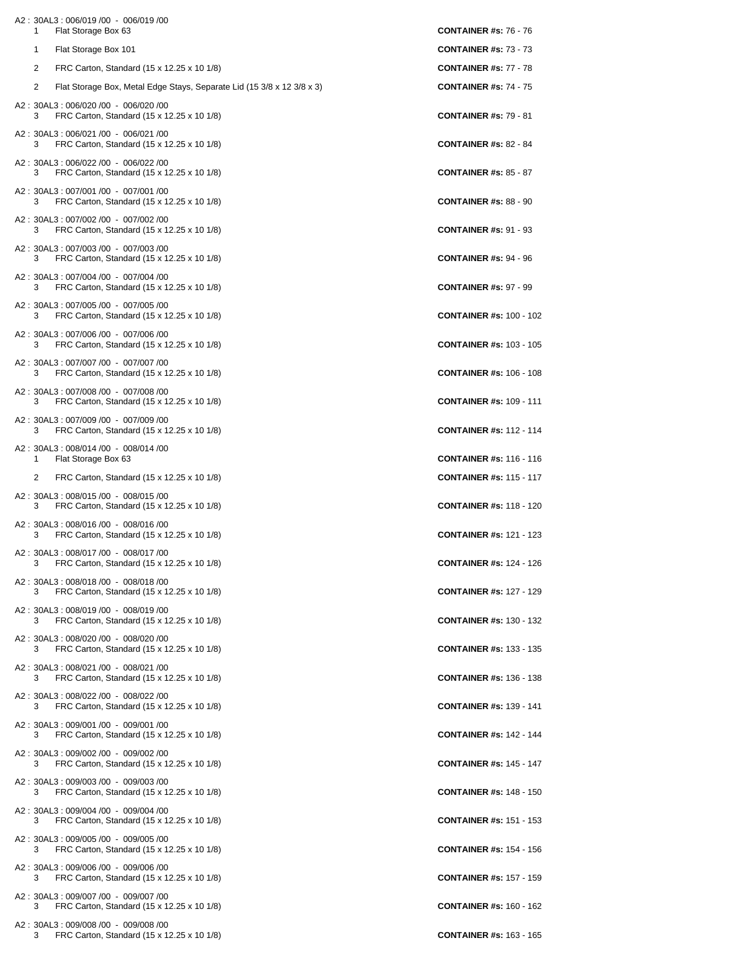| A2: 30AL3: 006/019 /00 - 006/019 /00<br>Flat Storage Box 63<br>1                         | <b>CONTAINER #s: 76 - 76</b>   |
|------------------------------------------------------------------------------------------|--------------------------------|
| Flat Storage Box 101<br>1                                                                | <b>CONTAINER #s: 73 - 73</b>   |
| 2<br>FRC Carton, Standard (15 x 12.25 x 10 1/8)                                          | <b>CONTAINER #s: 77 - 78</b>   |
| 2<br>Flat Storage Box, Metal Edge Stays, Separate Lid (15 3/8 x 12 3/8 x 3)              | <b>CONTAINER #s: 74 - 75</b>   |
| A2: 30AL3: 006/020 /00 - 006/020 /00                                                     |                                |
| FRC Carton, Standard (15 x 12.25 x 10 1/8)<br>3                                          | <b>CONTAINER #s: 79 - 81</b>   |
| A2: 30AL3: 006/021 /00 - 006/021 /00<br>FRC Carton, Standard (15 x 12.25 x 10 1/8)<br>3  | <b>CONTAINER #s: 82 - 84</b>   |
| A2: 30AL3: 006/022 /00 - 006/022 /00<br>FRC Carton, Standard (15 x 12.25 x 10 1/8)<br>3  | <b>CONTAINER #s: 85 - 87</b>   |
| A2: 30AL3: 007/001 /00 - 007/001 /00<br>FRC Carton, Standard (15 x 12.25 x 10 1/8)<br>3  | <b>CONTAINER #s: 88 - 90</b>   |
| A2: 30AL3: 007/002 /00 - 007/002 /00<br>FRC Carton, Standard (15 x 12.25 x 10 1/8)<br>3  | <b>CONTAINER #s: 91 - 93</b>   |
| A2: 30AL3: 007/003 /00 - 007/003 /00<br>FRC Carton, Standard (15 x 12.25 x 10 1/8)<br>3  | <b>CONTAINER #s: 94 - 96</b>   |
| A2: 30AL3: 007/004 /00 - 007/004 /00<br>FRC Carton, Standard (15 x 12.25 x 10 1/8)<br>3  | <b>CONTAINER #s: 97 - 99</b>   |
| A2: 30AL3: 007/005 /00 - 007/005 /00<br>FRC Carton, Standard (15 x 12.25 x 10 1/8)<br>3  | <b>CONTAINER #s: 100 - 102</b> |
| A2: 30AL3: 007/006 /00 - 007/006 /00<br>FRC Carton, Standard (15 x 12.25 x 10 1/8)<br>3  | <b>CONTAINER #s: 103 - 105</b> |
| A2: 30AL3: 007/007 /00 - 007/007 /00<br>FRC Carton, Standard (15 x 12.25 x 10 1/8)<br>3  | <b>CONTAINER #s: 106 - 108</b> |
| A2: 30AL3: 007/008 /00 - 007/008 /00<br>FRC Carton, Standard (15 x 12.25 x 10 1/8)<br>3  | <b>CONTAINER #s: 109 - 111</b> |
| A2: 30AL3: 007/009 /00 - 007/009 /00<br>FRC Carton, Standard (15 x 12.25 x 10 1/8)<br>3  | <b>CONTAINER #s: 112 - 114</b> |
| A2: 30AL3: 008/014 /00 - 008/014 /00<br>Flat Storage Box 63<br>1.                        | <b>CONTAINER #s: 116 - 116</b> |
| FRC Carton, Standard (15 x 12.25 x 10 1/8)<br>2                                          | <b>CONTAINER #s: 115 - 117</b> |
| A2: 30AL3: 008/015 /00 - 008/015 /00<br>FRC Carton, Standard (15 x 12.25 x 10 1/8)<br>3  | <b>CONTAINER #s: 118 - 120</b> |
| A2: 30AL3: 008/016 /00 - 008/016 /00<br>FRC Carton, Standard (15 x 12.25 x 10 1/8)<br>3  | <b>CONTAINER #s: 121 - 123</b> |
| A2: 30AL3: 008/017 /00 - 008/017 /00<br>3<br>FRC Carton, Standard (15 x 12.25 x 10 1/8)  | <b>CONTAINER #s: 124 - 126</b> |
| A2: 30AL3: 008/018 /00 - 008/018 /00<br>FRC Carton, Standard (15 x 12.25 x 10 1/8)<br>3  | <b>CONTAINER #s: 127 - 129</b> |
| A2: 30AL3: 008/019 /00 - 008/019 /00<br>FRC Carton, Standard (15 x 12.25 x 10 1/8)<br>3  | <b>CONTAINER #s: 130 - 132</b> |
| A2: 30AL3: 008/020 /00 - 008/020 /00<br>FRC Carton, Standard (15 x 12.25 x 10 1/8)<br>3  | <b>CONTAINER #s: 133 - 135</b> |
| A2: 30AL3: 008/021 /00 - 008/021 /00<br>FRC Carton, Standard (15 x 12.25 x 10 1/8)<br>3  | <b>CONTAINER #s: 136 - 138</b> |
| A2: 30AL3: 008/022 /00 - 008/022 /00<br>FRC Carton, Standard (15 x 12.25 x 10 1/8)<br>3  | <b>CONTAINER #s: 139 - 141</b> |
| A2: 30AL3: 009/001 /00 - 009/001 /00<br>FRC Carton, Standard (15 x 12.25 x 10 1/8)<br>3  | <b>CONTAINER #s: 142 - 144</b> |
| A2: 30AL3: 009/002 /00 - 009/002 /00<br>FRC Carton, Standard (15 x 12.25 x 10 1/8)<br>3  | <b>CONTAINER #s: 145 - 147</b> |
| A2: 30AL3: 009/003 /00 - 009/003 /00<br>FRC Carton, Standard (15 x 12.25 x 10 1/8)<br>3  | <b>CONTAINER #s: 148 - 150</b> |
| A2: 30AL3: 009/004 /00 - 009/004 /00<br>FRC Carton, Standard (15 x 12.25 x 10 1/8)<br>3  | <b>CONTAINER #s: 151 - 153</b> |
| A2: 30AL3: 009/005 /00 - 009/005 /00<br>FRC Carton, Standard (15 x 12.25 x 10 1/8)<br>3  | <b>CONTAINER #s: 154 - 156</b> |
| A2: 30AL3: 009/006 /00 - 009/006 /00<br>FRC Carton, Standard (15 x 12.25 x 10 1/8)<br>3. | <b>CONTAINER #s: 157 - 159</b> |
| A2: 30AL3: 009/007 /00 - 009/007 /00<br>FRC Carton, Standard (15 x 12.25 x 10 1/8)<br>3  | <b>CONTAINER #s: 160 - 162</b> |
| A2: 30AL3: 009/008 /00 - 009/008 /00<br>FRC Carton, Standard (15 x 12.25 x 10 1/8)<br>3. | <b>CONTAINER #s: 163 - 165</b> |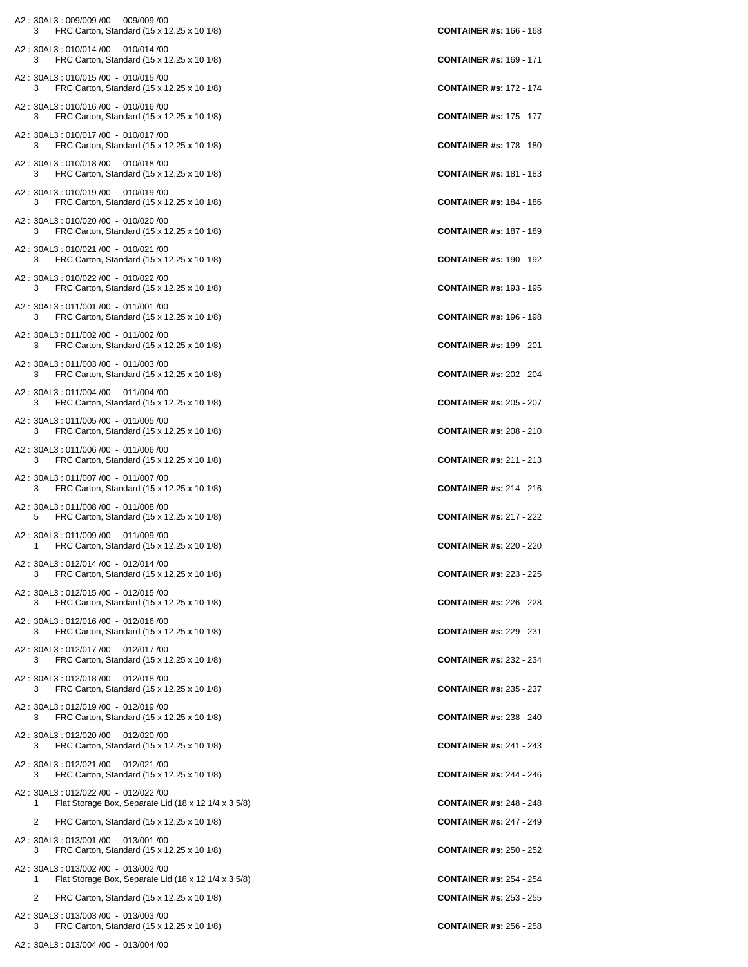| A2: 30AL3: 009/009 /00 - 009/009 /00<br>FRC Carton, Standard (15 x 12.25 x 10 1/8)<br>3           | <b>CONTAINER #s: 166 - 168</b> |
|---------------------------------------------------------------------------------------------------|--------------------------------|
| A2: 30AL3: 010/014 /00 - 010/014 /00<br>FRC Carton, Standard (15 x 12.25 x 10 1/8)<br>3           | <b>CONTAINER #s: 169 - 171</b> |
| A2: 30AL3: 010/015 /00 - 010/015 /00<br>FRC Carton, Standard (15 x 12.25 x 10 1/8)<br>3           | <b>CONTAINER #s: 172 - 174</b> |
| A2: 30AL3: 010/016 /00 - 010/016 /00<br>FRC Carton, Standard (15 x 12.25 x 10 1/8)<br>3           | <b>CONTAINER #s: 175 - 177</b> |
| A2: 30AL3: 010/017 /00 - 010/017 /00<br>FRC Carton, Standard (15 x 12.25 x 10 1/8)<br>3           | <b>CONTAINER #s: 178 - 180</b> |
| A2: 30AL3: 010/018 /00 - 010/018 /00<br>FRC Carton, Standard (15 x 12.25 x 10 1/8)<br>3           | <b>CONTAINER #s: 181 - 183</b> |
| A2: 30AL3: 010/019 /00 - 010/019 /00<br>FRC Carton, Standard (15 x 12.25 x 10 1/8)<br>3           | <b>CONTAINER #s: 184 - 186</b> |
| A2: 30AL3: 010/020 /00 - 010/020 /00<br>FRC Carton, Standard (15 x 12.25 x 10 1/8)<br>3           | <b>CONTAINER #s: 187 - 189</b> |
| A2: 30AL3: 010/021 /00 - 010/021 /00<br>3<br>FRC Carton, Standard (15 x 12.25 x 10 1/8)           | <b>CONTAINER #s: 190 - 192</b> |
| A2: 30AL3: 010/022 /00 - 010/022 /00<br>FRC Carton, Standard (15 x 12.25 x 10 1/8)<br>3           | <b>CONTAINER #s: 193 - 195</b> |
| A2: 30AL3: 011/001 /00 - 011/001 /00<br>FRC Carton, Standard (15 x 12.25 x 10 1/8)<br>3           | <b>CONTAINER #s: 196 - 198</b> |
| A2: 30AL3: 011/002 /00 - 011/002 /00<br>FRC Carton, Standard (15 x 12.25 x 10 1/8)<br>3           | <b>CONTAINER #s: 199 - 201</b> |
| A2: 30AL3: 011/003 /00 - 011/003 /00<br>FRC Carton, Standard (15 x 12.25 x 10 1/8)<br>3           | <b>CONTAINER #s: 202 - 204</b> |
| A2: 30AL3: 011/004 /00 - 011/004 /00<br>FRC Carton, Standard (15 x 12.25 x 10 1/8)<br>3           | <b>CONTAINER #s: 205 - 207</b> |
| A2: 30AL3: 011/005 /00 - 011/005 /00<br>FRC Carton, Standard (15 x 12.25 x 10 1/8)<br>3           | <b>CONTAINER #s: 208 - 210</b> |
| A2: 30AL3: 011/006 /00 - 011/006 /00<br>FRC Carton, Standard (15 x 12.25 x 10 1/8)<br>3           | <b>CONTAINER #s: 211 - 213</b> |
| A2: 30AL3: 011/007 /00 - 011/007 /00<br>FRC Carton, Standard (15 x 12.25 x 10 1/8)<br>3           | <b>CONTAINER #s: 214 - 216</b> |
| A2: 30AL3: 011/008 /00 - 011/008 /00<br>5<br>FRC Carton, Standard (15 x 12.25 x 10 1/8)           | <b>CONTAINER #s: 217 - 222</b> |
| A2: 30AL3: 011/009 /00 - 011/009 /00<br>FRC Carton, Standard (15 x 12.25 x 10 1/8)<br>1           | <b>CONTAINER #s: 220 - 220</b> |
| A2: 30AL3: 012/014 /00 - 012/014 /00<br>FRC Carton, Standard (15 x 12.25 x 10 1/8)<br>3           | <b>CONTAINER #s: 223 - 225</b> |
| A2: 30AL3: 012/015 /00 - 012/015 /00<br>FRC Carton, Standard (15 x 12.25 x 10 1/8)<br>3           | <b>CONTAINER #s: 226 - 228</b> |
| A2: 30AL3: 012/016 /00 - 012/016 /00<br>FRC Carton, Standard (15 x 12.25 x 10 1/8)<br>3           | <b>CONTAINER #s: 229 - 231</b> |
| A2: 30AL3: 012/017 /00 - 012/017 /00<br>FRC Carton, Standard (15 x 12.25 x 10 1/8)<br>3           | <b>CONTAINER #s: 232 - 234</b> |
| A2: 30AL3: 012/018 /00 - 012/018 /00<br>FRC Carton, Standard (15 x 12.25 x 10 1/8)<br>3           | <b>CONTAINER #s: 235 - 237</b> |
| A2: 30AL3: 012/019 /00 - 012/019 /00<br>FRC Carton, Standard (15 x 12.25 x 10 1/8)<br>3           | <b>CONTAINER #s: 238 - 240</b> |
| A2: 30AL3: 012/020 /00 - 012/020 /00<br>FRC Carton, Standard (15 x 12.25 x 10 1/8)<br>3           | <b>CONTAINER #s: 241 - 243</b> |
| A2: 30AL3: 012/021 /00 - 012/021 /00<br>FRC Carton, Standard (15 x 12.25 x 10 1/8)<br>3           | <b>CONTAINER #s: 244 - 246</b> |
| A2: 30AL3: 012/022 /00 - 012/022 /00<br>Flat Storage Box, Separate Lid (18 x 12 1/4 x 3 5/8)<br>1 | <b>CONTAINER #s: 248 - 248</b> |
| 2<br>FRC Carton, Standard (15 x 12.25 x 10 1/8)                                                   | <b>CONTAINER #s: 247 - 249</b> |
| A2: 30AL3: 013/001 /00 - 013/001 /00<br>FRC Carton, Standard (15 x 12.25 x 10 1/8)<br>3           | <b>CONTAINER #s: 250 - 252</b> |
| A2: 30AL3: 013/002 /00 - 013/002 /00                                                              | <b>CONTAINER #s: 254 - 254</b> |
| Flat Storage Box, Separate Lid (18 x 12 1/4 x 3 5/8)<br>1<br>2                                    | <b>CONTAINER #s: 253 - 255</b> |
| FRC Carton, Standard (15 x 12.25 x 10 1/8)                                                        |                                |
| A2: 30AL3: 013/003 /00 - 013/003 /00<br>FRC Carton, Standard (15 x 12.25 x 10 1/8)<br>3           | <b>CONTAINER #s: 256 - 258</b> |

A2 : 30AL3 : 013/004 /00 - 013/004 /00